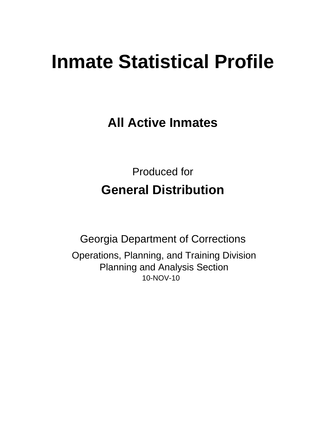# **Inmate Statistical Profile**

**All Active Inmates** 

**Produced for General Distribution** 

**Georgia Department of Corrections** Operations, Planning, and Training Division **Planning and Analysis Section** 10-NOV-10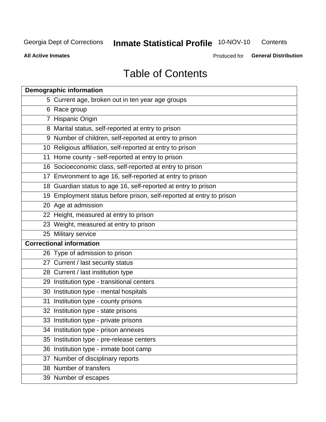**Inmate Statistical Profile 10-NOV-10** Contents

**All Active Inmates** 

Produced for General Distribution

# **Table of Contents**

| <b>Demographic information</b>                                       |
|----------------------------------------------------------------------|
| 5 Current age, broken out in ten year age groups                     |
| 6 Race group                                                         |
| 7 Hispanic Origin                                                    |
| 8 Marital status, self-reported at entry to prison                   |
| 9 Number of children, self-reported at entry to prison               |
| 10 Religious affiliation, self-reported at entry to prison           |
| 11 Home county - self-reported at entry to prison                    |
| 16 Socioeconomic class, self-reported at entry to prison             |
| 17 Environment to age 16, self-reported at entry to prison           |
| 18 Guardian status to age 16, self-reported at entry to prison       |
| 19 Employment status before prison, self-reported at entry to prison |
| 20 Age at admission                                                  |
| 22 Height, measured at entry to prison                               |
| 23 Weight, measured at entry to prison                               |
| 25 Military service                                                  |
| <b>Correctional information</b>                                      |
| 26 Type of admission to prison                                       |
| 27 Current / last security status                                    |
| 28 Current / last institution type                                   |
| 29 Institution type - transitional centers                           |
| 30 Institution type - mental hospitals                               |
| 31 Institution type - county prisons                                 |
| 32 Institution type - state prisons                                  |
| 33 Institution type - private prisons                                |
| 34 Institution type - prison annexes                                 |
| 35 Institution type - pre-release centers                            |
| 36 Institution type - inmate boot camp                               |
| 37 Number of disciplinary reports                                    |
| 38 Number of transfers                                               |
| 39 Number of escapes                                                 |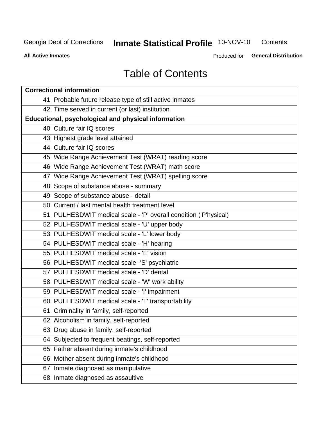# **Inmate Statistical Profile 10-NOV-10**

Contents

**All Active Inmates** 

Produced for General Distribution

# **Table of Contents**

| <b>Correctional information</b>                                  |
|------------------------------------------------------------------|
| 41 Probable future release type of still active inmates          |
| 42 Time served in current (or last) institution                  |
| Educational, psychological and physical information              |
| 40 Culture fair IQ scores                                        |
| 43 Highest grade level attained                                  |
| 44 Culture fair IQ scores                                        |
| 45 Wide Range Achievement Test (WRAT) reading score              |
| 46 Wide Range Achievement Test (WRAT) math score                 |
| 47 Wide Range Achievement Test (WRAT) spelling score             |
| 48 Scope of substance abuse - summary                            |
| 49 Scope of substance abuse - detail                             |
| 50 Current / last mental health treatment level                  |
| 51 PULHESDWIT medical scale - 'P' overall condition ('P'hysical) |
| 52 PULHESDWIT medical scale - 'U' upper body                     |
| 53 PULHESDWIT medical scale - 'L' lower body                     |
| 54 PULHESDWIT medical scale - 'H' hearing                        |
| 55 PULHESDWIT medical scale - 'E' vision                         |
| 56 PULHESDWIT medical scale -'S' psychiatric                     |
| 57 PULHESDWIT medical scale - 'D' dental                         |
| 58 PULHESDWIT medical scale - 'W' work ability                   |
| 59 PULHESDWIT medical scale - 'I' impairment                     |
| 60 PULHESDWIT medical scale - 'T' transportability               |
| 61 Criminality in family, self-reported                          |
| 62 Alcoholism in family, self-reported                           |
| 63 Drug abuse in family, self-reported                           |
| 64 Subjected to frequent beatings, self-reported                 |
| 65 Father absent during inmate's childhood                       |
| 66 Mother absent during inmate's childhood                       |
| 67 Inmate diagnosed as manipulative                              |
| 68 Inmate diagnosed as assaultive                                |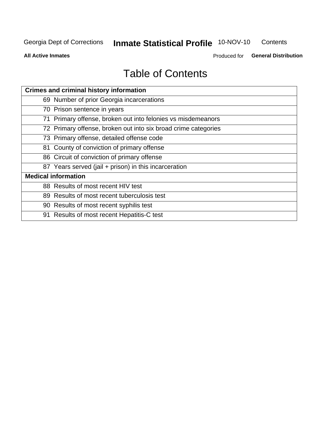# **Inmate Statistical Profile 10-NOV-10**

Contents

**All Active Inmates** 

Produced for General Distribution

# **Table of Contents**

| <b>Crimes and criminal history information</b>                 |
|----------------------------------------------------------------|
| 69 Number of prior Georgia incarcerations                      |
| 70 Prison sentence in years                                    |
| 71 Primary offense, broken out into felonies vs misdemeanors   |
| 72 Primary offense, broken out into six broad crime categories |
| 73 Primary offense, detailed offense code                      |
| 81 County of conviction of primary offense                     |
| 86 Circuit of conviction of primary offense                    |
| 87 Years served (jail + prison) in this incarceration          |
| <b>Medical information</b>                                     |
| 88 Results of most recent HIV test                             |
| 89 Results of most recent tuberculosis test                    |
| 90 Results of most recent syphilis test                        |
| 91 Results of most recent Hepatitis-C test                     |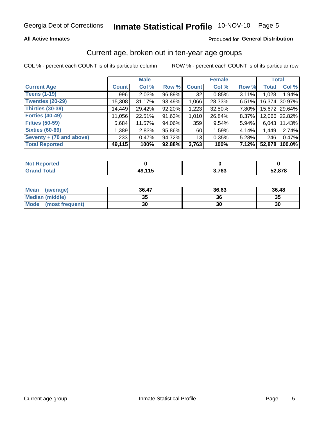### **All Active Inmates**

### Produced for General Distribution

### Current age, broken out in ten-year age groups

COL % - percent each COUNT is of its particular column

|                          |              | <b>Male</b> |        |                 | <b>Female</b> |       | <b>Total</b> |               |
|--------------------------|--------------|-------------|--------|-----------------|---------------|-------|--------------|---------------|
| <b>Current Age</b>       | <b>Count</b> | Col %       | Row %  | <b>Count</b>    | Col %         | Row % | <b>Total</b> | Col %         |
| <b>Teens (1-19)</b>      | 996          | 2.03%       | 96.89% | 32              | 0.85%         | 3.11% | 1,028        | 1.94%         |
| <b>Twenties (20-29)</b>  | 15,308       | 31.17%      | 93.49% | 1,066           | 28.33%        | 6.51% |              | 16,374 30.97% |
| <b>Thirties (30-39)</b>  | 14,449       | 29.42%      | 92.20% | 1,223           | 32.50%        | 7.80% |              | 15,672 29.64% |
| <b>Forties (40-49)</b>   | 11,056       | 22.51%      | 91.63% | 1,010           | 26.84%        | 8.37% |              | 12,066 22.82% |
| <b>Fifties (50-59)</b>   | 5,684        | 11.57%      | 94.06% | 359             | 9.54%         | 5.94% | 6,043        | 11.43%        |
| <b>Sixties (60-69)</b>   | 1,389        | 2.83%       | 95.86% | 60              | 1.59%         | 4.14% | 1,449        | 2.74%         |
| Seventy + (70 and above) | 233          | 0.47%       | 94.72% | 13 <sub>1</sub> | 0.35%         | 5.28% | 246          | 0.47%         |
| <b>Total Reported</b>    | 49,115       | 100%        | 92.88% | 3,763           | 100%          | 7.12% | 52,878       | 100.0%        |

| <b>Not Reported</b> |     |               |        |
|---------------------|-----|---------------|--------|
| Total               | AAE | י די פ<br>™ ∪ | 52,878 |

| <b>Mean</b><br>(average) | 36.47    | 36.63 | 36.48 |
|--------------------------|----------|-------|-------|
| Median (middle)          | つん<br>vu | 36    | 35    |
| Mode<br>(most frequent)  | 30       | 30    | 30    |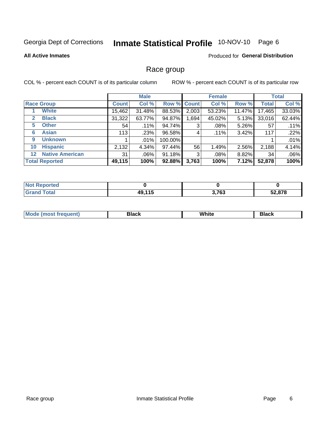# Inmate Statistical Profile 10-NOV-10 Page 6

#### **All Active Inmates**

### Produced for General Distribution

### Race group

COL % - percent each COUNT is of its particular column

|                                   |              | <b>Male</b> |         |             | <b>Female</b> |          |              | <b>Total</b> |
|-----------------------------------|--------------|-------------|---------|-------------|---------------|----------|--------------|--------------|
| <b>Race Group</b>                 | <b>Count</b> | Col %       |         | Row % Count | Col %         | Row %    | <b>Total</b> | Col %        |
| <b>White</b>                      | 15,462       | 31.48%      | 88.53%  | 2,003       | 53.23%        | 11.47%   | 17,465       | 33.03%       |
| <b>Black</b><br>2                 | 31,322       | 63.77%      | 94.87%  | .694        | 45.02%        | 5.13%    | 33,016       | 62.44%       |
| <b>Other</b><br>5                 | 54           | .11%        | 94.74%  | 3           | .08%          | 5.26%    | 57           | .11%         |
| <b>Asian</b><br>6                 | 113          | .23%        | 96.58%  | 4           | .11%          | 3.42%    | 117          | .22%         |
| <b>Unknown</b><br>9               |              | .01%        | 100.00% |             |               |          |              | .01%         |
| <b>Hispanic</b><br>10             | 2,132        | 4.34%       | 97.44%  | 56          | 1.49%         | 2.56%    | 2,188        | 4.14%        |
| <b>Native American</b><br>$12 \,$ | 31           | .06%        | 91.18%  | 3           | $.08\%$       | $8.82\%$ | 34           | .06%         |
| <b>Total Reported</b>             | 49,115       | 100%        | 92.88%  | 3,763       | 100%          | 7.12%    | 52,878       | 100%         |

| <b>Not</b><br><b>Reported</b> |        |       |        |
|-------------------------------|--------|-------|--------|
| <b>Total</b>                  | 49,115 | 3,763 | 52,878 |

| M.<br>____ | . | ------- |
|------------|---|---------|
|            |   |         |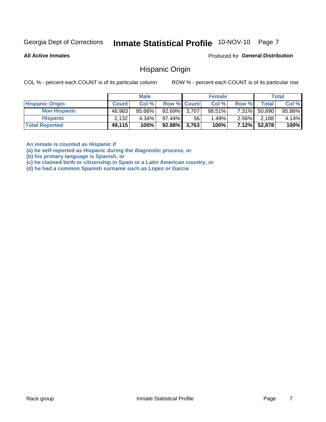# Inmate Statistical Profile 10-NOV-10 Page 7

**All Active Inmates** 

Produced for General Distribution

### **Hispanic Origin**

COL % - percent each COUNT is of its particular column

ROW % - percent each COUNT is of its particular row

|                        |              | <b>Male</b> |                    |    | <b>Female</b> |          |        | <b>Total</b> |
|------------------------|--------------|-------------|--------------------|----|---------------|----------|--------|--------------|
| <b>Hispanic Origin</b> | <b>Count</b> | Col %       | <b>Row % Count</b> |    | Col %         | Row %    | Totall | Col %        |
| <b>Non Hispanic</b>    | 46,983       | $95.66\%$   | 92.69% 3,707       |    | $98.51\%$     | 7.31%    | 50,690 | 95.86%       |
| <b>Hispanic</b>        | 2,132        | $4.34\%$    | $97.44\%$          | 56 | 1.49%         | $2.56\%$ | 2,188  | 4.14%        |
| <b>Total Reported</b>  | 49,115       | 100%        | $92.88\%$ 3,763    |    | 100%          | $7.12\%$ | 52,878 | 100%         |

An inmate is counted as Hispanic if

(a) he self-reported as Hispanic during the diagnostic process, or

(b) his primary language is Spanish, or

(c) he claimed birth or citizenship in Spain or a Latin American country, or

(d) he had a common Spanish surname such as Lopez or Garcia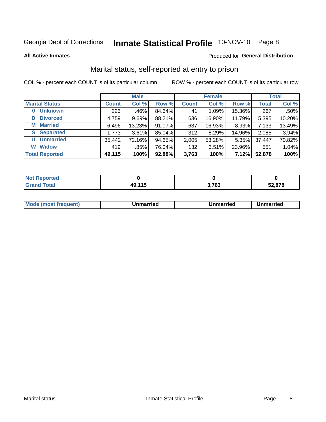# Inmate Statistical Profile 10-NOV-10 Page 8

**All Active Inmates** 

#### Produced for General Distribution

### Marital status, self-reported at entry to prison

COL % - percent each COUNT is of its particular column

|                            | <b>Male</b>  |         |        | <b>Female</b> |        |        | <b>Total</b> |        |
|----------------------------|--------------|---------|--------|---------------|--------|--------|--------------|--------|
| <b>Marital Status</b>      | <b>Count</b> | Col %   | Row %  | <b>Count</b>  | Col %  | Row %  | <b>Total</b> | Col %  |
| <b>Unknown</b><br>$\bf{0}$ | 226          | $.46\%$ | 84.64% | 41            | 1.09%  | 15.36% | 267          | .50%   |
| <b>Divorced</b><br>D       | 4,759        | 9.69%   | 88.21% | 636           | 16.90% | 11.79% | 5,395        | 10.20% |
| <b>Married</b><br>М        | 6,496        | 13.23%  | 91.07% | 637           | 16.93% | 8.93%  | 7,133        | 13.49% |
| <b>Separated</b><br>S.     | 1,773        | 3.61%   | 85.04% | 312           | 8.29%  | 14.96% | 2,085        | 3.94%  |
| <b>Unmarried</b><br>U      | 35,442       | 72.16%  | 94.65% | 2,005         | 53.28% | 5.35%  | 37,447       | 70.82% |
| <b>Widow</b><br>W          | 419          | $.85\%$ | 76.04% | 132           | 3.51%  | 23.96% | 551          | 1.04%  |
| <b>Total Reported</b>      | 49,115       | 100%    | 92.88% | 3,763         | 100%   | 7.12%  | 52,878       | 100%   |

| <b>Not Reported</b> |              |       |        |
|---------------------|--------------|-------|--------|
| Total<br>Grat       | $-11E$<br>49 | 3,763 | 52,878 |

|--|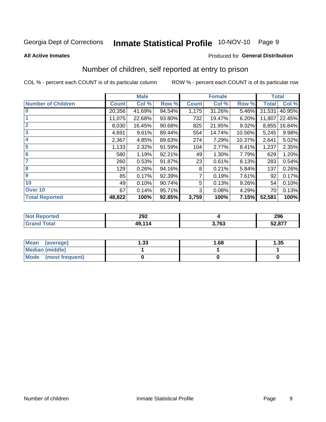# Inmate Statistical Profile 10-NOV-10 Page 9

#### **All Active Inmates**

### Produced for General Distribution

### Number of children, self reported at entry to prison

COL % - percent each COUNT is of its particular column

|                           |              | <b>Male</b> |        |              | <b>Female</b> |        | <b>Total</b> |        |
|---------------------------|--------------|-------------|--------|--------------|---------------|--------|--------------|--------|
| <b>Number of Children</b> | <b>Count</b> | Col %       | Row %  | <b>Count</b> | Col %         | Row %  | <b>Total</b> | Col %  |
| $\overline{0}$            | 20,356       | 41.69%      | 94.54% | 1,175        | 31.26%        | 5.46%  | 21,531       | 40.95% |
|                           | 11,075       | 22.68%      | 93.80% | 732          | 19.47%        | 6.20%  | 11,807       | 22.45% |
| $\overline{2}$            | 8,030        | 16.45%      | 90.68% | 825          | 21.95%        | 9.32%  | 8,855        | 16.84% |
| $\overline{\mathbf{3}}$   | 4,691        | 9.61%       | 89.44% | 554          | 14.74%        | 10.56% | 5,245        | 9.98%  |
| 4                         | 2,367        | 4.85%       | 89.63% | 274          | 7.29%         | 10.37% | 2,641        | 5.02%  |
| 5                         | 1,133        | 2.32%       | 91.59% | 104          | 2.77%         | 8.41%  | 1,237        | 2.35%  |
| 6                         | 580          | 1.19%       | 92.21% | 49           | 1.30%         | 7.79%  | 629          | 1.20%  |
| 7                         | 260          | 0.53%       | 91.87% | 23           | 0.61%         | 8.13%  | 283          | 0.54%  |
| 8                         | 129          | 0.26%       | 94.16% | 8            | 0.21%         | 5.84%  | 137          | 0.26%  |
| 9                         | 85           | 0.17%       | 92.39% | 7            | 0.19%         | 7.61%  | 92           | 0.17%  |
| 10                        | 49           | 0.10%       | 90.74% | 5            | 0.13%         | 9.26%  | 54           | 0.10%  |
| Over 10                   | 67           | 0.14%       | 95.71% | 3            | 0.08%         | 4.29%  | 70           | 0.13%  |
| <b>Total Reported</b>     | 48,822       | 100%        | 92.85% | 3,759        | 100%          | 7.15%  | 52,581       | 100%   |

| 292<br>$\sim$ $\sim$ |       | <b>nne</b><br>ZJU |
|----------------------|-------|-------------------|
| .<br>AC              | 3,763 | 50.077<br>، ≀ס.∠כ |

| <b>Mean</b><br>(average)       | ∣.33 | 1.68 | 1.35 |
|--------------------------------|------|------|------|
| <b>Median (middle)</b>         |      |      |      |
| <b>Mode</b><br>(most frequent) |      |      |      |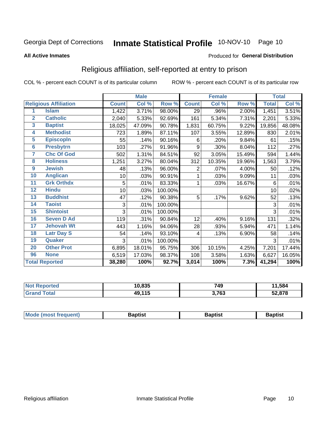# Inmate Statistical Profile 10-NOV-10 Page 10

#### **All Active Inmates**

### Produced for General Distribution

### Religious affiliation, self-reported at entry to prison

COL % - percent each COUNT is of its particular column

|                |                              |              | <b>Male</b> |         |                | <b>Female</b> |        |              | <b>Total</b> |
|----------------|------------------------------|--------------|-------------|---------|----------------|---------------|--------|--------------|--------------|
|                | <b>Religious Affiliation</b> | <b>Count</b> | Col %       | Row %   | <b>Count</b>   | Col %         | Row %  | <b>Total</b> | Col %        |
| 1              | <b>Islam</b>                 | 1,422        | 3.71%       | 98.00%  | 29             | .96%          | 2.00%  | 1,451        | 3.51%        |
| $\overline{2}$ | <b>Catholic</b>              | 2,040        | 5.33%       | 92.69%  | 161            | 5.34%         | 7.31%  | 2,201        | 5.33%        |
| 3              | <b>Baptist</b>               | 18,025       | 47.09%      | 90.78%  | 1,831          | 60.75%        | 9.22%  | 19,856       | 48.08%       |
| 4              | <b>Methodist</b>             | 723          | 1.89%       | 87.11%  | 107            | 3.55%         | 12.89% | 830          | 2.01%        |
| 5              | <b>EpiscopIn</b>             | 55           | .14%        | 90.16%  | 6              | .20%          | 9.84%  | 61           | .15%         |
| $6\phantom{a}$ | <b>Presbytrn</b>             | 103          | .27%        | 91.96%  | 9              | .30%          | 8.04%  | 112          | .27%         |
| 7              | <b>Chc Of God</b>            | 502          | 1.31%       | 84.51%  | 92             | 3.05%         | 15.49% | 594          | 1.44%        |
| 8              | <b>Holiness</b>              | 1,251        | 3.27%       | 80.04%  | 312            | 10.35%        | 19.96% | 1,563        | 3.79%        |
| 9              | <b>Jewish</b>                | 48           | .13%        | 96.00%  | $\overline{2}$ | .07%          | 4.00%  | 50           | .12%         |
| 10             | <b>Anglican</b>              | 10           | .03%        | 90.91%  | 1              | .03%          | 9.09%  | 11           | .03%         |
| 11             | <b>Grk Orthdx</b>            | 5            | .01%        | 83.33%  | 1              | .03%          | 16.67% | 6            | .01%         |
| 12             | <b>Hindu</b>                 | 10           | .03%        | 100.00% |                |               |        | 10           | .02%         |
| 13             | <b>Buddhist</b>              | 47           | .12%        | 90.38%  | 5              | .17%          | 9.62%  | 52           | .13%         |
| 14             | <b>Taoist</b>                | 3            | .01%        | 100.00% |                |               |        | 3            | .01%         |
| 15             | <b>Shintoist</b>             | 3            | .01%        | 100.00% |                |               |        | 3            | .01%         |
| 16             | <b>Seven D Ad</b>            | 119          | .31%        | 90.84%  | 12             | .40%          | 9.16%  | 131          | .32%         |
| 17             | <b>Jehovah Wt</b>            | 443          | 1.16%       | 94.06%  | 28             | .93%          | 5.94%  | 471          | 1.14%        |
| 18             | <b>Latr Day S</b>            | 54           | .14%        | 93.10%  | 4              | .13%          | 6.90%  | 58           | .14%         |
| 19             | Quaker                       | 3            | .01%        | 100.00% |                |               |        | 3            | .01%         |
| 20             | <b>Other Prot</b>            | 6,895        | 18.01%      | 95.75%  | 306            | 10.15%        | 4.25%  | 7,201        | 17.44%       |
| 96             | <b>None</b>                  | 6,519        | 17.03%      | 98.37%  | 108            | 3.58%         | 1.63%  | 6,627        | 16.05%       |
|                | <b>Total Reported</b>        | 38,280       | 100%        | 92.7%   | 3,014          | 100%          | 7.3%   | 41,294       | 100%         |

| Reported<br>∵N∩t      | 10,835 | 749   | 1,584  |
|-----------------------|--------|-------|--------|
| `otal<br><b>Grand</b> | 49,115 | 3,763 | 52,878 |

| <b>Mode (most frequent)</b><br>Baptist<br>Baptist<br>Baptist |
|--------------------------------------------------------------|
|--------------------------------------------------------------|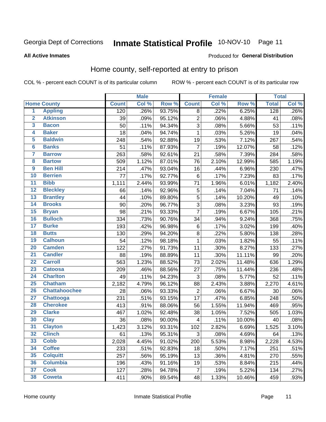#### Inmate Statistical Profile 10-NOV-10 Page 11

**All Active Inmates** 

#### Produced for General Distribution

### Home county, self-reported at entry to prison

COL % - percent each COUNT is of its particular column

|                         |                      |              | <b>Male</b> |        | <b>Female</b>  |       |        | <b>Total</b> |       |
|-------------------------|----------------------|--------------|-------------|--------|----------------|-------|--------|--------------|-------|
|                         | <b>Home County</b>   | <b>Count</b> | Col %       | Row %  | <b>Count</b>   | Col % | Row %  | <b>Total</b> | Col % |
| $\overline{1}$          | <b>Appling</b>       | 120          | .26%        | 93.75% | 8              | .22%  | 6.25%  | 128          | .26%  |
| $\overline{2}$          | <b>Atkinson</b>      | 39           | .09%        | 95.12% | $\overline{2}$ | .06%  | 4.88%  | 41           | .08%  |
| $\overline{\mathbf{3}}$ | <b>Bacon</b>         | 50           | .11%        | 94.34% | $\overline{3}$ | .08%  | 5.66%  | 53           | .11%  |
| 4                       | <b>Baker</b>         | 18           | .04%        | 94.74% | $\mathbf 1$    | .03%  | 5.26%  | 19           | .04%  |
| 5                       | <b>Baldwin</b>       | 248          | .54%        | 92.88% | 19             | .53%  | 7.12%  | 267          | .54%  |
| $6\phantom{a}$          | <b>Banks</b>         | 51           | .11%        | 87.93% | $\overline{7}$ | .19%  | 12.07% | 58           | .12%  |
| 7                       | <b>Barrow</b>        | 263          | .58%        | 92.61% | 21             | .58%  | 7.39%  | 284          | .58%  |
| 8                       | <b>Bartow</b>        | 509          | 1.12%       | 87.01% | 76             | 2.10% | 12.99% | 585          | 1.19% |
| $\overline{9}$          | <b>Ben Hill</b>      | 214          | .47%        | 93.04% | 16             | .44%  | 6.96%  | 230          | .47%  |
| 10                      | <b>Berrien</b>       | 77           | .17%        | 92.77% | 6              | .17%  | 7.23%  | 83           | .17%  |
| $\overline{11}$         | <b>Bibb</b>          | 1,111        | 2.44%       | 93.99% | 71             | 1.96% | 6.01%  | 1,182        | 2.40% |
| $\overline{12}$         | <b>Bleckley</b>      | 66           | .14%        | 92.96% | 5              | .14%  | 7.04%  | 71           | .14%  |
| $\overline{13}$         | <b>Brantley</b>      | 44           | .10%        | 89.80% | $\overline{5}$ | .14%  | 10.20% | 49           | .10%  |
| 14                      | <b>Brooks</b>        | 90           | .20%        | 96.77% | 3              | .08%  | 3.23%  | 93           | .19%  |
| 15                      | <b>Bryan</b>         | 98           | .21%        | 93.33% | $\overline{7}$ | .19%  | 6.67%  | 105          | .21%  |
| 16                      | <b>Bulloch</b>       | 334          | .73%        | 90.76% | 34             | .94%  | 9.24%  | 368          | .75%  |
| $\overline{17}$         | <b>Burke</b>         | 193          | .42%        | 96.98% | 6              | .17%  | 3.02%  | 199          | .40%  |
| 18                      | <b>Butts</b>         | 130          | .29%        | 94.20% | $\overline{8}$ | .22%  | 5.80%  | 138          | .28%  |
| 19                      | <b>Calhoun</b>       | 54           | .12%        | 98.18% | $\mathbf 1$    | .03%  | 1.82%  | 55           | .11%  |
| 20                      | <b>Camden</b>        | 122          | .27%        | 91.73% | 11             | .30%  | 8.27%  | 133          | .27%  |
| $\overline{21}$         | <b>Candler</b>       | 88           | .19%        | 88.89% | 11             | .30%  | 11.11% | 99           | .20%  |
| $\overline{22}$         | <b>Carroll</b>       | 563          | 1.23%       | 88.52% | 73             | 2.02% | 11.48% | 636          | 1.29% |
| 23                      | <b>Catoosa</b>       | 209          | .46%        | 88.56% | 27             | .75%  | 11.44% | 236          | .48%  |
| $\overline{24}$         | <b>Charlton</b>      | 49           | .11%        | 94.23% | 3              | .08%  | 5.77%  | 52           | .11%  |
| 25                      | <b>Chatham</b>       | 2,182        | 4.79%       | 96.12% | 88             | 2.43% | 3.88%  | 2,270        | 4.61% |
| 26                      | <b>Chattahoochee</b> | 28           | .06%        | 93.33% | $\overline{2}$ | .06%  | 6.67%  | 30           | .06%  |
| $\overline{27}$         | <b>Chattooga</b>     | 231          | .51%        | 93.15% | 17             | .47%  | 6.85%  | 248          | .50%  |
| 28                      | <b>Cherokee</b>      | 413          | .91%        | 88.06% | 56             | 1.55% | 11.94% | 469          | .95%  |
| 29                      | <b>Clarke</b>        | 467          | 1.02%       | 92.48% | 38             | 1.05% | 7.52%  | 505          | 1.03% |
| 30                      | <b>Clay</b>          | 36           | .08%        | 90.00% | 4              | .11%  | 10.00% | 40           | .08%  |
| $\overline{31}$         | <b>Clayton</b>       | 1,423        | 3.12%       | 93.31% | 102            | 2.82% | 6.69%  | 1,525        | 3.10% |
| 32                      | <b>Clinch</b>        | 61           | .13%        | 95.31% | 3              | .08%  | 4.69%  | 64           | .13%  |
| 33                      | <b>Cobb</b>          | 2,028        | 4.45%       | 91.02% | 200            | 5.53% | 8.98%  | 2,228        | 4.53% |
| 34                      | <b>Coffee</b>        | 233          | .51%        | 92.83% | 18             | .50%  | 7.17%  | 251          | .51%  |
| 35                      | <b>Colquitt</b>      | 257          | .56%        | 95.19% | 13             | .36%  | 4.81%  | 270          | .55%  |
| 36                      | <b>Columbia</b>      | 196          | .43%        | 91.16% | 19             | .53%  | 8.84%  | 215          | .44%  |
| 37                      | <b>Cook</b>          | 127          | .28%        | 94.78% | $\overline{7}$ | .19%  | 5.22%  | 134          | .27%  |
| 38                      | <b>Coweta</b>        | 411          | .90%        | 89.54% | 48             | 1.33% | 10.46% | 459          | .93%  |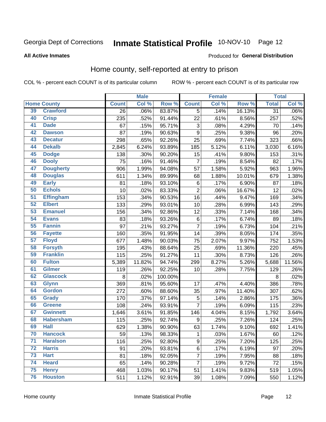#### Inmate Statistical Profile 10-NOV-10 Page 12

#### **All Active Inmates**

#### Produced for General Distribution

### Home county, self-reported at entry to prison

COL % - percent each COUNT is of its particular column

|                 |                    |              | <b>Male</b> |         |                           | <b>Female</b> |        | <b>Total</b>    |         |
|-----------------|--------------------|--------------|-------------|---------|---------------------------|---------------|--------|-----------------|---------|
|                 | <b>Home County</b> | <b>Count</b> | Col %       | Row %   | <b>Count</b>              | Col %         | Row %  | <b>Total</b>    | Col%    |
| 39              | <b>Crawford</b>    | 26           | .06%        | 83.87%  | $\overline{5}$            | .14%          | 16.13% | $\overline{31}$ | $.06\%$ |
| 40              | <b>Crisp</b>       | 235          | .52%        | 91.44%  | 22                        | .61%          | 8.56%  | 257             | .52%    |
| 41              | <b>Dade</b>        | 67           | .15%        | 95.71%  | $\ensuremath{\mathsf{3}}$ | .08%          | 4.29%  | 70              | .14%    |
| 42              | <b>Dawson</b>      | 87           | .19%        | 90.63%  | 9                         | .25%          | 9.38%  | 96              | .20%    |
| 43              | <b>Decatur</b>     | 298          | .65%        | 92.26%  | 25                        | .69%          | 7.74%  | 323             | .66%    |
| 44              | <b>Dekalb</b>      | 2,845        | 6.24%       | 93.89%  | 185                       | 5.12%         | 6.11%  | 3,030           | 6.16%   |
| 45              | <b>Dodge</b>       | 138          | .30%        | 90.20%  | 15                        | .41%          | 9.80%  | 153             | .31%    |
| 46              | <b>Dooly</b>       | 75           | .16%        | 91.46%  | $\overline{7}$            | .19%          | 8.54%  | 82              | .17%    |
| 47              | <b>Dougherty</b>   | 906          | 1.99%       | 94.08%  | 57                        | 1.58%         | 5.92%  | 963             | 1.96%   |
| 48              | <b>Douglas</b>     | 611          | 1.34%       | 89.99%  | 68                        | 1.88%         | 10.01% | 679             | 1.38%   |
| 49              | <b>Early</b>       | 81           | .18%        | 93.10%  | $\,6$                     | .17%          | 6.90%  | 87              | .18%    |
| 50              | <b>Echols</b>      | 10           | .02%        | 83.33%  | $\overline{2}$            | .06%          | 16.67% | 12              | .02%    |
| $\overline{51}$ | <b>Effingham</b>   | 153          | .34%        | 90.53%  | 16                        | .44%          | 9.47%  | 169             | .34%    |
| 52              | <b>Elbert</b>      | 133          | .29%        | 93.01%  | 10                        | .28%          | 6.99%  | 143             | .29%    |
| 53              | <b>Emanuel</b>     | 156          | .34%        | 92.86%  | 12                        | .33%          | 7.14%  | 168             | .34%    |
| 54              | <b>Evans</b>       | 83           | .18%        | 93.26%  | 6                         | .17%          | 6.74%  | 89              | .18%    |
| 55              | <b>Fannin</b>      | 97           | .21%        | 93.27%  | $\overline{7}$            | .19%          | 6.73%  | 104             | .21%    |
| 56              | <b>Fayette</b>     | 160          | .35%        | 91.95%  | 14                        | .39%          | 8.05%  | 174             | .35%    |
| 57              | <b>Floyd</b>       | 677          | 1.48%       | 90.03%  | 75                        | 2.07%         | 9.97%  | 752             | 1.53%   |
| 58              | <b>Forsyth</b>     | 195          | .43%        | 88.64%  | 25                        | .69%          | 11.36% | 220             | .45%    |
| 59              | <b>Franklin</b>    | 115          | .25%        | 91.27%  | 11                        | .30%          | 8.73%  | 126             | .26%    |
| 60              | <b>Fulton</b>      | 5,389        | 11.82%      | 94.74%  | 299                       | 8.27%         | 5.26%  | 5,688           | 11.56%  |
| 61              | <b>Gilmer</b>      | 119          | .26%        | 92.25%  | 10                        | .28%          | 7.75%  | 129             | .26%    |
| 62              | <b>Glascock</b>    | $\bf 8$      | .02%        | 100.00% |                           |               |        | 8               | .02%    |
| 63              | <b>Glynn</b>       | 369          | .81%        | 95.60%  | 17                        | .47%          | 4.40%  | 386             | .78%    |
| 64              | <b>Gordon</b>      | 272          | .60%        | 88.60%  | 35                        | .97%          | 11.40% | 307             | .62%    |
| 65              | <b>Grady</b>       | 170          | .37%        | 97.14%  | $\mathbf 5$               | .14%          | 2.86%  | 175             | .36%    |
| 66              | <b>Greene</b>      | 108          | .24%        | 93.91%  | $\overline{7}$            | .19%          | 6.09%  | 115             | .23%    |
| 67              | <b>Gwinnett</b>    | 1,646        | 3.61%       | 91.85%  | 146                       | 4.04%         | 8.15%  | 1,792           | 3.64%   |
| 68              | <b>Habersham</b>   | 115          | .25%        | 92.74%  | $\boldsymbol{9}$          | .25%          | 7.26%  | 124             | .25%    |
| 69              | <b>Hall</b>        | 629          | 1.38%       | 90.90%  | 63                        | 1.74%         | 9.10%  | 692             | 1.41%   |
| 70              | <b>Hancock</b>     | 59           | .13%        | 98.33%  | $\mathbf{1}$              | .03%          | 1.67%  | 60              | .12%    |
| $\overline{71}$ | <b>Haralson</b>    | 116          | .25%        | 92.80%  | $\boldsymbol{9}$          | .25%          | 7.20%  | 125             | .25%    |
| 72              | <b>Harris</b>      | 91           | .20%        | 93.81%  | $\,6$                     | .17%          | 6.19%  | 97              | .20%    |
| 73              | <b>Hart</b>        | 81           | .18%        | 92.05%  | $\overline{7}$            | .19%          | 7.95%  | 88              | .18%    |
| 74              | <b>Heard</b>       | 65           | .14%        | 90.28%  | 7                         | .19%          | 9.72%  | 72              | .15%    |
| 75              | <b>Henry</b>       | 468          | 1.03%       | 90.17%  | 51                        | 1.41%         | 9.83%  | 519             | 1.05%   |
| 76              | <b>Houston</b>     | 511          | 1.12%       | 92.91%  | 39                        | 1.08%         | 7.09%  | 550             | 1.12%   |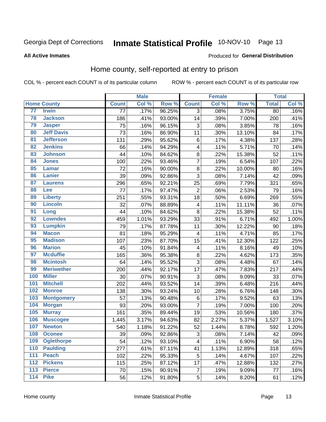#### Inmate Statistical Profile 10-NOV-10 Page 13

#### **All Active Inmates**

#### Produced for General Distribution

### Home county, self-reported at entry to prison

COL % - percent each COUNT is of its particular column

|     |                    |                 | <b>Male</b> |        |                | <b>Female</b> |        | <b>Total</b> |       |
|-----|--------------------|-----------------|-------------|--------|----------------|---------------|--------|--------------|-------|
|     | <b>Home County</b> | <b>Count</b>    | Col %       | Row %  | <b>Count</b>   | Col %         | Row %  | <b>Total</b> | Col % |
| 77  | <b>Irwin</b>       | $\overline{77}$ | .17%        | 96.25% | $\overline{3}$ | .08%          | 3.75%  | 80           | .16%  |
| 78  | <b>Jackson</b>     | 186             | .41%        | 93.00% | 14             | .39%          | 7.00%  | 200          | .41%  |
| 79  | <b>Jasper</b>      | 75              | .16%        | 96.15% | $\mathbf{3}$   | .08%          | 3.85%  | 78           | .16%  |
| 80  | <b>Jeff Davis</b>  | 73              | .16%        | 86.90% | 11             | .30%          | 13.10% | 84           | .17%  |
| 81  | <b>Jefferson</b>   | 131             | .29%        | 95.62% | $\,6$          | .17%          | 4.38%  | 137          | .28%  |
| 82  | <b>Jenkins</b>     | 66              | .14%        | 94.29% | 4              | .11%          | 5.71%  | 70           | .14%  |
| 83  | <b>Johnson</b>     | 44              | .10%        | 84.62% | $\bf 8$        | .22%          | 15.38% | 52           | .11%  |
| 84  | <b>Jones</b>       | 100             | .22%        | 93.46% | $\overline{7}$ | .19%          | 6.54%  | 107          | .22%  |
| 85  | <b>Lamar</b>       | 72              | .16%        | 90.00% | $\bf 8$        | .22%          | 10.00% | 80           | .16%  |
| 86  | Lanier             | 39              | .09%        | 92.86% | 3              | .08%          | 7.14%  | 42           | .09%  |
| 87  | <b>Laurens</b>     | 296             | .65%        | 92.21% | 25             | .69%          | 7.79%  | 321          | .65%  |
| 88  | <b>Lee</b>         | 77              | .17%        | 97.47% | $\overline{2}$ | .06%          | 2.53%  | 79           | .16%  |
| 89  | <b>Liberty</b>     | 251             | .55%        | 93.31% | 18             | .50%          | 6.69%  | 269          | .55%  |
| 90  | <b>Lincoln</b>     | 32              | .07%        | 88.89% | 4              | .11%          | 11.11% | 36           | .07%  |
| 91  | Long               | 44              | .10%        | 84.62% | $\bf 8$        | .22%          | 15.38% | 52           | .11%  |
| 92  | <b>Lowndes</b>     | 459             | 1.01%       | 93.29% | 33             | .91%          | 6.71%  | 492          | 1.00% |
| 93  | <b>Lumpkin</b>     | 79              | .17%        | 87.78% | 11             | .30%          | 12.22% | 90           | .18%  |
| 94  | <b>Macon</b>       | 81              | .18%        | 95.29% | 4              | .11%          | 4.71%  | 85           | .17%  |
| 95  | <b>Madison</b>     | 107             | .23%        | 87.70% | 15             | .41%          | 12.30% | 122          | .25%  |
| 96  | <b>Marion</b>      | 45              | .10%        | 91.84% | 4              | .11%          | 8.16%  | 49           | .10%  |
| 97  | <b>Mcduffie</b>    | 165             | .36%        | 95.38% | $\bf8$         | .22%          | 4.62%  | 173          | .35%  |
| 98  | <b>Mcintosh</b>    | 64              | .14%        | 95.52% | $\overline{3}$ | .08%          | 4.48%  | 67           | .14%  |
| 99  | <b>Meriwether</b>  | 200             | .44%        | 92.17% | 17             | .47%          | 7.83%  | 217          | .44%  |
| 100 | <b>Miller</b>      | 30              | .07%        | 90.91% | $\overline{3}$ | .08%          | 9.09%  | 33           | .07%  |
| 101 | <b>Mitchell</b>    | 202             | .44%        | 93.52% | 14             | .39%          | 6.48%  | 216          | .44%  |
| 102 | <b>Monroe</b>      | 138             | .30%        | 93.24% | 10             | .28%          | 6.76%  | 148          | .30%  |
| 103 | <b>Montgomery</b>  | 57              | .13%        | 90.48% | $\,6$          | .17%          | 9.52%  | 63           | .13%  |
| 104 | <b>Morgan</b>      | 93              | .20%        | 93.00% | $\overline{7}$ | .19%          | 7.00%  | 100          | .20%  |
| 105 | <b>Murray</b>      | 161             | .35%        | 89.44% | 19             | .53%          | 10.56% | 180          | .37%  |
| 106 | <b>Muscogee</b>    | 1,445           | 3.17%       | 94.63% | 82             | 2.27%         | 5.37%  | 1,527        | 3.10% |
| 107 | <b>Newton</b>      | 540             | 1.18%       | 91.22% | 52             | 1.44%         | 8.78%  | 592          | 1.20% |
| 108 | <b>Oconee</b>      | 39              | .09%        | 92.86% | 3              | .08%          | 7.14%  | 42           | .09%  |
| 109 | <b>Oglethorpe</b>  | 54              | .12%        | 93.10% | 4              | .11%          | 6.90%  | 58           | .12%  |
| 110 | <b>Paulding</b>    | 277             | .61%        | 87.11% | 41             | 1.13%         | 12.89% | 318          | .65%  |
| 111 | <b>Peach</b>       | 102             | .22%        | 95.33% | 5              | .14%          | 4.67%  | 107          | .22%  |
| 112 | <b>Pickens</b>     | 115             | .25%        | 87.12% | 17             | .47%          | 12.88% | 132          | .27%  |
| 113 | <b>Pierce</b>      | 70              | .15%        | 90.91% | 7              | .19%          | 9.09%  | 77           | .16%  |
| 114 | <b>Pike</b>        | 56              | .12%        | 91.80% | 5              | .14%          | 8.20%  | 61           | .12%  |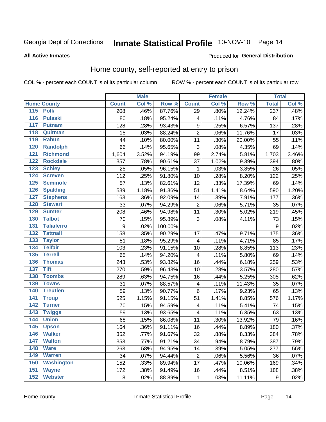#### Inmate Statistical Profile 10-NOV-10 Page 14

#### **All Active Inmates**

#### Produced for General Distribution

### Home county, self-reported at entry to prison

COL % - percent each COUNT is of its particular column

|                  |                    |                  | <b>Male</b> |         |                         | <b>Female</b> |        | <b>Total</b> |       |
|------------------|--------------------|------------------|-------------|---------|-------------------------|---------------|--------|--------------|-------|
|                  | <b>Home County</b> | <b>Count</b>     | Col %       | Row %   | <b>Count</b>            | Col %         | Row %  | <b>Total</b> | Col % |
|                  | 115 Polk           | 208              | .46%        | 87.76%  | $\overline{29}$         | .80%          | 12.24% | 237          | .48%  |
| $\overline{116}$ | <b>Pulaski</b>     | 80               | .18%        | 95.24%  | 4                       | .11%          | 4.76%  | 84           | .17%  |
| 117              | <b>Putnam</b>      | 128              | .28%        | 93.43%  | $\boldsymbol{9}$        | .25%          | 6.57%  | 137          | .28%  |
| 118              | Quitman            | 15               | .03%        | 88.24%  | $\overline{2}$          | .06%          | 11.76% | 17           | .03%  |
| 119              | <b>Rabun</b>       | 44               | .10%        | 80.00%  | 11                      | .30%          | 20.00% | 55           | .11%  |
| 120              | <b>Randolph</b>    | 66               | .14%        | 95.65%  | $\overline{3}$          | .08%          | 4.35%  | 69           | .14%  |
| 121              | <b>Richmond</b>    | 1,604            | 3.52%       | 94.19%  | 99                      | 2.74%         | 5.81%  | 1,703        | 3.46% |
| 122              | <b>Rockdale</b>    | 357              | .78%        | 90.61%  | 37                      | 1.02%         | 9.39%  | 394          | .80%  |
| 123              | <b>Schley</b>      | 25               | .05%        | 96.15%  | 1                       | .03%          | 3.85%  | 26           | .05%  |
| 124              | <b>Screven</b>     | 112              | .25%        | 91.80%  | 10                      | .28%          | 8.20%  | 122          | .25%  |
| 125              | <b>Seminole</b>    | 57               | .13%        | 82.61%  | 12                      | .33%          | 17.39% | 69           | .14%  |
| 126              | <b>Spalding</b>    | 539              | 1.18%       | 91.36%  | 51                      | 1.41%         | 8.64%  | 590          | 1.20% |
| 127              | <b>Stephens</b>    | 163              | .36%        | 92.09%  | 14                      | .39%          | 7.91%  | 177          | .36%  |
| 128              | <b>Stewart</b>     | 33               | .07%        | 94.29%  | $\overline{2}$          | .06%          | 5.71%  | 35           | .07%  |
| 129              | <b>Sumter</b>      | 208              | .46%        | 94.98%  | 11                      | .30%          | 5.02%  | 219          | .45%  |
| 130              | <b>Talbot</b>      | 70               | .15%        | 95.89%  | $\overline{3}$          | .08%          | 4.11%  | 73           | .15%  |
| 131              | <b>Taliaferro</b>  | $\boldsymbol{9}$ | .02%        | 100.00% |                         |               |        | 9            | .02%  |
| 132              | <b>Tattnall</b>    | 158              | .35%        | 90.29%  | 17                      | .47%          | 9.71%  | 175          | .36%  |
| 133              | <b>Taylor</b>      | 81               | .18%        | 95.29%  | $\overline{4}$          | .11%          | 4.71%  | 85           | .17%  |
| 134              | <b>Telfair</b>     | 103              | .23%        | 91.15%  | 10                      | .28%          | 8.85%  | 113          | .23%  |
| 135              | <b>Terrell</b>     | 65               | .14%        | 94.20%  | $\overline{\mathbf{4}}$ | .11%          | 5.80%  | 69           | .14%  |
| 136              | <b>Thomas</b>      | 243              | .53%        | 93.82%  | 16                      | .44%          | 6.18%  | 259          | .53%  |
| 137              | <b>Tift</b>        | 270              | .59%        | 96.43%  | 10                      | .28%          | 3.57%  | 280          | .57%  |
| 138              | <b>Toombs</b>      | 289              | .63%        | 94.75%  | 16                      | .44%          | 5.25%  | 305          | .62%  |
| 139              | <b>Towns</b>       | 31               | .07%        | 88.57%  | 4                       | .11%          | 11.43% | 35           | .07%  |
| 140              | <b>Treutlen</b>    | 59               | .13%        | 90.77%  | $\,6$                   | .17%          | 9.23%  | 65           | .13%  |
| 141              | <b>Troup</b>       | 525              | 1.15%       | 91.15%  | 51                      | 1.41%         | 8.85%  | 576          | 1.17% |
| 142              | <b>Turner</b>      | 70               | .15%        | 94.59%  | $\overline{\mathbf{4}}$ | .11%          | 5.41%  | 74           | .15%  |
| $\overline{143}$ | <b>Twiggs</b>      | 59               | .13%        | 93.65%  | $\overline{\mathbf{4}}$ | .11%          | 6.35%  | 63           | .13%  |
| 144              | <b>Union</b>       | 68               | .15%        | 86.08%  | 11                      | .30%          | 13.92% | 79           | .16%  |
| 145              | <b>Upson</b>       | 164              | .36%        | 91.11%  | 16                      | .44%          | 8.89%  | 180          | .37%  |
| 146              | <b>Walker</b>      | 352              | .77%        | 91.67%  | 32                      | .88%          | 8.33%  | 384          | .78%  |
| 147              | <b>Walton</b>      | 353              | .77%        | 91.21%  | 34                      | .94%          | 8.79%  | 387          | .79%  |
| 148              | <b>Ware</b>        | 263              | .58%        | 94.95%  | 14                      | .39%          | 5.05%  | 277          | .56%  |
| 149              | <b>Warren</b>      | 34               | .07%        | 94.44%  | $\overline{c}$          | .06%          | 5.56%  | 36           | .07%  |
| 150              | <b>Washington</b>  | 152              | .33%        | 89.94%  | 17                      | .47%          | 10.06% | 169          | .34%  |
| 151              | <b>Wayne</b>       | 172              | .38%        | 91.49%  | 16                      | .44%          | 8.51%  | 188          | .38%  |
| 152              | <b>Webster</b>     | 8                | .02%        | 88.89%  | 1                       | .03%          | 11.11% | 9            | .02%  |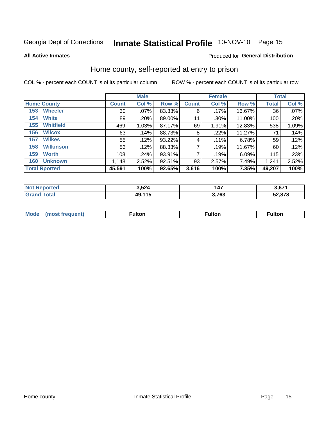# Inmate Statistical Profile 10-NOV-10 Page 15

**All Active Inmates** 

### Produced for General Distribution

### Home county, self-reported at entry to prison

COL % - percent each COUNT is of its particular column

|                         |                 | <b>Male</b> |        |              | <b>Female</b> |        | <b>Total</b> |       |
|-------------------------|-----------------|-------------|--------|--------------|---------------|--------|--------------|-------|
| <b>Home County</b>      | <b>Count</b>    | Col %       | Row %  | <b>Count</b> | Col %         | Row %  | <b>Total</b> | Col % |
| <b>Wheeler</b><br>153   | 30 <sup>2</sup> | .07%        | 83.33% | 6            | .17%          | 16.67% | 36           | .07%  |
| <b>White</b><br>154     | 89              | .20%        | 89.00% | 11           | .30%          | 11.00% | 100          | .20%  |
| <b>Whitfield</b><br>155 | 469             | 1.03%       | 87.17% | 69           | 1.91%         | 12.83% | 538          | 1.09% |
| <b>Wilcox</b><br>156    | 63              | .14%        | 88.73% | 8            | $.22\%$       | 11.27% | 71           | .14%  |
| <b>Wilkes</b><br>157    | 55              | .12%        | 93.22% | 4            | .11%          | 6.78%  | 59           | .12%  |
| <b>Wilkinson</b><br>158 | 53              | .12%        | 88.33% | 7            | .19%          | 11.67% | 60           | .12%  |
| 159<br><b>Worth</b>     | 108             | .24%        | 93.91% | 7            | .19%          | 6.09%  | 115          | .23%  |
| <b>Unknown</b><br>160   | 1,148           | 2.52%       | 92.51% | 93           | 2.57%         | 7.49%  | 1,241        | 2.52% |
| <b>Total Rported</b>    | 45,591          | 100%        | 92.65% | 3,616        | 100%          | 7.35%  | 49,207       | 100%  |

| oorted<br>n n | 3,524      | 147   | 3,671  |
|---------------|------------|-------|--------|
| <b>otal</b>   | 115<br>49, | 3,763 | 52,878 |

|  | Mode | ™ulton | ∶ulton | ™ulton |
|--|------|--------|--------|--------|
|--|------|--------|--------|--------|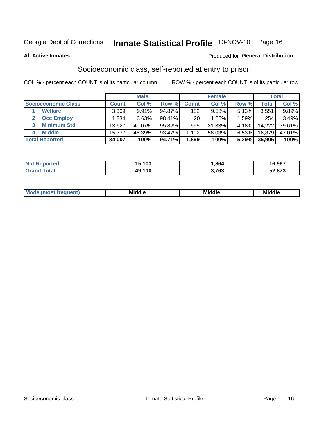# Inmate Statistical Profile 10-NOV-10 Page 16

**All Active Inmates** 

### **Produced for General Distribution**

### Socioeconomic class, self-reported at entry to prison

COL % - percent each COUNT is of its particular column

|                         |         | <b>Male</b> |        |                                     | <b>Female</b> |       |        | <b>Total</b> |
|-------------------------|---------|-------------|--------|-------------------------------------|---------------|-------|--------|--------------|
| Socioeconomic Class     | Count l | Col %       | Row %  | <b>Count</b>                        | Col %         | Row % | Total, | Col %        |
| <b>Welfare</b>          | 3,369   | 9.91%       | 94.87% | 182                                 | 9.58%         | 5.13% | 3,551  | 9.89%        |
| <b>Occ Employ</b>       | 1,234   | 3.63%       | 98.41% | 20 <sup>1</sup>                     | 1.05%         | 1.59% | 1,254  | 3.49%        |
| <b>Minimum Std</b><br>3 | 13,627  | 40.07%      | 95.82% | 595                                 | 31.33%        | 4.18% | 14,222 | 39.61%       |
| <b>Middle</b><br>4      | 15,777  | 46.39%      | 93.47% | $,102$ <sup><math>\mid</math></sup> | 58.03%        | 6.53% | 16.879 | 47.01%       |
| <b>Total Reported</b>   | 34,007  | 100%        | 94.71% | 1,899                               | 100%          | 5.29% | 35,906 | 100%         |

| <b>Not Reported</b>   | 15,103 | .864  | 16,967 |
|-----------------------|--------|-------|--------|
| <b>Total</b><br>Grand | 49,110 | 3,763 | 52,873 |

| ____<br>____ |
|--------------|
|--------------|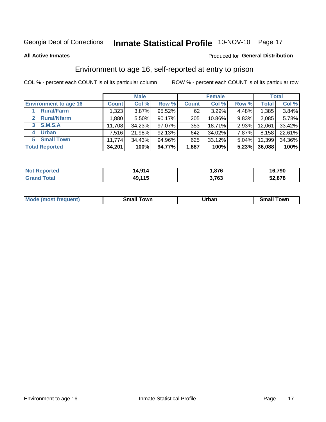# Inmate Statistical Profile 10-NOV-10 Page 17

#### **All Active Inmates**

### Produced for General Distribution

### Environment to age 16, self-reported at entry to prison

COL % - percent each COUNT is of its particular column

|                                   | <b>Male</b>  |        | <b>Female</b> |              |        | <b>Total</b> |        |        |
|-----------------------------------|--------------|--------|---------------|--------------|--------|--------------|--------|--------|
| <b>Environment to age 16</b>      | <b>Count</b> | Col %  | Row %         | <b>Count</b> | Col %  | Row %        | Total  | Col %  |
| <b>Rural/Farm</b>                 | 1,323        | 3.87%  | 95.52%        | 62           | 3.29%  | 4.48%        | 1,385  | 3.84%  |
| <b>Rural/Nfarm</b><br>$2^{\circ}$ | 1,880        | 5.50%  | 90.17%        | 205          | 10.86% | $9.83\%$     | 2,085  | 5.78%  |
| <b>S.M.S.A</b><br>$\mathbf{3}$    | 11,708       | 34.23% | 97.07%        | 353          | 18.71% | $2.93\%$     | 12,061 | 33.42% |
| <b>Urban</b><br>4                 | 7,516        | 21.98% | 92.13%        | 642          | 34.02% | 7.87%        | 8,158  | 22.61% |
| <b>Small Town</b><br>5.           | 11,774       | 34.43% | 94.96%        | 625          | 33.12% | 5.04%        | 12,399 | 34.36% |
| <b>Total Reported</b>             | 34,201       | 100%   | 94.77%        | 1,887        | 100%   | 5.23%        | 36,088 | 100%   |

| <b>Not</b>       | 4,914  | .876، | 16,790 |
|------------------|--------|-------|--------|
| Reported         | 14     |       | 1 C    |
| $\tau$ otal $\;$ | 49,115 | 3,763 | 52,878 |

| <b>Mo</b><br>. | own<br>---- | <u></u><br>_____ | owr<br>.<br>ян<br>_____ |
|----------------|-------------|------------------|-------------------------|
|                |             |                  |                         |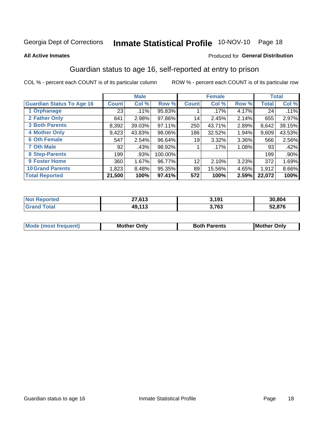# Inmate Statistical Profile 10-NOV-10 Page 18

#### **All Active Inmates**

### Produced for General Distribution

### Guardian status to age 16, self-reported at entry to prison

COL % - percent each COUNT is of its particular column

|                                  |              | <b>Male</b> |         |              | <b>Female</b> |       |        | <b>Total</b> |
|----------------------------------|--------------|-------------|---------|--------------|---------------|-------|--------|--------------|
| <b>Guardian Status To Age 16</b> | <b>Count</b> | Col %       | Row %   | <b>Count</b> | Col %         | Row % | Total  | Col %        |
| 1 Orphanage                      | 23           | .11%        | 95.83%  |              | $.17\%$       | 4.17% | 24     | .11%         |
| 2 Father Only                    | 641          | 2.98%       | 97.86%  | 14           | 2.45%         | 2.14% | 655    | 2.97%        |
| <b>3 Both Parents</b>            | 8,392        | 39.03%      | 97.11%  | 250          | 43.71%        | 2.89% | 8,642  | 39.15%       |
| <b>4 Mother Only</b>             | 9,423        | 43.83%      | 98.06%  | 186          | 32.52%        | 1.94% | 9,609  | 43.53%       |
| <b>6 Oth Female</b>              | 547          | 2.54%       | 96.64%  | 19           | 3.32%         | 3.36% | 566    | 2.56%        |
| <b>7 Oth Male</b>                | 92           | .43%        | 98.92%  |              | $.17\%$       | 1.08% | 93     | .42%         |
| 8 Step-Parents                   | 199          | .93%        | 100.00% |              |               |       | 199    | $.90\%$      |
| 9 Foster Home                    | 360          | 1.67%       | 96.77%  | 12           | 2.10%         | 3.23% | 372    | 1.69%        |
| <b>10 Grand Parents</b>          | 1,823        | 8.48%       | 95.35%  | 89           | 15.56%        | 4.65% | 1,912  | 8.66%        |
| <b>Total Reported</b>            | 21,500       | 100%        | 97.41%  | 572          | 100%          | 2.59% | 22,072 | 100%         |

| meo<br>NO) | 27,613 | 3,191 | 30.804 |
|------------|--------|-------|--------|
| .Gr        | 49,11? | 3,763 | 52,876 |

| Mode | วทIv<br>Mot | <b>Both Parents</b><br>Parents | lM.<br>Only<br>. |
|------|-------------|--------------------------------|------------------|
|      |             |                                |                  |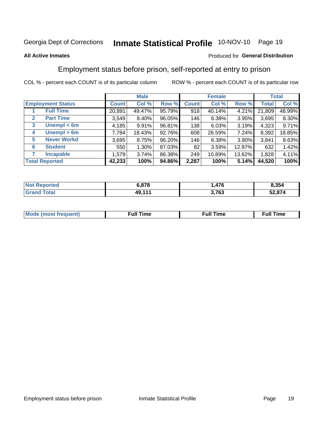# Inmate Statistical Profile 10-NOV-10 Page 19

### **All Active Inmates**

### Produced for General Distribution

### Employment status before prison, self-reported at entry to prison

COL % - percent each COUNT is of its particular column

|                                  |         | <b>Male</b> |        |              | <b>Female</b> |        |        | <b>Total</b> |
|----------------------------------|---------|-------------|--------|--------------|---------------|--------|--------|--------------|
| <b>Employment Status</b>         | Count l | Col %       | Row %  | <b>Count</b> | Col %         | Row %  | Total  | Col %        |
| <b>Full Time</b>                 | 20,891  | 49.47%      | 95.79% | 918          | 40.14%        | 4.21%  | 21,809 | 48.99%       |
| <b>Part Time</b><br>$\mathbf{2}$ | 3,549   | $8.40\%$    | 96.05% | 146          | 6.38%         | 3.95%  | 3,695  | 8.30%        |
| Unempl $<$ 6m<br>3               | 4,185   | 9.91%       | 96.81% | 138          | 6.03%         | 3.19%  | 4,323  | 9.71%        |
| Unempl > 6m<br>4                 | 7,784   | 18.43%      | 92.76% | 608          | 26.59%        | 7.24%  | 8,392  | 18.85%       |
| <b>Never Workd</b><br>5          | 3,695   | 8.75%       | 96.20% | 146          | 6.38%         | 3.80%  | 3,841  | 8.63%        |
| <b>Student</b><br>6              | 550     | $1.30\%$    | 87.03% | 82           | 3.59%         | 12.97% | 632    | 1.42%        |
| <b>Incapable</b>                 | 1,579   | 3.74%       | 86.38% | 249          | 10.89%        | 13.62% | 1,828  | 4.11%        |
| <b>Total Reported</b>            | 42,233  | 100%        | 94.86% | 2,287        | 100%          | 5.14%  | 44,520 | 100%         |

| Reported<br><b>NOT</b>      | : 070<br>0.O / O | 17C   | 8,354  |
|-----------------------------|------------------|-------|--------|
| <b>Total</b><br><b>Gran</b> | <b>AQ 111</b>    | 3,763 | 52,874 |

| Mc | ----<br>me<br>ш | nc<br>. |
|----|-----------------|---------|
|    |                 |         |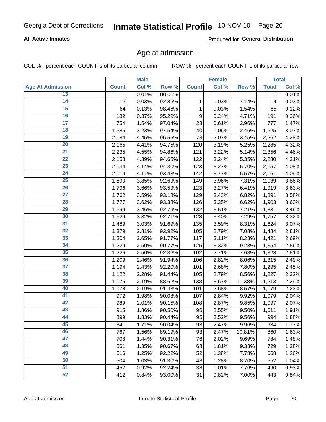### **All Active Inmates**

Produced for General Distribution

### Age at admission

COL % - percent each COUNT is of its particular column

|                         |              | <b>Male</b> |         |              | <b>Female</b> |        |              | <b>Total</b> |
|-------------------------|--------------|-------------|---------|--------------|---------------|--------|--------------|--------------|
| <b>Age At Admission</b> | <b>Count</b> | Col %       | Row %   | <b>Count</b> | Col %         | Row %  | <b>Total</b> | Col %        |
| 13                      | 1            | 0.01%       | 100.00% |              |               |        | 1            | 0.01%        |
| $\overline{14}$         | 13           | 0.03%       | 92.86%  | 1            | 0.03%         | 7.14%  | 14           | 0.03%        |
| 15                      | 64           | 0.13%       | 98.46%  | 1            | 0.03%         | 1.54%  | 65           | 0.12%        |
| 16                      | 182          | 0.37%       | 95.29%  | 9            | 0.24%         | 4.71%  | 191          | 0.36%        |
| $\overline{17}$         | 754          | 1.54%       | 97.04%  | 23           | 0.61%         | 2.96%  | 777          | 1.47%        |
| 18                      | 1,585        | 3.23%       | 97.54%  | 40           | 1.06%         | 2.46%  | 1,625        | 3.07%        |
| 19                      | 2,184        | 4.45%       | 96.55%  | 78           | 2.07%         | 3.45%  | 2,262        | 4.28%        |
| $\overline{20}$         | 2,165        | 4.41%       | 94.75%  | 120          | 3.19%         | 5.25%  | 2,285        | 4.32%        |
| $\overline{21}$         | 2,235        | 4.55%       | 94.86%  | 121          | 3.22%         | 5.14%  | 2,356        | 4.46%        |
| $\overline{22}$         | 2,158        | 4.39%       | 94.65%  | 122          | 3.24%         | 5.35%  | 2,280        | 4.31%        |
| 23                      | 2,034        | 4.14%       | 94.30%  | 123          | 3.27%         | 5.70%  | 2,157        | 4.08%        |
| $\overline{24}$         | 2,019        | 4.11%       | 93.43%  | 142          | 3.77%         | 6.57%  | 2,161        | 4.09%        |
| $\overline{25}$         | 1,890        | 3.85%       | 92.69%  | 149          | 3.96%         | 7.31%  | 2,039        | 3.86%        |
| 26                      | 1,796        | 3.66%       | 93.59%  | 123          | 3.27%         | 6.41%  | 1,919        | 3.63%        |
| 27                      | 1,762        | 3.59%       | 93.18%  | 129          | 3.43%         | 6.82%  | 1,891        | 3.58%        |
| 28                      | 1,777        | 3.62%       | 93.38%  | 126          | 3.35%         | 6.62%  | 1,903        | 3.60%        |
| 29                      | 1,699        | 3.46%       | 92.79%  | 132          | 3.51%         | 7.21%  | 1,831        | 3.46%        |
| 30                      | 1,629        | 3.32%       | 92.71%  | 128          | 3.40%         | 7.29%  | 1,757        | 3.32%        |
| 31                      | 1,489        | 3.03%       | 91.69%  | 135          | 3.59%         | 8.31%  | 1,624        | 3.07%        |
| $\overline{32}$         | 1,379        | 2.81%       | 92.92%  | 105          | 2.79%         | 7.08%  | 1,484        | 2.81%        |
| 33                      | 1,304        | 2.65%       | 91.77%  | 117          | 3.11%         | 8.23%  | 1,421        | 2.69%        |
| 34                      | 1,229        | 2.50%       | 90.77%  | 125          | 3.32%         | 9.23%  | 1,354        | 2.56%        |
| 35                      | 1,226        | 2.50%       | 92.32%  | 102          | 2.71%         | 7.68%  | 1,328        | 2.51%        |
| 36                      | 1,209        | 2.46%       | 91.94%  | 106          | 2.82%         | 8.06%  | 1,315        | 2.49%        |
| $\overline{37}$         | 1,194        | 2.43%       | 92.20%  | 101          | 2.68%         | 7.80%  | 1,295        | 2.45%        |
| 38                      | 1,122        | 2.28%       | 91.44%  | 105          | 2.79%         | 8.56%  | 1,227        | 2.32%        |
| 39                      | 1,075        | 2.19%       | 88.62%  | 138          | 3.67%         | 11.38% | 1,213        | 2.29%        |
| 40                      | 1,078        | 2.19%       | 91.43%  | 101          | 2.68%         | 8.57%  | 1,179        | 2.23%        |
| 41                      | 972          | 1.98%       | 90.08%  | 107          | 2.84%         | 9.92%  | 1,079        | 2.04%        |
| 42                      | 989          | 2.01%       | 90.15%  | 108          | 2.87%         | 9.85%  | 1,097        | 2.07%        |
| 43                      | 915          | 1.86%       | 90.50%  | 96           | 2.55%         | 9.50%  | 1,011        | 1.91%        |
| 44                      | 899          | 1.83%       | 90.44%  | 95           | 2.52%         | 9.56%  | 994          | 1.88%        |
| 45                      | 841          | 1.71%       | 90.04%  | 93           | 2.47%         | 9.96%  | 934          | 1.77%        |
| 46                      | 767          | 1.56%       | 89.19%  | 93           | 2.47%         | 10.81% | 860          | 1.63%        |
| 47                      | 708          | 1.44%       | 90.31%  | 76           | 2.02%         | 9.69%  | 784          | 1.48%        |
| 48                      | 661          | 1.35%       | 90.67%  | 68           | 1.81%         | 9.33%  | 729          | 1.38%        |
| 49                      | 616          | 1.25%       | 92.22%  | 52           | 1.38%         | 7.78%  | 668          | 1.26%        |
| 50                      | 504          | 1.03%       | 91.30%  | 48           | 1.28%         | 8.70%  | 552          | 1.04%        |
| 51                      | 452          | 0.92%       | 92.24%  | 38           | 1.01%         | 7.76%  | 490          | 0.93%        |
| 52                      | 412          | 0.84%       | 93.00%  | 31           | 0.82%         | 7.00%  | 443          | 0.84%        |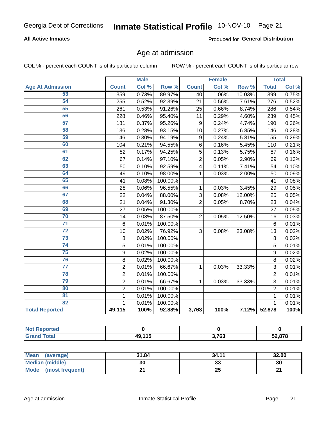### **All Active Inmates**

Produced for General Distribution

### Age at admission

COL % - percent each COUNT is of its particular column

|                         |                | <b>Male</b> |         |                         | <b>Female</b> |                  |                | <b>Total</b> |
|-------------------------|----------------|-------------|---------|-------------------------|---------------|------------------|----------------|--------------|
| <b>Age At Admission</b> | <b>Count</b>   | Col %       | Row %   | <b>Count</b>            | Col %         | Row <sup>%</sup> | <b>Total</b>   | Col %        |
| 53                      | 359            | 0.73%       | 89.97%  | $\overline{40}$         | 1.06%         | 10.03%           | 399            | 0.75%        |
| 54                      | 255            | 0.52%       | 92.39%  | 21                      | 0.56%         | 7.61%            | 276            | 0.52%        |
| 55                      | 261            | 0.53%       | 91.26%  | 25                      | 0.66%         | 8.74%            | 286            | 0.54%        |
| 56                      | 228            | 0.46%       | 95.40%  | 11                      | 0.29%         | 4.60%            | 239            | 0.45%        |
| 57                      | 181            | 0.37%       | 95.26%  | 9                       | 0.24%         | 4.74%            | 190            | 0.36%        |
| 58                      | 136            | 0.28%       | 93.15%  | 10                      | 0.27%         | 6.85%            | 146            | 0.28%        |
| 59                      | 146            | 0.30%       | 94.19%  | 9                       | 0.24%         | 5.81%            | 155            | 0.29%        |
| 60                      | 104            | 0.21%       | 94.55%  | 6                       | 0.16%         | 5.45%            | 110            | 0.21%        |
| 61                      | 82             | 0.17%       | 94.25%  | 5                       | 0.13%         | 5.75%            | 87             | 0.16%        |
| 62                      | 67             | 0.14%       | 97.10%  | $\overline{2}$          | 0.05%         | 2.90%            | 69             | 0.13%        |
| 63                      | 50             | 0.10%       | 92.59%  | $\overline{\mathbf{4}}$ | 0.11%         | 7.41%            | 54             | 0.10%        |
| 64                      | 49             | 0.10%       | 98.00%  | $\mathbf{1}$            | 0.03%         | 2.00%            | 50             | 0.09%        |
| 65                      | 41             | 0.08%       | 100.00% |                         |               |                  | 41             | 0.08%        |
| 66                      | 28             | 0.06%       | 96.55%  | $\mathbf{1}$            | 0.03%         | 3.45%            | 29             | 0.05%        |
| 67                      | 22             | 0.04%       | 88.00%  | 3                       | 0.08%         | 12.00%           | 25             | 0.05%        |
| 68                      | 21             | 0.04%       | 91.30%  | $\overline{2}$          | 0.05%         | 8.70%            | 23             | 0.04%        |
| 69                      | 27             | 0.05%       | 100.00% |                         |               |                  | 27             | 0.05%        |
| 70                      | 14             | 0.03%       | 87.50%  | $\overline{2}$          | 0.05%         | 12.50%           | 16             | 0.03%        |
| $\overline{71}$         | 6              | 0.01%       | 100.00% |                         |               |                  | 6              | 0.01%        |
| $\overline{72}$         | 10             | 0.02%       | 76.92%  | 3                       | 0.08%         | 23.08%           | 13             | 0.02%        |
| $\overline{73}$         | $\bf 8$        | 0.02%       | 100.00% |                         |               |                  | 8              | 0.02%        |
| 74                      | 5              | 0.01%       | 100.00% |                         |               |                  | 5              | 0.01%        |
| 75                      | 9              | 0.02%       | 100.00% |                         |               |                  | 9              | 0.02%        |
| 76                      | 8              | 0.02%       | 100.00% |                         |               |                  | 8              | 0.02%        |
| $\overline{77}$         | $\overline{c}$ | 0.01%       | 66.67%  | 1                       | 0.03%         | 33.33%           | $\overline{3}$ | 0.01%        |
| 78                      | $\overline{c}$ | 0.01%       | 100.00% |                         |               |                  | $\overline{2}$ | 0.01%        |
| 79                      | $\overline{2}$ | 0.01%       | 66.67%  | $\mathbf{1}$            | 0.03%         | 33.33%           | 3              | 0.01%        |
| 80                      | $\overline{2}$ | 0.01%       | 100.00% |                         |               |                  | $\overline{2}$ | 0.01%        |
| 81                      | $\mathbf{1}$   | 0.01%       | 100.00% |                         |               |                  | 1              | 0.01%        |
| 82                      | 1              | 0.01%       | 100.00% |                         |               |                  | 1              | 0.01%        |
| <b>Total Reported</b>   | 49,115         | 100%        | 92.88%  | 3,763                   | 100%          | 7.12%            | 52,878         | 100%         |

| Reported<br><b>NOT</b> |        |       |        |
|------------------------|--------|-------|--------|
| <b>Total</b>           | 40 11F | 3,763 | 52,878 |

| Mean<br>(average)       | 31.84 | 34.11 | 32.00 |
|-------------------------|-------|-------|-------|
| <b>Median (middle)</b>  | 30    | აა    | 30    |
| Mode<br>(most frequent) |       | 25    | n,    |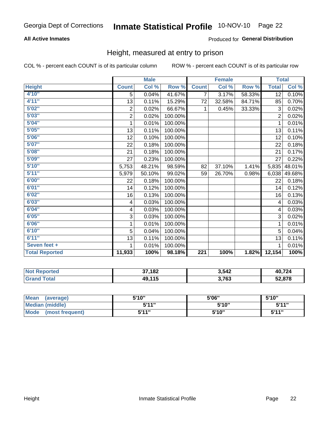### **All Active Inmates**

### Produced for General Distribution

### Height, measured at entry to prison

COL % - percent each COUNT is of its particular column

|                       |                  | <b>Male</b> |         |                  | <b>Female</b> |        | <b>Total</b>    |        |
|-----------------------|------------------|-------------|---------|------------------|---------------|--------|-----------------|--------|
| <b>Height</b>         | <b>Count</b>     | Col %       | Row %   | <b>Count</b>     | Col %         | Row %  | <b>Total</b>    | Col %  |
| 4'10"                 | 5                | 0.04%       | 41.67%  | 7                | 3.17%         | 58.33% | $\overline{12}$ | 0.10%  |
| 4'11''                | 13               | 0.11%       | 15.29%  | 72               | 32.58%        | 84.71% | 85              | 0.70%  |
| 5'02''                | $\boldsymbol{2}$ | 0.02%       | 66.67%  | 1                | 0.45%         | 33.33% | 3               | 0.02%  |
| 5'03''                | $\overline{2}$   | 0.02%       | 100.00% |                  |               |        | $\overline{2}$  | 0.02%  |
| 5'04''                | 1                | 0.01%       | 100.00% |                  |               |        | 1               | 0.01%  |
| 5'05''                | 13               | 0.11%       | 100.00% |                  |               |        | 13              | 0.11%  |
| 5'06''                | 12               | 0.10%       | 100.00% |                  |               |        | 12              | 0.10%  |
| 5'07''                | 22               | 0.18%       | 100.00% |                  |               |        | 22              | 0.18%  |
| 5'08''                | 21               | 0.18%       | 100.00% |                  |               |        | 21              | 0.17%  |
| 5'09''                | 27               | 0.23%       | 100.00% |                  |               |        | 27              | 0.22%  |
| 5'10''                | 5,753            | 48.21%      | 98.59%  | 82               | 37.10%        | 1.41%  | 5,835           | 48.01% |
| 5'11''                | 5,979            | 50.10%      | 99.02%  | 59               | 26.70%        | 0.98%  | 6,038           | 49.68% |
| 6'00''                | 22               | 0.18%       | 100.00% |                  |               |        | 22              | 0.18%  |
| 6'01''                | 14               | 0.12%       | 100.00% |                  |               |        | 14              | 0.12%  |
| 6'02''                | 16               | 0.13%       | 100.00% |                  |               |        | 16              | 0.13%  |
| 6'03''                | 4                | 0.03%       | 100.00% |                  |               |        | 4               | 0.03%  |
| 6'04''                | 4                | 0.03%       | 100.00% |                  |               |        | 4               | 0.03%  |
| 6'05''                | 3                | 0.03%       | 100.00% |                  |               |        | 3               | 0.02%  |
| 6'06''                | 1                | 0.01%       | 100.00% |                  |               |        | 1               | 0.01%  |
| 6'10''                | 5                | 0.04%       | 100.00% |                  |               |        | 5               | 0.04%  |
| 6'11''                | 13               | 0.11%       | 100.00% |                  |               |        | 13              | 0.11%  |
| Seven feet +          | 1                | 0.01%       | 100.00% |                  |               |        |                 | 0.01%  |
| <b>Total Reported</b> | 11,933           | 100%        | 98.18%  | $\overline{221}$ | 100%          | 1.82%  | 12,154          | 100%   |

| <b>Reported</b><br>' N∩t | 37,182 | 3,542 | 40.724 |
|--------------------------|--------|-------|--------|
| `otal<br>Gr2             | 49,115 | 3,763 | 52,878 |

| <b>Mean</b><br>(average)       | 5'10" | 5'06" | 5'10"        |
|--------------------------------|-------|-------|--------------|
| <b>Median (middle)</b>         | 544"  | 5'10" | 5'11"        |
| <b>Mode</b><br>(most frequent) | 544"  | 5'10" | <b>5'44"</b> |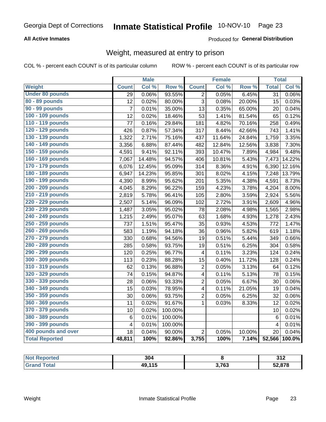### **All Active Inmates**

### Produced for General Distribution

### Weight, measured at entry to prison

COL % - percent each COUNT is of its particular column

|                        |                         | <b>Male</b> |         |                         | <b>Female</b> |        | <b>Total</b>    |        |
|------------------------|-------------------------|-------------|---------|-------------------------|---------------|--------|-----------------|--------|
| Weight                 | <b>Count</b>            | Col %       | Row %   | <b>Count</b>            | Col %         | Row %  | <b>Total</b>    | Col %  |
| <b>Under 80 pounds</b> | $\overline{29}$         | 0.06%       | 93.55%  | $\overline{2}$          | 0.05%         | 6.45%  | $\overline{31}$ | 0.06%  |
| 80 - 89 pounds         | 12                      | 0.02%       | 80.00%  | 3                       | 0.08%         | 20.00% | 15              | 0.03%  |
| 90 - 99 pounds         | $\overline{7}$          | 0.01%       | 35.00%  | 13                      | 0.35%         | 65.00% | 20              | 0.04%  |
| 100 - 109 pounds       | 12                      | 0.02%       | 18.46%  | 53                      | 1.41%         | 81.54% | 65              | 0.12%  |
| 110 - 119 pounds       | 77                      | 0.16%       | 29.84%  | 181                     | 4.82%         | 70.16% | 258             | 0.49%  |
| 120 - 129 pounds       | 426                     | 0.87%       | 57.34%  | 317                     | 8.44%         | 42.66% | 743             | 1.41%  |
| 130 - 139 pounds       | 1,322                   | 2.71%       | 75.16%  | 437                     | 11.64%        | 24.84% | 1,759           | 3.35%  |
| 140 - 149 pounds       | 3,356                   | 6.88%       | 87.44%  | 482                     | 12.84%        | 12.56% | 3,838           | 7.30%  |
| 150 - 159 pounds       | 4,591                   | 9.41%       | 92.11%  | 393                     | 10.47%        | 7.89%  | 4,984           | 9.48%  |
| 160 - 169 pounds       | 7,067                   | 14.48%      | 94.57%  | 406                     | 10.81%        | 5.43%  | 7,473           | 14.22% |
| 170 - 179 pounds       | 6,076                   | 12.45%      | 95.09%  | 314                     | 8.36%         | 4.91%  | 6,390           | 12.16% |
| 180 - 189 pounds       | 6,947                   | 14.23%      | 95.85%  | 301                     | 8.02%         | 4.15%  | 7,248           | 13.79% |
| 190 - 199 pounds       | 4,390                   | 8.99%       | 95.62%  | 201                     | 5.35%         | 4.38%  | 4,591           | 8.73%  |
| 200 - 209 pounds       | 4,045                   | 8.29%       | 96.22%  | 159                     | 4.23%         | 3.78%  | 4,204           | 8.00%  |
| 210 - 219 pounds       | 2,819                   | 5.78%       | 96.41%  | 105                     | 2.80%         | 3.59%  | 2,924           | 5.56%  |
| 220 - 229 pounds       | 2,507                   | 5.14%       | 96.09%  | 102                     | 2.72%         | 3.91%  | 2,609           | 4.96%  |
| 230 - 239 pounds       | 1,487                   | 3.05%       | 95.02%  | 78                      | 2.08%         | 4.98%  | 1,565           | 2.98%  |
| 240 - 249 pounds       | 1,215                   | 2.49%       | 95.07%  | 63                      | 1.68%         | 4.93%  | 1,278           | 2.43%  |
| 250 - 259 pounds       | 737                     | 1.51%       | 95.47%  | 35                      | 0.93%         | 4.53%  | 772             | 1.47%  |
| 260 - 269 pounds       | 583                     | 1.19%       | 94.18%  | 36                      | 0.96%         | 5.82%  | 619             | 1.18%  |
| 270 - 279 pounds       | 330                     | 0.68%       | 94.56%  | 19                      | 0.51%         | 5.44%  | 349             | 0.66%  |
| 280 - 289 pounds       | 285                     | 0.58%       | 93.75%  | 19                      | 0.51%         | 6.25%  | 304             | 0.58%  |
| 290 - 299 pounds       | 120                     | 0.25%       | 96.77%  | 4                       | 0.11%         | 3.23%  | 124             | 0.24%  |
| 300 - 309 pounds       | 113                     | 0.23%       | 88.28%  | 15                      | 0.40%         | 11.72% | 128             | 0.24%  |
| 310 - 319 pounds       | 62                      | 0.13%       | 96.88%  | $\overline{c}$          | 0.05%         | 3.13%  | 64              | 0.12%  |
| 320 - 329 pounds       | 74                      | 0.15%       | 94.87%  | $\overline{\mathbf{4}}$ | 0.11%         | 5.13%  | 78              | 0.15%  |
| 330 - 339 pounds       | 28                      | 0.06%       | 93.33%  | $\overline{2}$          | 0.05%         | 6.67%  | 30              | 0.06%  |
| 340 - 349 pounds       | 15                      | 0.03%       | 78.95%  | $\overline{\mathbf{4}}$ | 0.11%         | 21.05% | 19              | 0.04%  |
| 350 - 359 pounds       | 30                      | 0.06%       | 93.75%  | $\overline{2}$          | 0.05%         | 6.25%  | 32              | 0.06%  |
| 360 - 369 pounds       | 11                      | 0.02%       | 91.67%  | $\mathbf 1$             | 0.03%         | 8.33%  | 12              | 0.02%  |
| 370 - 379 pounds       | 10                      | 0.02%       | 100.00% |                         |               |        | 10              | 0.02%  |
| 380 - 389 pounds       | 6                       | 0.01%       | 100.00% |                         |               |        | $6\phantom{1}6$ | 0.01%  |
| 390 - 399 pounds       | $\overline{\mathbf{4}}$ | 0.01%       | 100.00% |                         |               |        | $\overline{4}$  | 0.01%  |
| 400 pounds and over    | 18                      | 0.04%       | 90.00%  | $\overline{2}$          | 0.05%         | 10.00% | 20              | 0.04%  |
| <b>Total Reported</b>  | 48,811                  | 100%        | 92.86%  | 3,755                   | 100%          | 7.14%  | 52,566          | 100.0% |

| <b>Not Reported</b><br>$\cdots$ | 304    |                 | 242<br>J I L |
|---------------------------------|--------|-----------------|--------------|
| Total<br>C-r-                   | 49,115 | פמד פ<br>ט ו, נ | 52,878       |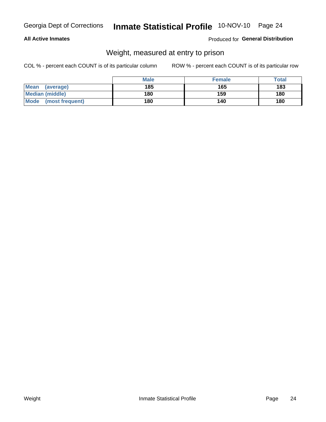### **All Active Inmates**

### Produced for General Distribution

### Weight, measured at entry to prison

COL % - percent each COUNT is of its particular column

|                          | <b>Male</b> | <b>Female</b> | Total |
|--------------------------|-------------|---------------|-------|
| <b>Mean</b><br>(average) | 185         | 165           | 183   |
| <b>Median (middle)</b>   | 180         | 159           | 180   |
| Mode<br>(most frequent)  | 180         | 140           | 180   |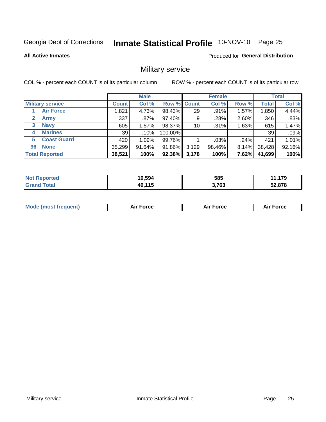# Inmate Statistical Profile 10-NOV-10 Page 25

**All Active Inmates** 

Produced for General Distribution

### Military service

COL % - percent each COUNT is of its particular column

|                             |              | <b>Male</b> |             |       | <b>Female</b> |       |              | <b>Total</b> |
|-----------------------------|--------------|-------------|-------------|-------|---------------|-------|--------------|--------------|
| <b>Military service</b>     | <b>Count</b> | Col %       | Row % Count |       | Col %         | Row % | <b>Total</b> | Col %        |
| <b>Air Force</b>            | .821         | 4.73%       | 98.43%      | 29    | .91%          | 1.57% | 1,850        | 4.44%        |
| $\mathbf{2}$<br><b>Army</b> | 337          | $.87\%$     | 97.40%      | 9     | .28%          | 2.60% | 346          | .83%         |
| <b>Navy</b><br>3            | 605          | 1.57%       | 98.37%      | 10    | .31%          | 1.63% | 615          | 1.47%        |
| <b>Marines</b><br>4         | 39           | $.10\%$     | 100.00%     |       |               |       | 39           | .09%         |
| <b>Coast Guard</b><br>5.    | 420          | 1.09%       | 99.76%      |       | .03%          | .24%  | 421          | 1.01%        |
| <b>None</b><br>96           | 35,299       | 91.64%      | 91.86%      | 3,129 | 98.46%        | 8.14% | 38,428       | 92.16%       |
| <b>Total Reported</b>       | 38,521       | 100%        | 92.38%      | 3,178 | 100%          | 7.62% | 41,699       | 100%         |

| <b>Not</b>        | 10,594 | 585   | ,179   |
|-------------------|--------|-------|--------|
| <sup>-</sup> otal | 49,115 | 3,763 | 52,878 |

| <b>Mode (most frequent)</b> | <b>Air Force</b> | <b>Force</b> | <b>Force</b><br>Aır |
|-----------------------------|------------------|--------------|---------------------|
|                             |                  |              |                     |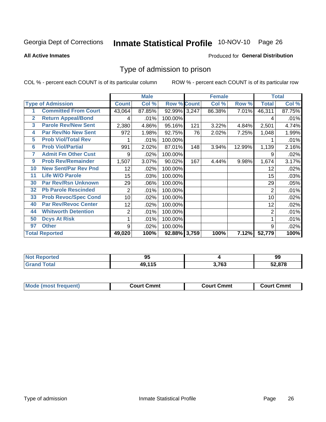# Inmate Statistical Profile 10-NOV-10 Page 26

#### **All Active Inmates**

### Produced for General Distribution

### Type of admission to prison

COL % - percent each COUNT is of its particular column

|                |                             |                  | <b>Male</b> |                    |     | <b>Female</b> |        |                | <b>Total</b> |
|----------------|-----------------------------|------------------|-------------|--------------------|-----|---------------|--------|----------------|--------------|
|                | <b>Type of Admission</b>    | <b>Count</b>     | Col %       | <b>Row % Count</b> |     | Col %         | Row %  | <b>Total</b>   | Col %        |
|                | <b>Committed From Court</b> | 43,064           | 87.85%      | 92.99% 3,247       |     | 86.38%        | 7.01%  | 46,311         | 87.75%       |
| $\overline{2}$ | <b>Return Appeal/Bond</b>   | 4                | .01%        | 100.00%            |     |               |        | 4              | .01%         |
| 3              | <b>Parole Rev/New Sent</b>  | 2,380            | 4.86%       | 95.16%             | 121 | 3.22%         | 4.84%  | 2,501          | 4.74%        |
| 4              | <b>Par Rev/No New Sent</b>  | 972              | 1.98%       | 92.75%             | 76  | 2.02%         | 7.25%  | 1,048          | 1.99%        |
| 5              | <b>Prob Viol/Total Rev</b>  |                  | .01%        | 100.00%            |     |               |        |                | .01%         |
| $6\phantom{a}$ | <b>Prob Viol/Partial</b>    | 991              | 2.02%       | 87.01%             | 148 | 3.94%         | 12.99% | 1,139          | 2.16%        |
| 7              | <b>Admit Fm Other Cust</b>  | 9                | .02%        | 100.00%            |     |               |        | 9              | .02%         |
| 9              | <b>Prob Rev/Remainder</b>   | 1,507            | 3.07%       | 90.02%             | 167 | 4.44%         | 9.98%  | 1,674          | 3.17%        |
| 10             | <b>New Sent/Par Rev Pnd</b> | 12               | .02%        | 100.00%            |     |               |        | 12             | .02%         |
| 11             | <b>Life W/O Parole</b>      | 15 <sub>15</sub> | .03%        | 100.00%            |     |               |        | 15             | .03%         |
| 30             | <b>Par Rev/Rsn Unknown</b>  | 29               | .06%        | 100.00%            |     |               |        | 29             | .05%         |
| 32             | <b>Pb Parole Rescinded</b>  | $\overline{c}$   | .01%        | 100.00%            |     |               |        | 2              | .01%         |
| 33             | <b>Prob Revoc/Spec Cond</b> | 10               | .02%        | 100.00%            |     |               |        | 10             | .02%         |
| 40             | <b>Par Rev/Revoc Center</b> | 12 <sub>2</sub>  | .02%        | 100.00%            |     |               |        | 12             | .02%         |
| 44             | <b>Whitworth Detention</b>  | $\overline{2}$   | .01%        | 100.00%            |     |               |        | $\overline{2}$ | .01%         |
| 50             | <b>Dcys At Risk</b>         | 1                | .01%        | 100.00%            |     |               |        |                | .01%         |
| 97             | <b>Other</b>                | 9                | .02%        | 100.00%            |     |               |        | 9              | .02%         |
|                | <b>Total Reported</b>       | 49,020           | 100%        | 92.88% 3,759       |     | 100%          | 7.12%  | 52,779         | 100%         |

| <b>Not</b><br>Reported | ດເ<br>JJ. |       | 99     |
|------------------------|-----------|-------|--------|
| Total<br>'Grano        | 49,115    | 3,763 | 52,878 |

| <b>Mode (most frequent)</b> | Court Cmmt | <b>Court Cmmt</b> | Court Cmmt |
|-----------------------------|------------|-------------------|------------|
|                             |            |                   |            |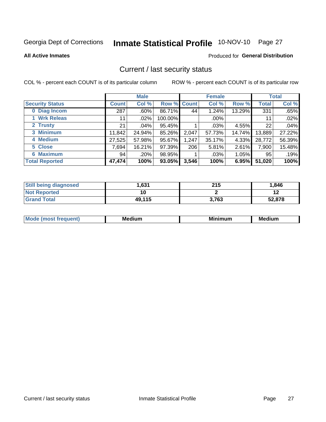# Inmate Statistical Profile 10-NOV-10 Page 27

**All Active Inmates** 

#### Produced for General Distribution

### Current / last security status

COL % - percent each COUNT is of its particular column

|                        |                 | <b>Male</b> |             |       | <b>Female</b> |          |                 | <b>Total</b> |
|------------------------|-----------------|-------------|-------------|-------|---------------|----------|-----------------|--------------|
| <b>Security Status</b> | <b>Count</b>    | Col %       | Row % Count |       | Col %         | Row %    | <b>Total</b>    | Col %        |
| 0 Diag Incom           | 287             | $.60\%$     | 86.71%      | 44    | 1.24%         | 13.29%   | 331             | .65%         |
| 1 Wrk Releas           | 11 <sub>1</sub> | .02%        | 100.00%     |       | $.00\%$       |          | 11              | .02%         |
| 2 Trusty               | 21              | $.04\%$     | 95.45%      |       | $.03\%$       | 4.55%    | 22              | .04%         |
| 3 Minimum              | 11,842          | 24.94%      | 85.26%      | 2,047 | 57.73%        | 14.74%   | 13,889          | 27.22%       |
| 4 Medium               | 27,525          | 57.98%      | 95.67%      | 1,247 | 35.17%        | 4.33%    | 28,772          | 56.39%       |
| 5 Close                | 7,694           | 16.21%      | 97.39%      | 206   | 5.81%         | 2.61%    | 7,900           | 15.48%       |
| <b>Maximum</b><br>6.   | 94              | .20%        | 98.95%      | 4     | .03%          | $1.05\%$ | 95 <sub>1</sub> | .19%         |
| <b>Total Reported</b>  | 47,474          | 100%        | 93.05%      | 3,546 | 100%          | 6.95%    | 51,020          | 100%         |

| <b>Still being diagnosed</b> | 631. ا | 215   | 1,846  |
|------------------------------|--------|-------|--------|
| <b>Not Reported</b>          |        |       | . .    |
| <b>Grand Total</b>           | 49,115 | 3,763 | 52,878 |

| <b>Mod</b><br>eauent) | Mec<br>. .<br>edium | <b>BAL</b><br>num | Me<br>dium |
|-----------------------|---------------------|-------------------|------------|
|                       |                     |                   |            |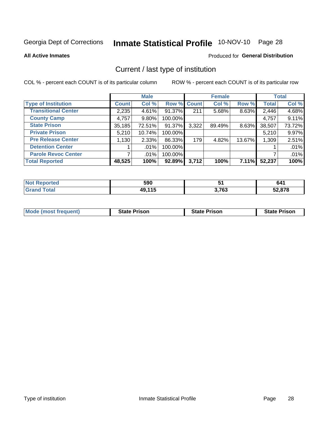# Inmate Statistical Profile 10-NOV-10 Page 28

**All Active Inmates** 

### Produced for General Distribution

### Current / last type of institution

COL % - percent each COUNT is of its particular column

|                            |              | <b>Male</b> |           |             | <b>Female</b> |        |              | <b>Total</b> |
|----------------------------|--------------|-------------|-----------|-------------|---------------|--------|--------------|--------------|
| <b>Type of Institution</b> | <b>Count</b> | Col %       |           | Row % Count | Col %         | Row %  | <b>Total</b> | Col %        |
| <b>Transitional Center</b> | 2,235        | 4.61%       | 91.37%    | 211         | 5.68%         | 8.63%  | 2,446        | 4.68%        |
| <b>County Camp</b>         | 4,757        | $9.80\%$    | 100.00%   |             |               |        | 4,757        | 9.11%        |
| <b>State Prison</b>        | 35,185       | 72.51%      | $91.37\%$ | 3,322       | 89.49%        | 8.63%  | 38,507       | 73.72%       |
| <b>Private Prison</b>      | 5,210        | 10.74%      | 100.00%   |             |               |        | 5,210        | 9.97%        |
| <b>Pre Release Center</b>  | 1,130        | 2.33%       | 86.33%    | 179         | 4.82%         | 13.67% | 1,309        | 2.51%        |
| <b>Detention Center</b>    |              | $.01\%$     | 100.00%   |             |               |        |              | .01%         |
| <b>Parole Revoc Center</b> |              | .01%        | 100.00%   |             |               |        |              | .01%         |
| <b>Total Reported</b>      | 48,525       | 100%        | 92.89%    | 3,712       | 100%          | 7.11%  | 52,237       | 100%         |

| <b>NI</b><br>тео | 590            | ີ          | 641    |
|------------------|----------------|------------|--------|
|                  | 10 11F<br>. то | 3,763<br>. | 52,878 |

| <b>Mode (most frequent)</b> | <b>State Prison</b> | <b>State Prison</b> | <b>State Prison</b> |
|-----------------------------|---------------------|---------------------|---------------------|
|                             |                     |                     |                     |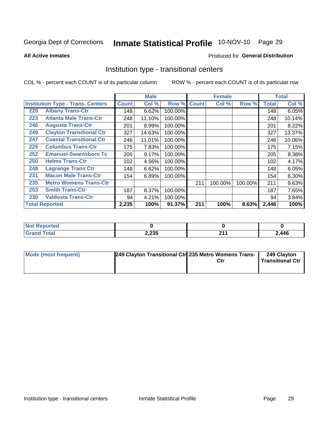# Inmate Statistical Profile 10-NOV-10 Page 29

**All Active Inmates** 

#### Produced for General Distribution

### Institution type - transitional centers

COL % - percent each COUNT is of its particular column

|     |                                          |              | <b>Male</b> |         |              | <b>Female</b> |         |              | <b>Total</b> |
|-----|------------------------------------------|--------------|-------------|---------|--------------|---------------|---------|--------------|--------------|
|     | <b>Institution Type - Trans. Centers</b> | <b>Count</b> | Col %       | Row %   | <b>Count</b> | Col %         | Row %   | <b>Total</b> | Col %        |
| 220 | <b>Albany Trans-Ctr</b>                  | 148          | 6.62%       | 100.00% |              |               |         | 148          | 6.05%        |
| 223 | <b>Atlanta Male Trans-Ctr</b>            | 248          | 11.10%      | 100.00% |              |               |         | 248          | 10.14%       |
| 246 | <b>Augusta Trans-Ctr</b>                 | 201          | 8.99%       | 100.00% |              |               |         | 201          | 8.22%        |
| 249 | <b>Clayton Transitional Ctr</b>          | 327          | 14.63%      | 100.00% |              |               |         | 327          | 13.37%       |
| 247 | <b>Coastal Transitional Ctr</b>          | 246          | 11.01%      | 100.00% |              |               |         | 246          | 10.06%       |
| 225 | <b>Columbus Trans-Ctr</b>                | 175          | 7.83%       | 100.00% |              |               |         | 175          | 7.15%        |
| 252 | <b>Emanuel-Swainsboro Tc</b>             | 205          | 9.17%       | 100.00% |              |               |         | 205          | 8.38%        |
| 250 | <b>Helms Trans-Ctr</b>                   | 102          | 4.56%       | 100.00% |              |               |         | 102          | 4.17%        |
| 248 | <b>Lagrange Trans Ctr</b>                | 148          | 6.62%       | 100.00% |              |               |         | 148          | 6.05%        |
| 231 | <b>Macon Male Trans-Ctr</b>              | 154          | 6.89%       | 100.00% |              |               |         | 154          | 6.30%        |
| 235 | <b>Metro Womens Trans-Ctr</b>            |              |             |         | 211          | 100.00%       | 100.00% | 211          | 8.63%        |
| 253 | <b>Smith Trans-Ctr</b>                   | 187          | 8.37%       | 100.00% |              |               |         | 187          | 7.65%        |
| 230 | <b>Valdosta Trans-Ctr</b>                | 94           | 4.21%       | 100.00% |              |               |         | 94           | 3.84%        |
|     | <b>Total Reported</b>                    | 2,235        | 100%        | 91.37%  | 211          | 100%          | 8.63%   | 2,446        | 100%         |

| <b>Reported</b><br><b>NOT</b> |       |                  |       |
|-------------------------------|-------|------------------|-------|
| Total                         | 2,235 | <b>OA</b><br>. . | 2,446 |

| Mode (most frequent) | 249 Clayton Transitional Ctrl 235 Metro Womens Trans- | 249 Clayton<br><b>Transitional Ctr</b> |
|----------------------|-------------------------------------------------------|----------------------------------------|
|                      |                                                       |                                        |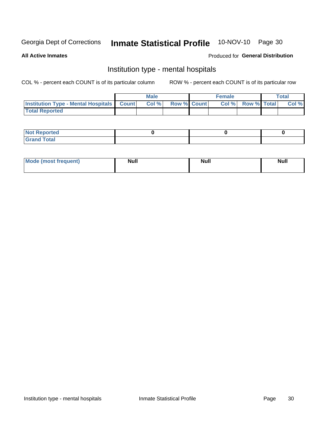#### 10-NOV-10 Page 30 **Inmate Statistical Profile**

#### **All Active Inmates**

### Produced for General Distribution

### Institution type - mental hospitals

COL % - percent each COUNT is of its particular column

|                                                  | Male  |                    | Female |                          | <b>Total</b> |
|--------------------------------------------------|-------|--------------------|--------|--------------------------|--------------|
| <b>Institution Type - Mental Hospitals Count</b> | Col % | <b>Row % Count</b> |        | <b>Col % Row % Total</b> | Col %        |
| <b>Total Reported</b>                            |       |                    |        |                          |              |

| <b>Not Reported</b>   |  |  |
|-----------------------|--|--|
| <b>Total</b><br>_____ |  |  |

| Mode.<br>frequent) | <b>Nul</b><br>_____ | <b>Null</b> | <b>Null</b> |
|--------------------|---------------------|-------------|-------------|
|                    |                     |             |             |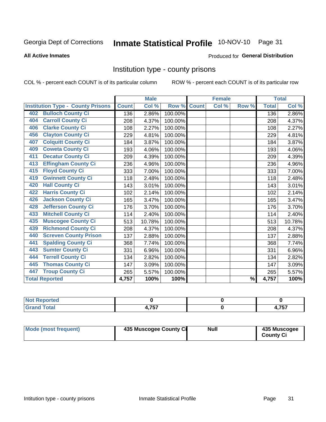# Inmate Statistical Profile 10-NOV-10 Page 31

#### **All Active Inmates**

#### Produced for General Distribution

### Institution type - county prisons

COL % - percent each COUNT is of its particular column

|                                          |              | <b>Male</b> |         |              | <b>Female</b> |                          |              | <b>Total</b> |
|------------------------------------------|--------------|-------------|---------|--------------|---------------|--------------------------|--------------|--------------|
| <b>Institution Type - County Prisons</b> | <b>Count</b> | Col %       | Row %   | <b>Count</b> | Col %         | Row %                    | <b>Total</b> | Col %        |
| <b>Bulloch County Ci</b><br>402          | 136          | 2.86%       | 100.00% |              |               |                          | 136          | 2.86%        |
| <b>Carroll County Ci</b><br>404          | 208          | 4.37%       | 100.00% |              |               |                          | 208          | 4.37%        |
| <b>Clarke County Ci</b><br>406           | 108          | 2.27%       | 100.00% |              |               |                          | 108          | 2.27%        |
| <b>Clayton County Ci</b><br>456          | 229          | 4.81%       | 100.00% |              |               |                          | 229          | 4.81%        |
| <b>Colquitt County Ci</b><br>407         | 184          | 3.87%       | 100.00% |              |               |                          | 184          | 3.87%        |
| <b>Coweta County Ci</b><br>409           | 193          | 4.06%       | 100.00% |              |               |                          | 193          | 4.06%        |
| <b>Decatur County Ci</b><br>411          | 209          | 4.39%       | 100.00% |              |               |                          | 209          | 4.39%        |
| <b>Effingham County Ci</b><br>413        | 236          | 4.96%       | 100.00% |              |               |                          | 236          | 4.96%        |
| <b>Floyd County Ci</b><br>415            | 333          | 7.00%       | 100.00% |              |               |                          | 333          | 7.00%        |
| <b>Gwinnett County Ci</b><br>419         | 118          | 2.48%       | 100.00% |              |               |                          | 118          | 2.48%        |
| <b>Hall County Ci</b><br>420             | 143          | 3.01%       | 100.00% |              |               |                          | 143          | 3.01%        |
| <b>Harris County Ci</b><br>422           | 102          | 2.14%       | 100.00% |              |               |                          | 102          | 2.14%        |
| <b>Jackson County Ci</b><br>426          | 165          | 3.47%       | 100.00% |              |               |                          | 165          | 3.47%        |
| <b>Jefferson County Ci</b><br>428        | 176          | 3.70%       | 100.00% |              |               |                          | 176          | 3.70%        |
| <b>Mitchell County Ci</b><br>433         | 114          | 2.40%       | 100.00% |              |               |                          | 114          | 2.40%        |
| <b>Muscogee County Ci</b><br>435         | 513          | 10.78%      | 100.00% |              |               |                          | 513          | 10.78%       |
| <b>Richmond County Ci</b><br>439         | 208          | 4.37%       | 100.00% |              |               |                          | 208          | 4.37%        |
| <b>Screven County Prison</b><br>440      | 137          | 2.88%       | 100.00% |              |               |                          | 137          | 2.88%        |
| <b>Spalding County Ci</b><br>441         | 368          | 7.74%       | 100.00% |              |               |                          | 368          | 7.74%        |
| <b>Sumter County Ci</b><br>443           | 331          | 6.96%       | 100.00% |              |               |                          | 331          | 6.96%        |
| <b>Terrell County Ci</b><br>444          | 134          | 2.82%       | 100.00% |              |               |                          | 134          | 2.82%        |
| <b>Thomas County Ci</b><br>445           | 147          | 3.09%       | 100.00% |              |               |                          | 147          | 3.09%        |
| <b>Troup County Ci</b><br>447            | 265          | 5.57%       | 100.00% |              |               |                          | 265          | 5.57%        |
| <b>Total Reported</b>                    | 4,757        | 100%        | 100%    |              |               | $\overline{\frac{9}{6}}$ | 4,757        | 100%         |

| <b>Not Reported</b> |     |          |
|---------------------|-----|----------|
| <b>Total</b>        | フェフ | フロフ      |
| <b>Grand</b>        | .   | 4. I J I |

| <b>Mode (most frequent)</b> | 435 Muscogee County Ci | <b>Null</b> | 435 Muscogee<br><b>County Ci</b> |
|-----------------------------|------------------------|-------------|----------------------------------|
|                             |                        |             |                                  |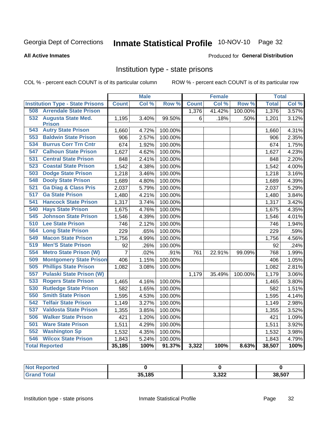# Inmate Statistical Profile 10-NOV-10 Page 32

#### **All Active Inmates**

#### Produced for General Distribution

### Institution type - state prisons

COL % - percent each COUNT is of its particular column

|                                         |                | <b>Male</b> |         |              | <b>Female</b> |         | <b>Total</b> |                     |
|-----------------------------------------|----------------|-------------|---------|--------------|---------------|---------|--------------|---------------------|
| <b>Institution Type - State Prisons</b> | <b>Count</b>   | Col %       | Row %   | <b>Count</b> | Col %         | Row %   | <b>Total</b> | Col %               |
| <b>Arrendale State Prison</b><br>508    |                |             |         | 1,376        | 41.42%        | 100.00% | 1,376        | 3.57%               |
| 532<br><b>Augusta State Med.</b>        | 1,195          | 3.40%       | 99.50%  | 6            | .18%          | .50%    | 1,201        | 3.12%               |
| <b>Prison</b>                           |                |             |         |              |               |         |              |                     |
| <b>543 Autry State Prison</b>           | 1,660          | 4.72%       | 100.00% |              |               |         | 1,660        | 4.31%               |
| <b>Baldwin State Prison</b><br>553      | 906            | 2.57%       | 100.00% |              |               |         | 906          | 2.35%               |
| <b>Burrus Corr Trn Cntr</b><br>534      | 674            | 1.92%       | 100.00% |              |               |         | 674          | 1.75%               |
| <b>Calhoun State Prison</b><br>547      | 1,627          | 4.62%       | 100.00% |              |               |         | 1,627        | 4.23%               |
| <b>Central State Prison</b><br>531      | 848            | 2.41%       | 100.00% |              |               |         | 848          | 2.20%               |
| 523<br><b>Coastal State Prison</b>      | 1,542          | 4.38%       | 100.00% |              |               |         | 1,542        | 4.00%               |
| <b>Dodge State Prison</b><br>503        | 1,218          | 3.46%       | 100.00% |              |               |         | 1,218        | 3.16%               |
| 548<br><b>Dooly State Prison</b>        | 1,689          | 4.80%       | 100.00% |              |               |         | 1,689        | 4.39%               |
| 521<br><b>Ga Diag &amp; Class Pris</b>  | 2,037          | 5.79%       | 100.00% |              |               |         | 2,037        | $\overline{5.29\%}$ |
| 517<br><b>Ga State Prison</b>           | 1,480          | 4.21%       | 100.00% |              |               |         | 1,480        | 3.84%               |
| <b>Hancock State Prison</b><br>541      | 1,317          | 3.74%       | 100.00% |              |               |         | 1,317        | 3.42%               |
| <b>Hays State Prison</b><br>540         | 1,675          | 4.76%       | 100.00% |              |               |         | 1,675        | 4.35%               |
| <b>Johnson State Prison</b><br>545      | 1,546          | 4.39%       | 100.00% |              |               |         | 1,546        | 4.01%               |
| 510<br><b>Lee State Prison</b>          | 746            | 2.12%       | 100.00% |              |               |         | 746          | 1.94%               |
| 564<br><b>Long State Prison</b>         | 229            | .65%        | 100.00% |              |               |         | 229          | .59%                |
| 549<br><b>Macon State Prison</b>        | 1,756          | 4.99%       | 100.00% |              |               |         | 1,756        | 4.56%               |
| <b>Men'S State Prison</b><br>519        | 92             | .26%        | 100.00% |              |               |         | 92           | .24%                |
| 554<br><b>Metro State Prison (W)</b>    | $\overline{7}$ | .02%        | .91%    | 761          | 22.91%        | 99.09%  | 768          | 1.99%               |
| 509<br><b>Montgomery State Prison</b>   | 406            | 1.15%       | 100.00% |              |               |         | 406          | 1.05%               |
| <b>Phillips State Prison</b><br>505     | 1,082          | 3.08%       | 100.00% |              |               |         | 1,082        | 2.81%               |
| 557<br><b>Pulaski State Prison (W)</b>  |                |             |         | 1,179        | 35.49%        | 100.00% | 1,179        | 3.06%               |
| <b>Rogers State Prison</b><br>533       | 1,465          | 4.16%       | 100.00% |              |               |         | 1,465        | 3.80%               |
| <b>Rutledge State Prison</b><br>530     | 582            | 1.65%       | 100.00% |              |               |         | 582          | 1.51%               |
| <b>Smith State Prison</b><br>550        | 1,595          | 4.53%       | 100.00% |              |               |         | 1,595        | 4.14%               |
| <b>Telfair State Prison</b><br>542      | 1,149          | 3.27%       | 100.00% |              |               |         | 1,149        | 2.98%               |
| 537<br><b>Valdosta State Prison</b>     | 1,355          | 3.85%       | 100.00% |              |               |         | 1,355        | 3.52%               |
| <b>Walker State Prison</b><br>506       | 421            | 1.20%       | 100.00% |              |               |         | 421          | 1.09%               |
| 501<br><b>Ware State Prison</b>         | 1,511          | 4.29%       | 100.00% |              |               |         | 1,511        | 3.92%               |
| <b>Washington Sp</b><br>552             | 1,532          | 4.35%       | 100.00% |              |               |         | 1,532        | 3.98%               |
| <b>Wilcox State Prison</b><br>546       | 1,843          | 5.24%       | 100.00% |              |               |         | 1,843        | 4.79%               |
| <b>Total Reported</b>                   | 35,185         | 100%        | 91.37%  | 3,322        | 100%          | 8.63%   | 38,507       | 100%                |

| Reported     |        |       |        |
|--------------|--------|-------|--------|
| <b>Total</b> | 35,185 | 3,322 | 38,507 |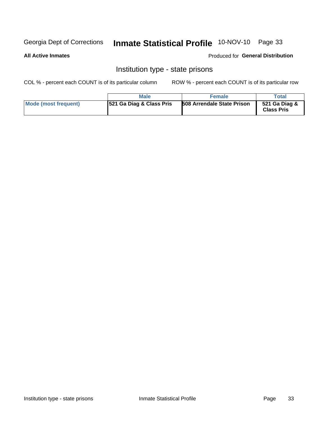# Inmate Statistical Profile 10-NOV-10 Page 33

#### **All Active Inmates**

#### Produced for General Distribution

### Institution type - state prisons

COL % - percent each COUNT is of its particular column

|                      | <b>Male</b>                         | <b>Female</b>                     | Total                              |
|----------------------|-------------------------------------|-----------------------------------|------------------------------------|
| Mode (most frequent) | <b>521 Ga Diag &amp; Class Pris</b> | <b>508 Arrendale State Prison</b> | 521 Ga Diag &<br><b>Class Pris</b> |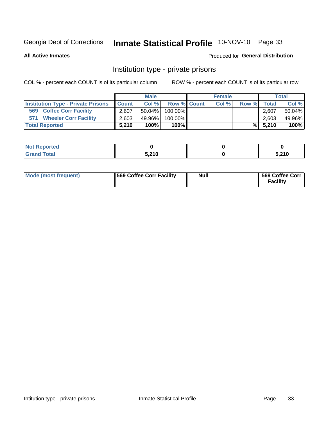# Inmate Statistical Profile 10-NOV-10 Page 33

**All Active Inmates** 

### Produced for General Distribution

### Institution type - private prisons

COL % - percent each COUNT is of its particular column

|                                           |              | <b>Male</b> |             | <b>Female</b> |       |              | <b>Total</b> |
|-------------------------------------------|--------------|-------------|-------------|---------------|-------|--------------|--------------|
| <b>Institution Type - Private Prisons</b> | <b>Count</b> | Col%        | Row % Count | Col %         | Row % | <b>Total</b> | Col %        |
| 569<br><b>Coffee Corr Facility</b>        | 2.607        | $50.04\%$   | 100.00%     |               |       | 2.607        | 50.04%       |
| <b>Wheeler Corr Facility</b><br>571       | 2,603        | 49.96%      | 100.00%     |               |       | 2,603        | 49.96%       |
| <b>Total Reported</b>                     | 5.210        | 100%        | $100\%$     |               |       | $\%$ 5,210   | 100%         |

| portea |       |       |
|--------|-------|-------|
| 1 VW.  | 5.210 | 5,210 |

| Mode (most frequent) | <b>569 Coffee Corr Facility</b> | <b>Null</b> | 569 Coffee Corr<br><b>Facility</b> |
|----------------------|---------------------------------|-------------|------------------------------------|
|----------------------|---------------------------------|-------------|------------------------------------|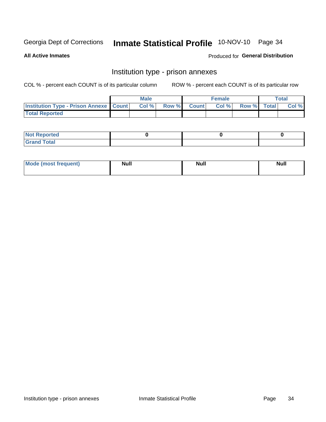# Inmate Statistical Profile 10-NOV-10 Page 34

**All Active Inmates** 

### Produced for General Distribution

### Institution type - prison annexes

COL % - percent each COUNT is of its particular column

|                                                   | <b>Male</b> |             | <b>Female</b> |             | Total |
|---------------------------------------------------|-------------|-------------|---------------|-------------|-------|
| <b>Institution Type - Prison Annexe   Count  </b> | Col%        | Row % Count | Col %         | Row % Total | Col % |
| <b>Total Reported</b>                             |             |             |               |             |       |

| <b>Not Reported</b> |  |  |
|---------------------|--|--|
| <b>Grand Total</b>  |  |  |

| <b>Mode</b>     | <b>Null</b> | <b>Null</b> | <b>Null</b> |
|-----------------|-------------|-------------|-------------|
| most frequent). |             |             |             |
|                 |             |             |             |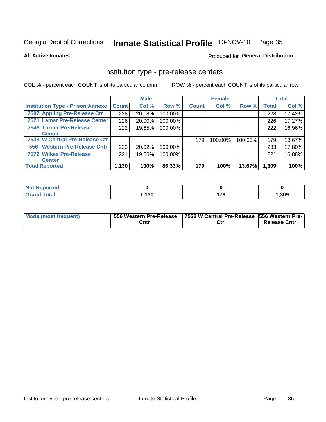# Inmate Statistical Profile 10-NOV-10 Page 35

**All Active Inmates** 

Produced for General Distribution

# Institution type - pre-release centers

COL % - percent each COUNT is of its particular column

|                                         |              | <b>Male</b> |         |              | <b>Female</b> |         |              | <b>Total</b> |
|-----------------------------------------|--------------|-------------|---------|--------------|---------------|---------|--------------|--------------|
| <b>Institution Type - Prison Annexe</b> | <b>Count</b> | Col %       | Row %   | <b>Count</b> | Col %         | Row %   | <b>Total</b> | Col %        |
| 7507 Appling Pre-Release Ctr            | 228          | 20.18%      | 100.00% |              |               |         | 228          | 17.42%       |
| 7521 Lamar Pre-Release Center           | 226          | 20.00%      | 100.00% |              |               |         | 226          | 17.27%       |
| <b>7546 Turner Pre-Release</b>          | 222          | 19.65%      | 100.00% |              |               |         | 222          | 16.96%       |
| Center                                  |              |             |         |              |               |         |              |              |
| 7538 W Central Pre-Release Ctr          |              |             |         | 179          | 100.00%       | 100.00% | 179          | 13.67%       |
| 556 Western Pre-Release Cntr            | 233          | 20.62%      | 100.00% |              |               |         | 233          | 17.80%       |
| <b>7572 Wilkes Pre-Release</b>          | 221          | 19.56%      | 100.00% |              |               |         | 221          | 16.88%       |
| <b>Center</b>                           |              |             |         |              |               |         |              |              |
| <b>Total Reported</b>                   | 1,130        | 100%        | 86.33%  | 179          | 100%          | 13.67%  | 1,309        | 100%         |

| <b>Not</b><br><b>Reported</b> |       |          |       |
|-------------------------------|-------|----------|-------|
| Total                         | .130، | 170<br>. | 1,309 |

| <b>Mode (most frequent)</b> |      | 556 Western Pre-Release   7538 W Central Pre-Release   556 Western Pre- |                     |  |  |
|-----------------------------|------|-------------------------------------------------------------------------|---------------------|--|--|
|                             | Cntr | Ctr                                                                     | <b>Release Cntr</b> |  |  |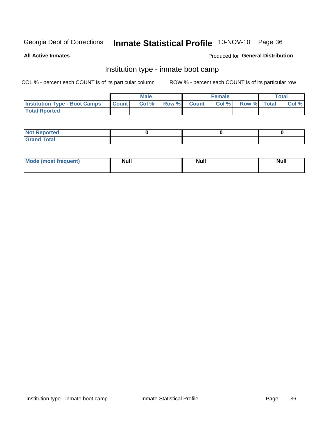# Inmate Statistical Profile 10-NOV-10 Page 36

**All Active Inmates** 

### Produced for General Distribution

# Institution type - inmate boot camp

COL % - percent each COUNT is of its particular column

|                                      |              | <b>Male</b> |             | <b>Female</b> |             | Total |
|--------------------------------------|--------------|-------------|-------------|---------------|-------------|-------|
| <b>Institution Type - Boot Camps</b> | <b>Count</b> | Col %       | Row % Count | Col%          | Row % Total | Col % |
| <b>Total Rported</b>                 |              |             |             |               |             |       |

| <b>Not Reported</b><br>.        |  |  |
|---------------------------------|--|--|
| Total<br><b>C</b> <sub>He</sub> |  |  |

| <b>I Mode (most frequent)</b> | <b>Null</b> | <b>Null</b> | <b>Null</b> |
|-------------------------------|-------------|-------------|-------------|
|                               |             |             |             |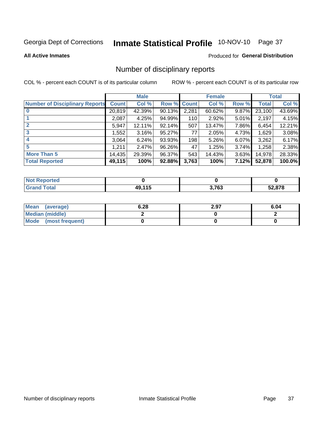# Inmate Statistical Profile 10-NOV-10 Page 37

#### **All Active Inmates**

#### Produced for General Distribution

# Number of disciplinary reports

COL % - percent each COUNT is of its particular column

|                                       |              | <b>Male</b> |             |       | <b>Female</b> |       |              | <b>Total</b> |
|---------------------------------------|--------------|-------------|-------------|-------|---------------|-------|--------------|--------------|
| <b>Number of Disciplinary Reports</b> | <b>Count</b> | Col %       | Row % Count |       | Col %         | Row % | <b>Total</b> | Col %        |
| $\bf{0}$                              | 20,819       | 42.39%      | $90.13\%$   | 2,281 | 60.62%        | 9.87% | 23,100       | 43.69%       |
|                                       | 2,087        | 4.25%       | 94.99%      | 110   | 2.92%         | 5.01% | 2,197        | 4.15%        |
| $\mathbf{2}$                          | 5,947        | 12.11%      | 92.14%      | 507   | 13.47%        | 7.86% | 6,454        | 12.21%       |
| 3                                     | .552         | 3.16%       | 95.27%      | 77    | 2.05%         | 4.73% | 1,629        | 3.08%        |
|                                       | 3,064        | 6.24%       | 93.93%      | 198   | 5.26%         | 6.07% | 3,262        | 6.17%        |
| 5                                     | 1,211        | 2.47%       | 96.26%      | 47    | 1.25%         | 3.74% | 1,258        | 2.38%        |
| <b>More Than 5</b>                    | 14,435       | 29.39%      | 96.37%      | 543   | 14.43%        | 3.63% | 14,978       | 28.33%       |
| <b>Total Reported</b>                 | 49,115       | 100%        | 92.88%      | 3,763 | 100%          | 7.12% | 52,878       | 100.0%       |

| Reported<br><b>NOT</b> |            |       |        |
|------------------------|------------|-------|--------|
| Total                  | 44 F<br>лс | 3,763 | 52.878 |

| Mean (average)         | 6.28 | 2.97 | 6.04 |
|------------------------|------|------|------|
| <b>Median (middle)</b> |      |      |      |
| Mode (most frequent)   |      |      |      |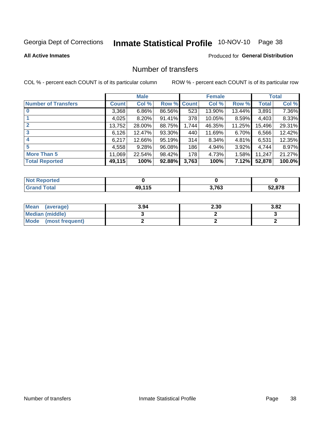# Inmate Statistical Profile 10-NOV-10 Page 38

#### **All Active Inmates**

### Produced for General Distribution

# Number of transfers

COL % - percent each COUNT is of its particular column

|                            |         | <b>Male</b> |             |       | <b>Female</b> |          |              | <b>Total</b> |
|----------------------------|---------|-------------|-------------|-------|---------------|----------|--------------|--------------|
| <b>Number of Transfers</b> | Count l | Col %       | Row % Count |       | Col %         | Row %    | <b>Total</b> | Col %        |
|                            | 3,368   | $6.86\%$    | 86.56%      | 523   | 13.90%        | 13.44%   | 3,891        | 7.36%        |
|                            | 4,025   | $8.20\%$    | 91.41%      | 378   | 10.05%        | 8.59%    | 4,403        | 8.33%        |
|                            | 13,752  | 28.00%      | 88.75%      | 1,744 | 46.35%        | 11.25%   | 15,496       | 29.31%       |
| 3                          | 6,126   | 12.47%      | 93.30%      | 440   | 11.69%        | $6.70\%$ | 6,566        | 12.42%       |
|                            | 6,217   | 12.66%      | 95.19%      | 314   | 8.34%         | $4.81\%$ | 6,531        | 12.35%       |
| 5                          | 4,558   | 9.28%       | 96.08%      | 186   | 4.94%         | 3.92%    | 4,744        | 8.97%        |
| <b>More Than 5</b>         | 11,069  | 22.54%      | 98.42%      | 178   | 4.73%         | $1.58\%$ | 11,247       | 21.27%       |
| <b>Total Reported</b>      | 49,115  | 100%        | 92.88%      | 3,763 | 100%          | 7.12%    | 52,878       | 100.0%       |

| <b>Not Reported</b> |                    |       |        |
|---------------------|--------------------|-------|--------|
| <b>Total</b>        | $AQ$ 11 $F$<br>. . | 3,763 | 52,878 |

| Mean (average)       | 3.94 | 2.30 | 3.82 |
|----------------------|------|------|------|
| Median (middle)      |      |      |      |
| Mode (most frequent) |      |      |      |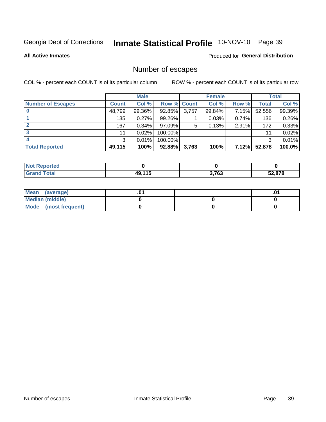# Inmate Statistical Profile 10-NOV-10 Page 39

**All Active Inmates** 

#### Produced for General Distribution

# Number of escapes

COL % - percent each COUNT is of its particular column

|                          |              | <b>Male</b> |             |       | <b>Female</b> |       |        | <b>Total</b> |
|--------------------------|--------------|-------------|-------------|-------|---------------|-------|--------|--------------|
| <b>Number of Escapes</b> | <b>Count</b> | Col %       | Row % Count |       | Col %         | Row % | Total  | Col %        |
|                          | 48,799       | 99.36%      | 92.85%      | 3,757 | 99.84%        | 7.15% | 52,556 | 99.39%       |
|                          | 135          | 0.27%       | 99.26%      |       | 0.03%         | 0.74% | 136    | 0.26%        |
|                          | 167          | 0.34%       | 97.09%      | 5     | 0.13%         | 2.91% | 172    | 0.33%        |
|                          | 11           | 0.02%       | 100.00%     |       |               |       | 11     | 0.02%        |
|                          | 3            | 0.01%       | 100.00%     |       |               |       | 3      | 0.01%        |
| <b>Total Reported</b>    | 49,115       | 100%        | 92.88%      | 3,763 | 100%          | 7.12% | 52,878 | 100.0%       |

| тео |                    |       |        |
|-----|--------------------|-------|--------|
|     | <b>40 115</b><br>. | 3,763 | 52.878 |

| Mean (average)         |  | .0 |
|------------------------|--|----|
| <b>Median (middle)</b> |  |    |
| Mode (most frequent)   |  |    |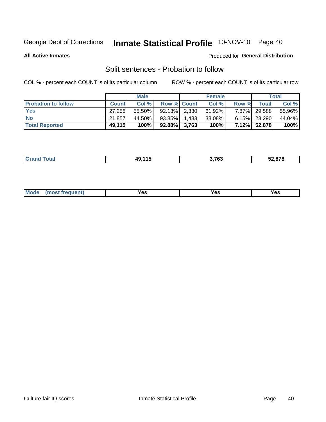# Inmate Statistical Profile 10-NOV-10 Page 40

**All Active Inmates** 

### Produced for General Distribution

# Split sentences - Probation to follow

COL % - percent each COUNT is of its particular column

|                            |              | <b>Male</b> |                    |       | <b>Female</b> |          |                 | <b>Total</b> |
|----------------------------|--------------|-------------|--------------------|-------|---------------|----------|-----------------|--------------|
| <b>Probation to follow</b> | <b>Count</b> | Col%        | <b>Row % Count</b> |       | Col %         | Row %    | <b>Total</b>    | Col %        |
| <b>Yes</b>                 | 27.258       | 55.50%      | $92.13\%$ 2.330    |       | 61.92%        | $7.87\%$ | 29,588          | 55.96%       |
| <b>No</b>                  | 21.857       | 44.50%      | 93.85%             | 1.433 | 38.08%        |          | $6.15\%$ 23,290 | 44.04%       |
| <b>Total Reported</b>      | 49,115       | 100%        | $92.88\%$ 3,763    |       | 100%          |          | 7.12% 52,878    | 100%         |

|  | المستقاسات | 10 11 E<br>лч | 3,763 | $F^{\alpha}$ $F^{\alpha}$<br>52.878 |
|--|------------|---------------|-------|-------------------------------------|
|--|------------|---------------|-------|-------------------------------------|

| M<br>reauent)<br>/٥<br>$\sim$<br>v.,<br>.<br>$\ddotsc$<br>$\cdot$ - $\cdot$ |
|-----------------------------------------------------------------------------|
|-----------------------------------------------------------------------------|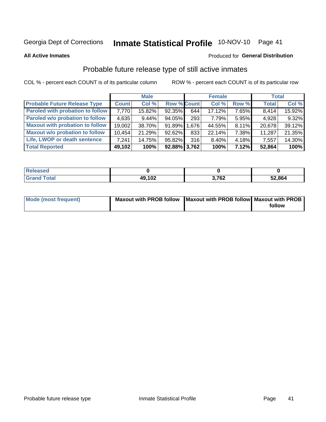# Inmate Statistical Profile 10-NOV-10 Page 41

**All Active Inmates** 

#### Produced for General Distribution

# Probable future release type of still active inmates

COL % - percent each COUNT is of its particular column

|                                         |              | <b>Male</b> |                    |     | <b>Female</b> |          | <b>Total</b> |        |
|-----------------------------------------|--------------|-------------|--------------------|-----|---------------|----------|--------------|--------|
| <b>Probable Future Release Type</b>     | <b>Count</b> | Col %       | <b>Row % Count</b> |     | Col %         | Row %    | <b>Total</b> | Col %  |
| <b>Paroled with probation to follow</b> | 7.770        | 15.82%      | 92.35%             | 644 | 17.12%        | 7.65%    | 8,414        | 15.92% |
| Paroled w/o probation to follow         | 4,635        | $9.44\%$    | 94.05%             | 293 | 7.79%         | 5.95%    | 4,928        | 9.32%  |
| <b>Maxout with probation to follow</b>  | 19,002       | 38.70%      | 91.89% 1.676       |     | 44.55%        | $8.11\%$ | 20,678       | 39.12% |
| <b>Maxout w/o probation to follow</b>   | 10,454       | 21.29%      | 92.62%             | 833 | 22.14%        | 7.38%    | 11,287       | 21.35% |
| Life, LWOP or death sentence            | 7.241        | 14.75%      | 95.82%             | 316 | 8.40%         | 4.18%    | 7,557        | 14.30% |
| <b>Total Reported</b>                   | 49,102       | 100%        | $92.88\%$ 3,762    |     | 100%          | 7.12%    | 52,864       | 100%   |

| .eleased    |        |           |        |
|-------------|--------|-----------|--------|
| <b>otal</b> | 49,102 | 700<br>VŁ | 52,864 |

| <b>Mode (most frequent)</b> | Maxout with PROB follow   Maxout with PROB follow   Maxout with PROB |        |
|-----------------------------|----------------------------------------------------------------------|--------|
|                             |                                                                      | follow |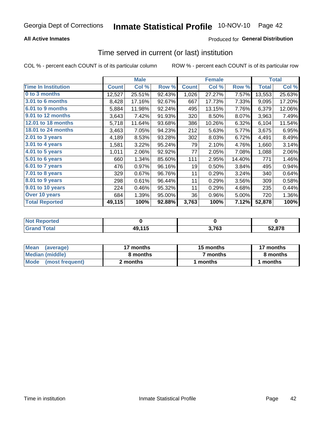## **All Active Inmates**

# **Produced for General Distribution**

# Time served in current (or last) institution

COL % - percent each COUNT is of its particular column

|                            |              | <b>Male</b> |        |              | <b>Female</b> |        |              | <b>Total</b> |
|----------------------------|--------------|-------------|--------|--------------|---------------|--------|--------------|--------------|
| <b>Time In Institution</b> | <b>Count</b> | Col %       | Row %  | <b>Count</b> | Col %         | Row %  | <b>Total</b> | Col %        |
| 0 to 3 months              | 12,527       | 25.51%      | 92.43% | 1,026        | 27.27%        | 7.57%  | 13,553       | 25.63%       |
| 3.01 to 6 months           | 8,428        | 17.16%      | 92.67% | 667          | 17.73%        | 7.33%  | 9,095        | 17.20%       |
| 6.01 to 9 months           | 5,884        | 11.98%      | 92.24% | 495          | 13.15%        | 7.76%  | 6,379        | 12.06%       |
| 9.01 to 12 months          | 3,643        | 7.42%       | 91.93% | 320          | 8.50%         | 8.07%  | 3,963        | 7.49%        |
| 12.01 to 18 months         | 5,718        | 11.64%      | 93.68% | 386          | 10.26%        | 6.32%  | 6,104        | 11.54%       |
| <b>18.01 to 24 months</b>  | 3,463        | 7.05%       | 94.23% | 212          | 5.63%         | 5.77%  | 3,675        | 6.95%        |
| 2.01 to 3 years            | 4,189        | 8.53%       | 93.28% | 302          | 8.03%         | 6.72%  | 4,491        | 8.49%        |
| $3.01$ to 4 years          | 1,581        | 3.22%       | 95.24% | 79           | 2.10%         | 4.76%  | 1,660        | 3.14%        |
| 4.01 to 5 years            | 1,011        | 2.06%       | 92.92% | 77           | 2.05%         | 7.08%  | 1,088        | 2.06%        |
| 5.01 to 6 years            | 660          | 1.34%       | 85.60% | 111          | 2.95%         | 14.40% | 771          | 1.46%        |
| 6.01 to 7 years            | 476          | 0.97%       | 96.16% | 19           | 0.50%         | 3.84%  | 495          | 0.94%        |
| 7.01 to 8 years            | 329          | 0.67%       | 96.76% | 11           | 0.29%         | 3.24%  | 340          | 0.64%        |
| $8.01$ to 9 years          | 298          | 0.61%       | 96.44% | 11           | 0.29%         | 3.56%  | 309          | 0.58%        |
| 9.01 to 10 years           | 224          | 0.46%       | 95.32% | 11           | 0.29%         | 4.68%  | 235          | 0.44%        |
| Over 10 years              | 684          | 1.39%       | 95.00% | 36           | 0.96%         | 5.00%  | 720          | 1.36%        |
| <b>Total Reported</b>      | 49,115       | 100%        | 92.88% | 3,763        | 100%          | 7.12%  | 52,878       | 100%         |

| <b>Not</b><br>Reported |        |       |        |
|------------------------|--------|-------|--------|
| <b>otal</b>            | 49,115 | 3,763 | 52.878 |

| <b>Mean</b><br>(average) | 17 months | 15 months | 17 months |  |
|--------------------------|-----------|-----------|-----------|--|
| Median (middle)          | 8 months  | 7 months  | 8 months  |  |
| Mode (most frequent)     | 2 months  | months    | months    |  |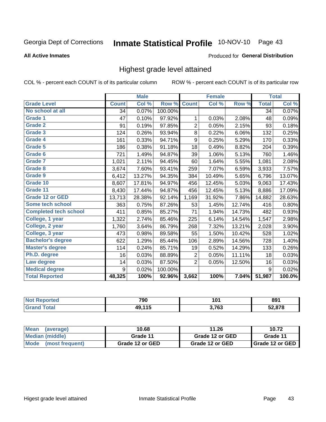# Inmate Statistical Profile 10-NOV-10 Page 43

#### **All Active Inmates**

#### Produced for General Distribution

# Highest grade level attained

COL % - percent each COUNT is of its particular column

|                              |              | <b>Male</b> |         |                  | <b>Female</b> |        |              | <b>Total</b> |
|------------------------------|--------------|-------------|---------|------------------|---------------|--------|--------------|--------------|
| <b>Grade Level</b>           | <b>Count</b> | Col %       | Row %   | <b>Count</b>     | Col %         | Row %  | <b>Total</b> | Col %        |
| No school at all             | 34           | 0.07%       | 100.00% |                  |               |        | 34           | 0.07%        |
| <b>Grade 1</b>               | 47           | 0.10%       | 97.92%  | 1                | 0.03%         | 2.08%  | 48           | 0.09%        |
| <b>Grade 2</b>               | 91           | 0.19%       | 97.85%  | $\overline{2}$   | 0.05%         | 2.15%  | 93           | 0.18%        |
| Grade 3                      | 124          | 0.26%       | 93.94%  | $\bf 8$          | 0.22%         | 6.06%  | 132          | 0.25%        |
| Grade 4                      | 161          | 0.33%       | 94.71%  | $\boldsymbol{9}$ | 0.25%         | 5.29%  | 170          | 0.33%        |
| Grade 5                      | 186          | 0.38%       | 91.18%  | 18               | 0.49%         | 8.82%  | 204          | 0.39%        |
| Grade 6                      | 721          | 1.49%       | 94.87%  | 39               | 1.06%         | 5.13%  | 760          | 1.46%        |
| <b>Grade 7</b>               | 1,021        | 2.11%       | 94.45%  | 60               | 1.64%         | 5.55%  | 1,081        | 2.08%        |
| Grade 8                      | 3,674        | 7.60%       | 93.41%  | 259              | 7.07%         | 6.59%  | 3,933        | 7.57%        |
| Grade 9                      | 6,412        | 13.27%      | 94.35%  | 384              | 10.49%        | 5.65%  | 6,796        | 13.07%       |
| Grade 10                     | 8,607        | 17.81%      | 94.97%  | 456              | 12.45%        | 5.03%  | 9,063        | 17.43%       |
| Grade 11                     | 8,430        | 17.44%      | 94.87%  | 456              | 12.45%        | 5.13%  | 8,886        | 17.09%       |
| <b>Grade 12 or GED</b>       | 13,713       | 28.38%      | 92.14%  | 1,169            | 31.92%        | 7.86%  | 14,882       | 28.63%       |
| Some tech school             | 363          | 0.75%       | 87.26%  | 53               | 1.45%         | 12.74% | 416          | 0.80%        |
| <b>Completed tech school</b> | 411          | 0.85%       | 85.27%  | 71               | 1.94%         | 14.73% | 482          | 0.93%        |
| College, 1 year              | 1,322        | 2.74%       | 85.46%  | 225              | 6.14%         | 14.54% | 1,547        | 2.98%        |
| College, 2 year              | 1,760        | 3.64%       | 86.79%  | 268              | 7.32%         | 13.21% | 2,028        | 3.90%        |
| College, 3 year              | 473          | 0.98%       | 89.58%  | 55               | 1.50%         | 10.42% | 528          | 1.02%        |
| <b>Bachelor's degree</b>     | 622          | 1.29%       | 85.44%  | 106              | 2.89%         | 14.56% | 728          | 1.40%        |
| <b>Master's degree</b>       | 114          | 0.24%       | 85.71%  | 19               | 0.52%         | 14.29% | 133          | 0.26%        |
| Ph.D. degree                 | 16           | 0.03%       | 88.89%  | $\overline{2}$   | 0.05%         | 11.11% | 18           | 0.03%        |
| Law degree                   | 14           | 0.03%       | 87.50%  | $\overline{2}$   | 0.05%         | 12.50% | 16           | 0.03%        |
| <b>Medical degree</b>        | 9            | 0.02%       | 100.00% |                  |               |        | 9            | 0.02%        |
| <b>Total Reported</b>        | 48,325       | 100%        | 92.96%  | 3,662            | 100%          | 7.04%  | 51,987       | 100.0%       |

| meo  | 790  | 1 N 1<br>1 V I | 891           |
|------|------|----------------|---------------|
| ota. | 11 K | つ フロつ          | <b>EQ 070</b> |
|      | w    | ັບປ            | 5.07 C        |

| Mean<br>(average)              | 10.68           | 11.26           | 10.72             |
|--------------------------------|-----------------|-----------------|-------------------|
| Median (middle)                | Grade 11        | Grade 12 or GED | Grade 11          |
| <b>Mode</b><br>(most frequent) | Grade 12 or GED | Grade 12 or GED | I Grade 12 or GED |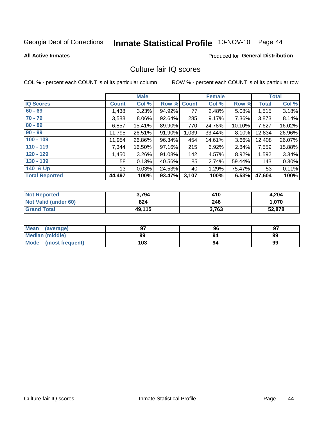# Inmate Statistical Profile 10-NOV-10 Page 44

**All Active Inmates** 

#### Produced for General Distribution

# Culture fair IQ scores

COL % - percent each COUNT is of its particular column

|                       |                 | <b>Male</b> |             |       | <b>Female</b> |        |              | <b>Total</b> |
|-----------------------|-----------------|-------------|-------------|-------|---------------|--------|--------------|--------------|
| <b>IQ Scores</b>      | <b>Count</b>    | Col %       | Row % Count |       | Col %         | Row %  | <b>Total</b> | Col %        |
| $60 - 69$             | 1,438           | 3.23%       | 94.92%      | 77    | 2.48%         | 5.08%  | 1,515        | 3.18%        |
| $70 - 79$             | 3,588           | 8.06%       | 92.64%      | 285   | 9.17%         | 7.36%  | 3,873        | 8.14%        |
| $80 - 89$             | 6,857           | 15.41%      | 89.90%      | 770   | 24.78%        | 10.10% | 7,627        | 16.02%       |
| $90 - 99$             | 11,795          | 26.51%      | 91.90%      | 1,039 | 33.44%        | 8.10%  | 12,834       | 26.96%       |
| $100 - 109$           | 11,954          | 26.86%      | 96.34%      | 454   | 14.61%        | 3.66%  | 12,408       | 26.07%       |
| $110 - 119$           | 7,344           | 16.50%      | 97.16%      | 215   | 6.92%         | 2.84%  | 7,559        | 15.88%       |
| $120 - 129$           | 1,450           | 3.26%       | 91.08%      | 142   | 4.57%         | 8.92%  | 1,592        | 3.34%        |
| $130 - 139$           | 58 <sup>1</sup> | 0.13%       | 40.56%      | 85    | 2.74%         | 59.44% | 143          | 0.30%        |
| 140 & Up              | 13 <sup>1</sup> | 0.03%       | 24.53%      | 40    | 1.29%         | 75.47% | 53           | 0.11%        |
| <b>Total Reported</b> | 44,497          | 100%        | 93.47%      | 3,107 | 100%          | 6.53%  | 47,604       | 100%         |

| <b>Not Reported</b>  | 3,794  | 410   | 4,204  |
|----------------------|--------|-------|--------|
| Not Valid (under 60) | 824    | 246   | 1.070  |
| <b>Grand Total</b>   | 49,115 | 3,763 | 52,878 |

| Mean<br>(average)       | 97  | 96 | 97 |
|-------------------------|-----|----|----|
| Median (middle)         | 99  | 94 | 99 |
| Mode<br>(most frequent) | 103 | 94 | 99 |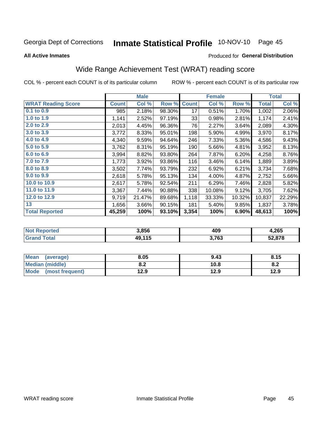# Inmate Statistical Profile 10-NOV-10 Page 45

#### **All Active Inmates**

### Produced for General Distribution

# Wide Range Achievement Test (WRAT) reading score

COL % - percent each COUNT is of its particular column

|                           |              | <b>Male</b> |        |              | <b>Female</b> |        |              | <b>Total</b> |
|---------------------------|--------------|-------------|--------|--------------|---------------|--------|--------------|--------------|
| <b>WRAT Reading Score</b> | <b>Count</b> | Col %       | Row %  | <b>Count</b> | Col %         | Row %  | <b>Total</b> | Col %        |
| $0.1$ to $0.9$            | 985          | 2.18%       | 98.30% | 17           | 0.51%         | 1.70%  | 1,002        | 2.06%        |
| 1.0 to 1.9                | 1,141        | 2.52%       | 97.19% | 33           | 0.98%         | 2.81%  | 1,174        | 2.41%        |
| 2.0 to 2.9                | 2,013        | 4.45%       | 96.36% | 76           | 2.27%         | 3.64%  | 2,089        | 4.30%        |
| 3.0 to 3.9                | 3,772        | 8.33%       | 95.01% | 198          | 5.90%         | 4.99%  | 3,970        | 8.17%        |
| 4.0 to 4.9                | 4,340        | 9.59%       | 94.64% | 246          | 7.33%         | 5.36%  | 4,586        | 9.43%        |
| 5.0 to 5.9                | 3,762        | 8.31%       | 95.19% | 190          | 5.66%         | 4.81%  | 3,952        | 8.13%        |
| 6.0 to 6.9                | 3,994        | 8.82%       | 93.80% | 264          | 7.87%         | 6.20%  | 4,258        | 8.76%        |
| 7.0 to 7.9                | 1,773        | 3.92%       | 93.86% | 116          | 3.46%         | 6.14%  | 1,889        | 3.89%        |
| 8.0 to 8.9                | 3,502        | 7.74%       | 93.79% | 232          | 6.92%         | 6.21%  | 3,734        | 7.68%        |
| 9.0 to 9.9                | 2,618        | 5.78%       | 95.13% | 134          | 4.00%         | 4.87%  | 2,752        | 5.66%        |
| 10.0 to 10.9              | 2,617        | 5.78%       | 92.54% | 211          | 6.29%         | 7.46%  | 2,828        | 5.82%        |
| 11.0 to 11.9              | 3,367        | 7.44%       | 90.88% | 338          | 10.08%        | 9.12%  | 3,705        | 7.62%        |
| 12.0 to 12.9              | 9,719        | 21.47%      | 89.68% | 1,118        | 33.33%        | 10.32% | 10,837       | 22.29%       |
| 13                        | 1,656        | 3.66%       | 90.15% | 181          | 5.40%         | 9.85%  | 1,837        | 3.78%        |
| <b>Total Reported</b>     | 45,259       | 100%        | 93.10% | 3,354        | 100%          | 6.90%  | 48,613       | 100%         |

| <u>າrteo</u><br>NOT | 3,856  | 409   | 4,265  |
|---------------------|--------|-------|--------|
| $F0$ tal            | 49,115 | 3,763 | 52,878 |

| <b>Mean</b><br>(average)       | 8.05       | 9.43 | 8.15 |
|--------------------------------|------------|------|------|
| <b>Median (middle)</b>         | י ה<br>0.Z | 10.8 | o.z  |
| <b>Mode</b><br>(most frequent) | 12.9       | 12.9 | 12.9 |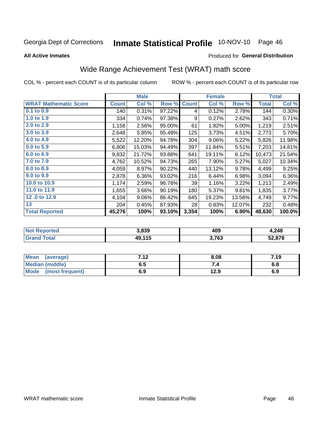# Inmate Statistical Profile 10-NOV-10 Page 46

**All Active Inmates** 

#### Produced for General Distribution

# Wide Range Achievement Test (WRAT) math score

COL % - percent each COUNT is of its particular column

|                              |              | <b>Male</b> |        |              | <b>Female</b> |        |              | <b>Total</b> |
|------------------------------|--------------|-------------|--------|--------------|---------------|--------|--------------|--------------|
| <b>WRAT Mathematic Score</b> | <b>Count</b> | Col %       | Row %  | <b>Count</b> | Col %         | Row %  | <b>Total</b> | Col %        |
| 0.1 to 0.9                   | 140          | 0.31%       | 97.22% | 4            | 0.12%         | 2.78%  | 144          | 0.30%        |
| 1.0 to 1.9                   | 334          | 0.74%       | 97.38% | 9            | 0.27%         | 2.62%  | 343          | 0.71%        |
| 2.0 to 2.9                   | 1,158        | 2.56%       | 95.00% | 61           | 1.82%         | 5.00%  | 1,219        | 2.51%        |
| 3.0 to 3.9                   | 2,648        | 5.85%       | 95.49% | 125          | 3.73%         | 4.51%  | 2,773        | 5.70%        |
| 4.0 to 4.9                   | 5,522        | 12.20%      | 94.78% | 304          | 9.06%         | 5.22%  | 5,826        | 11.98%       |
| 5.0 to 5.9                   | 6,806        | 15.03%      | 94.49% | 397          | 11.84%        | 5.51%  | 7,203        | 14.81%       |
| 6.0 to 6.9                   | 9,832        | 21.72%      | 93.88% | 641          | 19.11%        | 6.12%  | 10,473       | 21.54%       |
| 7.0 to 7.9                   | 4,762        | 10.52%      | 94.73% | 265          | 7.90%         | 5.27%  | 5,027        | 10.34%       |
| 8.0 to 8.9                   | 4,059        | 8.97%       | 90.22% | 440          | 13.12%        | 9.78%  | 4,499        | 9.25%        |
| 9.0 to 9.9                   | 2,878        | 6.36%       | 93.02% | 216          | 6.44%         | 6.98%  | 3,094        | 6.36%        |
| 10.0 to 10.9                 | 1,174        | 2.59%       | 96.78% | 39           | 1.16%         | 3.22%  | 1,213        | 2.49%        |
| 11.0 to 11.9                 | 1,655        | 3.66%       | 90.19% | 180          | 5.37%         | 9.81%  | 1,835        | 3.77%        |
| 12.0 to 12.9                 | 4,104        | 9.06%       | 86.42% | 645          | 19.23%        | 13.58% | 4,749        | 9.77%        |
| 13                           | 204          | 0.45%       | 87.93% | 28           | 0.83%         | 12.07% | 232          | 0.48%        |
| <b>Total Reported</b>        | 45,276       | 100%        | 93.10% | 3,354        | 100%          | 6.90%  | 48,630       | 100.0%       |

| <b>Not Reported</b>          | 3,839  | 409   | 4,248  |
|------------------------------|--------|-------|--------|
| <b>Total</b><br><b>Grand</b> | 49,115 | 3,763 | 52,878 |

| <b>Mean</b><br>(average)       | 712<br>. | 8.08 | 7.19 |
|--------------------------------|----------|------|------|
| <b>Median (middle)</b>         | כ.ס      |      | o.o  |
| <b>Mode</b><br>(most frequent) | 6.9      | 12.9 | 6.9  |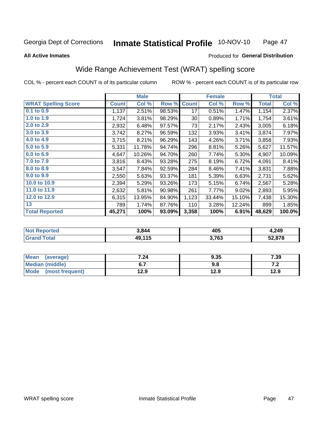#### **Inmate Statistical Profile 10-NOV-10** Page 47

**All Active Inmates** 

#### Produced for General Distribution

# Wide Range Achievement Test (WRAT) spelling score

COL % - percent each COUNT is of its particular column

|                            |              | <b>Male</b> |        |              | <b>Female</b> |        |              | <b>Total</b> |
|----------------------------|--------------|-------------|--------|--------------|---------------|--------|--------------|--------------|
| <b>WRAT Spelling Score</b> | <b>Count</b> | Col %       | Row %  | <b>Count</b> | Col %         | Row %  | <b>Total</b> | Col %        |
| 0.1 to 0.9                 | 1,137        | 2.51%       | 98.53% | 17           | 0.51%         | 1.47%  | 1,154        | 2.37%        |
| 1.0 to 1.9                 | 1,724        | 3.81%       | 98.29% | 30           | 0.89%         | 1.71%  | 1,754        | 3.61%        |
| 2.0 to 2.9                 | 2,932        | 6.48%       | 97.57% | 73           | 2.17%         | 2.43%  | 3,005        | 6.18%        |
| 3.0 to 3.9                 | 3,742        | 8.27%       | 96.59% | 132          | 3.93%         | 3.41%  | 3,874        | 7.97%        |
| 4.0 to 4.9                 | 3,715        | 8.21%       | 96.29% | 143          | 4.26%         | 3.71%  | 3,858        | 7.93%        |
| 5.0 to 5.9                 | 5,331        | 11.78%      | 94.74% | 296          | 8.81%         | 5.26%  | 5,627        | 11.57%       |
| 6.0 to 6.9                 | 4,647        | 10.26%      | 94.70% | 260          | 7.74%         | 5.30%  | 4,907        | 10.09%       |
| 7.0 to 7.9                 | 3,816        | 8.43%       | 93.28% | 275          | 8.19%         | 6.72%  | 4,091        | 8.41%        |
| 8.0 to 8.9                 | 3,547        | 7.84%       | 92.59% | 284          | 8.46%         | 7.41%  | 3,831        | 7.88%        |
| 9.0 to 9.9                 | 2,550        | 5.63%       | 93.37% | 181          | 5.39%         | 6.63%  | 2,731        | 5.62%        |
| 10.0 to 10.9               | 2,394        | 5.29%       | 93.26% | 173          | 5.15%         | 6.74%  | 2,567        | 5.28%        |
| 11.0 to 11.9               | 2,632        | 5.81%       | 90.98% | 261          | 7.77%         | 9.02%  | 2,893        | 5.95%        |
| 12.0 to 12.9               | 6,315        | 13.95%      | 84.90% | 1,123        | 33.44%        | 15.10% | 7,438        | 15.30%       |
| 13                         | 789          | 1.74%       | 87.76% | 110          | 3.28%         | 12.24% | 899          | 1.85%        |
| <b>Total Reported</b>      | 45,271       | 100%        | 93.09% | 3,358        | 100%          | 6.91%  | 48,629       | 100.0%       |

| rtea<br>NO | 3844       | 405   | 4,249                    |
|------------|------------|-------|--------------------------|
| $\sim$     | $AO$ $11F$ | 3,763 | <b>EQ 070</b><br>34.O7 O |

| <b>Mean</b><br>(average) | 7.24 | 9.35 | 7.39  |
|--------------------------|------|------|-------|
| Median (middle)          |      | 9.8  | . . Z |
| Mode<br>(most frequent)  | 12.9 | 12.9 | 12.9  |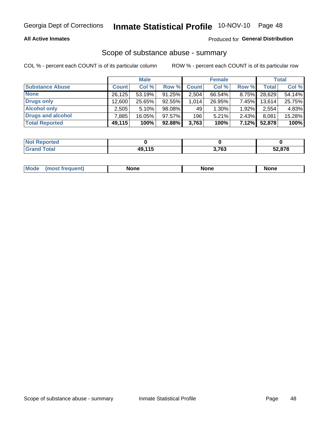### **All Active Inmates**

### Produced for General Distribution

# Scope of substance abuse - summary

COL % - percent each COUNT is of its particular column

|                        |              | <b>Male</b> |           |              | <b>Female</b> |          |              | <b>Total</b> |
|------------------------|--------------|-------------|-----------|--------------|---------------|----------|--------------|--------------|
| <b>Substance Abuse</b> | <b>Count</b> | Col %       | Row %     | <b>Count</b> | Col %         | Row %    | <b>Total</b> | Col %        |
| <b>None</b>            | 26,125       | 53.19%      | 91.25%    | 2,504        | 66.54%        | 8.75%    | 28,629       | 54.14%       |
| <b>Drugs only</b>      | 12,600       | 25.65%      | $92.55\%$ | 1,014        | 26.95%        | $7.45\%$ | 13,614       | 25.75%       |
| <b>Alcohol only</b>    | 2,505        | 5.10%       | 98.08%    | 49           | $1.30\%$      | $1.92\%$ | 2,554        | 4.83%        |
| Drugs and alcohol      | ,885         | 16.05%      | 97.57%    | 196          | $5.21\%$      | 2.43%    | 8,081        | 15.28%       |
| <b>Total Reported</b>  | 49,115       | 100%        | $92.88\%$ | 3,763        | 100%          | $7.12\%$ | 52,878       | 100%         |

| <b>Not</b><br>Reported |             |       |        |
|------------------------|-------------|-------|--------|
| <b>Total</b>           | 144 E<br>лч | 3,763 | 52,878 |

| Mode<br>None<br>None<br>None<br>quenu |
|---------------------------------------|
|---------------------------------------|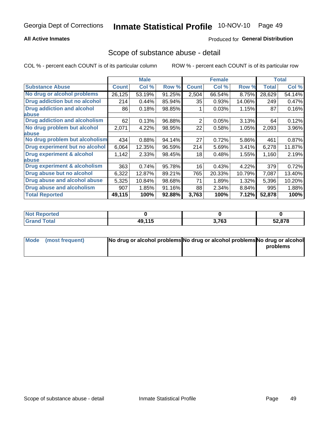### **All Active Inmates**

# **Produced for General Distribution**

# Scope of substance abuse - detail

COL % - percent each COUNT is of its particular column

|                                      | <b>Male</b>  |        | <b>Female</b> |              |        | <b>Total</b> |              |        |
|--------------------------------------|--------------|--------|---------------|--------------|--------|--------------|--------------|--------|
| <b>Substance Abuse</b>               | <b>Count</b> | Col %  | Row %         | <b>Count</b> | Col %  | Row %        | <b>Total</b> | Col %  |
| No drug or alcohol problems          | 26,125       | 53.19% | 91.25%        | 2,504        | 66.54% | 8.75%        | 28,629       | 54.14% |
| Drug addiction but no alcohol        | 214          | 0.44%  | 85.94%        | 35           | 0.93%  | 14.06%       | 249          | 0.47%  |
| <b>Drug addiction and alcohol</b>    | 86           | 0.18%  | 98.85%        |              | 0.03%  | 1.15%        | 87           | 0.16%  |
| <b>labuse</b>                        |              |        |               |              |        |              |              |        |
| <b>Drug addiction and alcoholism</b> | 62           | 0.13%  | 96.88%        | 2            | 0.05%  | 3.13%        | 64           | 0.12%  |
| No drug problem but alcohol          | 2,071        | 4.22%  | 98.95%        | 22           | 0.58%  | 1.05%        | 2,093        | 3.96%  |
| <b>labuse</b>                        |              |        |               |              |        |              |              |        |
| No drug problem but alcoholism       | 434          | 0.88%  | 94.14%        | 27           | 0.72%  | 5.86%        | 461          | 0.87%  |
| Drug experiment but no alcohol       | 6,064        | 12.35% | 96.59%        | 214          | 5.69%  | 3.41%        | 6,278        | 11.87% |
| <b>Drug experiment &amp; alcohol</b> | 1,142        | 2.33%  | 98.45%        | 18           | 0.48%  | 1.55%        | 1,160        | 2.19%  |
| abuse                                |              |        |               |              |        |              |              |        |
| Drug experiment & alcoholism         | 363          | 0.74%  | 95.78%        | 16           | 0.43%  | 4.22%        | 379          | 0.72%  |
| Drug abuse but no alcohol            | 6,322        | 12.87% | 89.21%        | 765          | 20.33% | 10.79%       | 7,087        | 13.40% |
| Drug abuse and alcohol abuse         | 5,325        | 10.84% | 98.68%        | 71           | 1.89%  | 1.32%        | 5,396        | 10.20% |
| <b>Drug abuse and alcoholism</b>     | 907          | 1.85%  | 91.16%        | 88           | 2.34%  | 8.84%        | 995          | 1.88%  |
| <b>Total Reported</b>                | 49,115       | 100%   | 92.88%        | 3,763        | 100%   | 7.12%        | 52,878       | 100%   |

| Reported<br>NOI |                    |       |        |
|-----------------|--------------------|-------|--------|
| <b>otal</b>     | <b>AQ 115</b><br>. | 3,763 | 52,878 |

| Mode (most frequent) | No drug or alcohol problems No drug or alcohol problems No drug or alcohol |          |
|----------------------|----------------------------------------------------------------------------|----------|
|                      |                                                                            | problems |
|                      |                                                                            |          |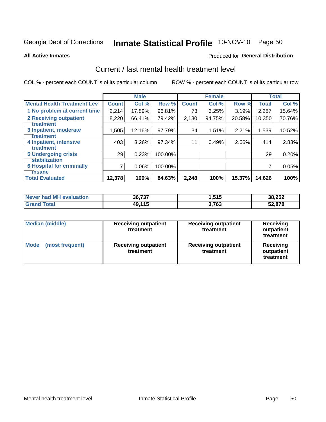# Inmate Statistical Profile 10-NOV-10 Page 50

**All Active Inmates** 

## **Produced for General Distribution**

# Current / last mental health treatment level

COL % - percent each COUNT is of its particular column

|                                    |              | <b>Male</b> |         |              | <b>Female</b> |        |              | <b>Total</b> |
|------------------------------------|--------------|-------------|---------|--------------|---------------|--------|--------------|--------------|
| <b>Mental Health Treatment Lev</b> | <b>Count</b> | Col %       | Row %   | <b>Count</b> | Col %         | Row %  | <b>Total</b> | Col %        |
| 1 No problem at current time       | 2,214        | 17.89%      | 96.81%  | 73           | 3.25%         | 3.19%  | 2,287        | 15.64%       |
| 2 Receiving outpatient             | 8,220        | 66.41%      | 79.42%  | 2,130        | 94.75%        | 20.58% | 10,350       | 70.76%       |
| <b>Treatment</b>                   |              |             |         |              |               |        |              |              |
| 3 Inpatient, moderate              | 1,505        | 12.16%      | 97.79%  | 34           | 1.51%         | 2.21%  | 1,539        | 10.52%       |
| <b>Treatment</b>                   |              |             |         |              |               |        |              |              |
| 4 Inpatient, intensive             | 403          | 3.26%       | 97.34%  | 11           | 0.49%         | 2.66%  | 414          | 2.83%        |
| <b>Treatment</b>                   |              |             |         |              |               |        |              |              |
| <b>5 Undergoing crisis</b>         | 29           | 0.23%       | 100.00% |              |               |        | 29           | 0.20%        |
| <b>stabilization</b>               |              |             |         |              |               |        |              |              |
| <b>6 Hospital for criminally</b>   | 7            | 0.06%       | 100.00% |              |               |        |              | 0.05%        |
| <b>Tinsane</b>                     |              |             |         |              |               |        |              |              |
| <b>Total Evaluated</b>             | 12,378       | 100%        | 84.63%  | 2,248        | 100%          | 15.37% | 14,626       | 100%         |

| Never had MH evaluation | 36,737 | 1,515 | 38,252 |
|-------------------------|--------|-------|--------|
| <b>Total</b>            | 49,115 | 3,763 | 52,878 |

| <b>Median (middle)</b>         | <b>Receiving outpatient</b><br>treatment | <b>Receiving outpatient</b><br>treatment | <b>Receiving</b><br>outpatient<br>treatment |  |  |
|--------------------------------|------------------------------------------|------------------------------------------|---------------------------------------------|--|--|
| <b>Mode</b><br>(most frequent) | <b>Receiving outpatient</b><br>treatment | <b>Receiving outpatient</b><br>treatment | <b>Receiving</b><br>outpatient<br>treatment |  |  |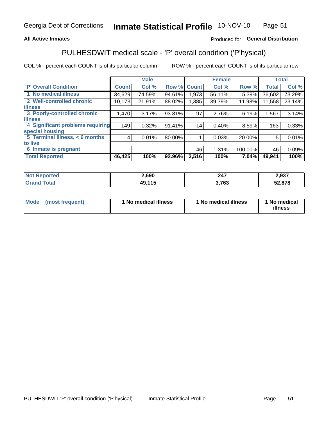### **All Active Inmates**

## Produced for General Distribution

# PULHESDWIT medical scale - 'P' overall condition ('P'hysical)

COL % - percent each COUNT is of its particular column

|                                  | <b>Male</b>  |        |        | <b>Female</b> |        |         | <b>Total</b> |        |
|----------------------------------|--------------|--------|--------|---------------|--------|---------|--------------|--------|
| <b>P' Overall Condition</b>      | <b>Count</b> | Col %  | Row %  | <b>Count</b>  | Col %  | Row %   | <b>Total</b> | Col %  |
| 1 No medical illness             | 34,629       | 74.59% | 94.61% | 1,973         | 56.11% | 5.39%   | 36,602       | 73.29% |
| 2 Well-controlled chronic        | 10,173       | 21.91% | 88.02% | 1,385         | 39.39% | 11.98%  | 11,558       | 23.14% |
| <b>lillness</b>                  |              |        |        |               |        |         |              |        |
| 3 Poorly-controlled chronic      | 1,470        | 3.17%  | 93.81% | 97            | 2.76%  | 6.19%   | 1,567        | 3.14%  |
| <b>illness</b>                   |              |        |        |               |        |         |              |        |
| 4 Significant problems requiring | 149          | 0.32%  | 91.41% | 14            | 0.40%  | 8.59%   | 163          | 0.33%  |
| special housing                  |              |        |        |               |        |         |              |        |
| 5 Terminal illness, < 6 months   | 4            | 0.01%  | 80.00% |               | 0.03%  | 20.00%  | 5            | 0.01%  |
| to live                          |              |        |        |               |        |         |              |        |
| 6 Inmate is pregnant             |              |        |        | 46            | 1.31%  | 100.00% | 46           | 0.09%  |
| <b>Total Reported</b>            | 46,425       | 100%   | 92.96% | 3,516         | 100%   | 7.04%   | 49,941       | 100%   |

| orted<br>NO. | 2,690            | <b>047</b><br>44 I | 2,937  |
|--------------|------------------|--------------------|--------|
| ota.         | AAF<br>40<br>. . | 700<br>ັບວ         | 52,878 |

| Mode<br>(most frequent) |  | <sup>1</sup> No medical illness | 1 No medical illness | 1 No medical<br>illness |
|-------------------------|--|---------------------------------|----------------------|-------------------------|
|-------------------------|--|---------------------------------|----------------------|-------------------------|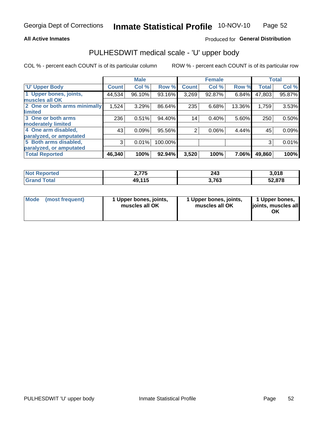### **All Active Inmates**

## Produced for General Distribution

# PULHESDWIT medical scale - 'U' upper body

COL % - percent each COUNT is of its particular column

|                              |              | <b>Male</b> |         |              | <b>Female</b> |        |              | <b>Total</b> |
|------------------------------|--------------|-------------|---------|--------------|---------------|--------|--------------|--------------|
| <b>U' Upper Body</b>         | <b>Count</b> | Col %       | Row %   | <b>Count</b> | Col %         | Row %  | <b>Total</b> | Col %        |
| 1 Upper bones, joints,       | 44,534       | 96.10%      | 93.16%  | 3,269        | 92.87%        | 6.84%  | 47,803       | 95.87%       |
| muscles all OK               |              |             |         |              |               |        |              |              |
| 2 One or both arms minimally | 1,524        | 3.29%       | 86.64%  | 235          | 6.68%         | 13.36% | 1,759        | 3.53%        |
| limited                      |              |             |         |              |               |        |              |              |
| 3 One or both arms           | 236          | 0.51%       | 94.40%  | 14           | 0.40%         | 5.60%  | 250          | 0.50%        |
| <b>moderately limited</b>    |              |             |         |              |               |        |              |              |
| 4 One arm disabled,          | 43           | 0.09%       | 95.56%  | 2            | 0.06%         | 4.44%  | 45           | 0.09%        |
| paralyzed, or amputated      |              |             |         |              |               |        |              |              |
| 5 Both arms disabled,        | 3            | 0.01%       | 100.00% |              |               |        | 3            | 0.01%        |
| paralyzed, or amputated      |              |             |         |              |               |        |              |              |
| <b>Total Reported</b>        | 46,340       | 100%        | 92.94%  | 3,520        | 100%          | 7.06%  | 49,860       | 100%         |

| <b>Not Reported</b>    | 2,775  | 243   | 3,018  |
|------------------------|--------|-------|--------|
| <b>Total</b><br>'Grand | 49,115 | 3,763 | 52,878 |

| <b>Mode</b> | (most frequent) | 1 Upper bones, joints,<br>muscles all OK | 1 Upper bones, joints,<br>muscles all OK | 1 Upper bones,<br>joints, muscles all<br>ΟK |
|-------------|-----------------|------------------------------------------|------------------------------------------|---------------------------------------------|
|-------------|-----------------|------------------------------------------|------------------------------------------|---------------------------------------------|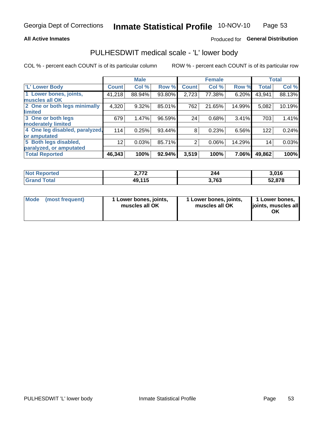#### **All Active Inmates**

# Produced for General Distribution

# PULHESDWIT medical scale - 'L' lower body

COL % - percent each COUNT is of its particular column

|                                |                 | <b>Male</b> |        |                | <b>Female</b> |        |              | <b>Total</b> |
|--------------------------------|-----------------|-------------|--------|----------------|---------------|--------|--------------|--------------|
| 'L' Lower Body                 | <b>Count</b>    | Col %       | Row %  | <b>Count</b>   | Col %         | Row %  | <b>Total</b> | Col %        |
| 1 Lower bones, joints,         | 41,218          | 88.94%      | 93.80% | 2,723          | 77.38%        | 6.20%  | 43,941       | 88.13%       |
| muscles all OK                 |                 |             |        |                |               |        |              |              |
| 2 One or both legs minimally   | 4,320           | 9.32%       | 85.01% | 762            | 21.65%        | 14.99% | 5,082        | 10.19%       |
| limited                        |                 |             |        |                |               |        |              |              |
| 3 One or both legs             | 679             | 1.47%       | 96.59% | 24             | 0.68%         | 3.41%  | 703          | 1.41%        |
| moderately limited             |                 |             |        |                |               |        |              |              |
| 4 One leg disabled, paralyzed, | 114             | 0.25%       | 93.44% | 8              | 0.23%         | 6.56%  | 122          | 0.24%        |
| or amputated                   |                 |             |        |                |               |        |              |              |
| 5 Both legs disabled,          | 12 <sub>2</sub> | 0.03%       | 85.71% | $\overline{2}$ | 0.06%         | 14.29% | 14           | 0.03%        |
| paralyzed, or amputated        |                 |             |        |                |               |        |              |              |
| <b>Total Reported</b>          | 46,343          | 100%        | 92.94% | 3,519          | 100%          | 7.06%  | 49,862       | 100%         |

| <b>Not Reported</b>          | フフベ    | 244   | 3,016  |
|------------------------------|--------|-------|--------|
| <b>Total</b><br><b>Grand</b> | 49,115 | 3,763 | 52,878 |

| Mode | (most frequent) | 1 Lower bones, joints,<br>muscles all OK | I Lower bones, joints,<br>muscles all OK | 1 Lower bones,<br>joints, muscles all<br>ΟK |
|------|-----------------|------------------------------------------|------------------------------------------|---------------------------------------------|
|------|-----------------|------------------------------------------|------------------------------------------|---------------------------------------------|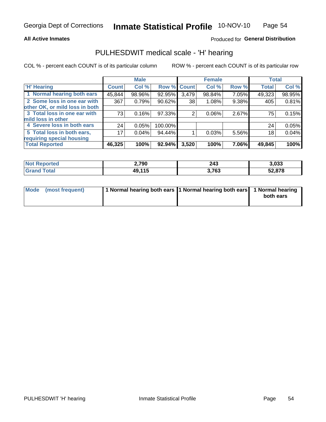### **All Active Inmates**

## Produced for General Distribution

# PULHESDWIT medical scale - 'H' hearing

COL % - percent each COUNT is of its particular column

|                                |              | <b>Male</b> |         |             | <b>Female</b> |       | <b>Total</b> |        |
|--------------------------------|--------------|-------------|---------|-------------|---------------|-------|--------------|--------|
| <b>'H' Hearing</b>             | <b>Count</b> | Col %       |         | Row % Count | Col %         | Row % | <b>Total</b> | Col %  |
| 1 Normal hearing both ears     | 45,844       | 98.96%      | 92.95%  | 3,479       | 98.84%        | 7.05% | 49,323       | 98.95% |
| 2 Some loss in one ear with    | 367          | 0.79%       | 90.62%  | 38          | 1.08%         | 9.38% | 405          | 0.81%  |
| other OK, or mild loss in both |              |             |         |             |               |       |              |        |
| 3 Total loss in one ear with   | 73           | 0.16%       | 97.33%  | 2           | 0.06%         | 2.67% | 75           | 0.15%  |
| mild loss in other             |              |             |         |             |               |       |              |        |
| 4 Severe loss in both ears     | 24           | 0.05%       | 100.00% |             |               |       | 24           | 0.05%  |
| 5 Total loss in both ears,     | 17           | 0.04%       | 94.44%  |             | 0.03%         | 5.56% | 18           | 0.04%  |
| requiring special housing      |              |             |         |             |               |       |              |        |
| <b>Total Reported</b>          | 46,325       | 100%        | 92.94%  | 3,520       | 100%          | 7.06% | 49,845       | 100%   |

| <b>Not Reported</b> | 2,790  | つハつ<br>24J | 3,033  |
|---------------------|--------|------------|--------|
| Total               | 49,115 | 3,763      | 52,878 |

| Mode (most frequent) | 1 Normal hearing both ears 11 Normal hearing both ears 1 Normal hearing | both ears |
|----------------------|-------------------------------------------------------------------------|-----------|
|                      |                                                                         |           |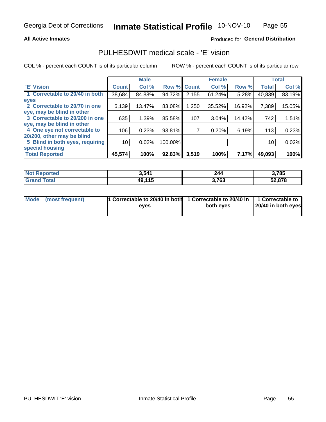### **All Active Inmates**

## Produced for General Distribution

# PULHESDWIT medical scale - 'E' vision

COL % - percent each COUNT is of its particular column

|                                 |                 | <b>Male</b> |         |              | <b>Female</b> |        |              | <b>Total</b> |
|---------------------------------|-----------------|-------------|---------|--------------|---------------|--------|--------------|--------------|
| <b>E' Vision</b>                | <b>Count</b>    | Col %       | Row %   | <b>Count</b> | Col %         | Row %  | <b>Total</b> | Col %        |
| 1 Correctable to 20/40 in both  | 38,684          | 84.88%      | 94.72%  | 2,155        | 61.24%        | 5.28%  | 40,839       | 83.19%       |
| eyes                            |                 |             |         |              |               |        |              |              |
| 2 Correctable to 20/70 in one   | 6,139           | 13.47%      | 83.08%  | 1,250        | 35.52%        | 16.92% | 7,389        | 15.05%       |
| eye, may be blind in other      |                 |             |         |              |               |        |              |              |
| 3 Correctable to 20/200 in one  | 635             | 1.39%       | 85.58%  | 107          | 3.04%         | 14.42% | 742          | 1.51%        |
| eye, may be blind in other      |                 |             |         |              |               |        |              |              |
| 4 One eye not correctable to    | 106             | 0.23%       | 93.81%  |              | 0.20%         | 6.19%  | 113          | 0.23%        |
| 20/200, other may be blind      |                 |             |         |              |               |        |              |              |
| 5 Blind in both eyes, requiring | 10 <sup>1</sup> | 0.02%       | 100.00% |              |               |        | 10           | 0.02%        |
| special housing                 |                 |             |         |              |               |        |              |              |
| <b>Total Reported</b>           | 45,574          | 100%        | 92.83%  | 3,519        | 100%          | 7.17%  | 49,093       | 100%         |

| <b>Not Reported</b> | 3,541  | 244   | 3,785  |
|---------------------|--------|-------|--------|
| <b>Total</b>        | 49,115 | 3,763 | 52,878 |

| Mode (most frequent) | 1 Correctable to 20/40 in both<br>eves | 1 Correctable to 20/40 in   1 Correctable to  <br>both eves | 20/40 in both eyes |
|----------------------|----------------------------------------|-------------------------------------------------------------|--------------------|
|                      |                                        |                                                             |                    |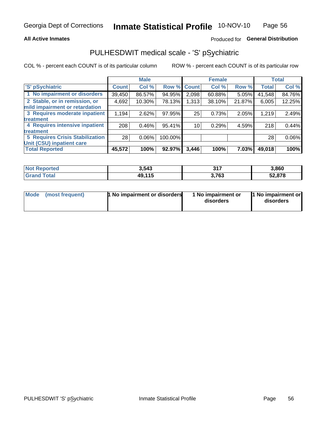### **All Active Inmates**

# Produced for General Distribution

# PULHESDWIT medical scale - 'S' pSychiatric

COL % - percent each COUNT is of its particular column

|                                        |              | <b>Male</b> |         |              | <b>Female</b> |        |              | <b>Total</b> |
|----------------------------------------|--------------|-------------|---------|--------------|---------------|--------|--------------|--------------|
| 'S' pSychiatric                        | <b>Count</b> | Col %       | Row %   | <b>Count</b> | Col %         | Row %  | <b>Total</b> | Col %        |
| 1 No impairment or disorders           | 39,450       | 86.57%      | 94.95%  | 2,098        | 60.88%        | 5.05%  | 41,548       | 84.76%       |
| 2 Stable, or in remission, or          | 4,692        | 10.30%      | 78.13%  | 1,313        | 38.10%        | 21.87% | 6,005        | 12.25%       |
| mild impairment or retardation         |              |             |         |              |               |        |              |              |
| 3 Requires moderate inpatient          | 1,194        | 2.62%       | 97.95%  | 25           | 0.73%         | 2.05%  | 1,219        | 2.49%        |
| treatment                              |              |             |         |              |               |        |              |              |
| 4 Requires intensive inpatient         | 208          | 0.46%       | 95.41%  | 10           | 0.29%         | 4.59%  | 218          | 0.44%        |
| treatment                              |              |             |         |              |               |        |              |              |
| <b>5 Requires Crisis Stabilization</b> | 28           | $0.06\%$    | 100.00% |              |               |        | 28           | 0.06%        |
| Unit (CSU) inpatient care              |              |             |         |              |               |        |              |              |
| <b>Total Reported</b>                  | 45,572       | 100%        | 92.97%  | 3,446        | 100%          | 7.03%  | 49,018       | 100%         |

| <b>Not Reported</b>     | 3,543  | 247<br>JI. | 3,860  |
|-------------------------|--------|------------|--------|
| <b>Total</b><br>' Grand | 49,115 | 3,763      | 52,878 |

| <b>Mode</b> | (most frequent) | <b>1 No impairment or disorders</b> | 1 No impairment or<br>disorders | 11 No impairment or<br>disorders |
|-------------|-----------------|-------------------------------------|---------------------------------|----------------------------------|
|-------------|-----------------|-------------------------------------|---------------------------------|----------------------------------|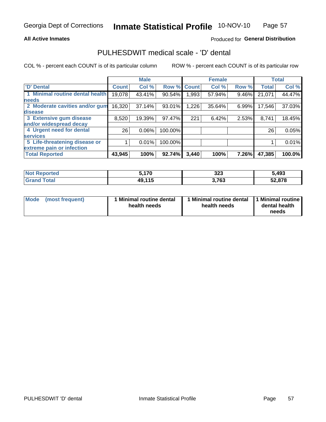### **All Active Inmates**

# Produced for General Distribution

# PULHESDWIT medical scale - 'D' dental

COL % - percent each COUNT is of its particular column

|                                 |              | <b>Male</b> |         |              | <b>Female</b> |       |              | <b>Total</b> |
|---------------------------------|--------------|-------------|---------|--------------|---------------|-------|--------------|--------------|
| <b>D'</b> Dental                | <b>Count</b> | Col %       | Row %   | <b>Count</b> | Col %         | Row % | <b>Total</b> | Col %        |
| 1 Minimal routine dental health | 19,078       | 43.41%      | 90.54%  | .993         | 57.94%        | 9.46% | 21,071       | 44.47%       |
| <b>needs</b>                    |              |             |         |              |               |       |              |              |
| 2 Moderate cavities and/or gum  | 16,320       | 37.14%      | 93.01%  | 1,226        | 35.64%        | 6.99% | 17,546       | 37.03%       |
| disease                         |              |             |         |              |               |       |              |              |
| 3 Extensive gum disease         | 8,520        | 19.39%      | 97.47%  | 221          | 6.42%         | 2.53% | 8,741        | 18.45%       |
| and/or widespread decay         |              |             |         |              |               |       |              |              |
| 4 Urgent need for dental        | 26           | $0.06\%$    | 100.00% |              |               |       | 26           | 0.05%        |
| <b>services</b>                 |              |             |         |              |               |       |              |              |
| 5 Life-threatening disease or   |              | 0.01%       | 100.00% |              |               |       |              | 0.01%        |
| extreme pain or infection       |              |             |         |              |               |       |              |              |
| <b>Total Reported</b>           | 43,945       | 100%        | 92.74%  | 3,440        | 100%          | 7.26% | 47,385       | 100.0%       |

| <b>Not Reported</b> | .170   | າາາ<br>د∠د | 5,493  |
|---------------------|--------|------------|--------|
| <b>Grand Total</b>  | 49,115 | 3,763      | 52,878 |

| 1 Minimal routine dental<br>Mode<br>(most frequent)<br>health needs | 1 Minimal routine dental 1 Minimal routine<br>health needs | dental health<br>needs |
|---------------------------------------------------------------------|------------------------------------------------------------|------------------------|
|---------------------------------------------------------------------|------------------------------------------------------------|------------------------|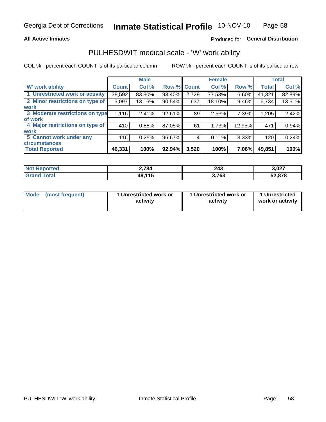### **All Active Inmates**

# Produced for General Distribution

# PULHESDWIT medical scale - 'W' work ability

COL % - percent each COUNT is of its particular column

|                                 |                    | <b>Male</b> |        |             | <b>Female</b> |        |              | <b>Total</b> |
|---------------------------------|--------------------|-------------|--------|-------------|---------------|--------|--------------|--------------|
| 'W' work ability                | Count <sup>1</sup> | Col %       |        | Row % Count | Col %         | Row %  | <b>Total</b> | Col %        |
| 1 Unrestricted work or activity | 38,592             | 83.30%      | 93.40% | 2,729       | 77.53%        | 6.60%  | 41,321       | 82.89%       |
| 2 Minor restrictions on type of | 6,097              | 13.16%      | 90.54% | 637         | 18.10%        | 9.46%  | 6,734        | 13.51%       |
| <b>work</b>                     |                    |             |        |             |               |        |              |              |
| 3 Moderate restrictions on type | 1,116              | 2.41%       | 92.61% | 89          | 2.53%         | 7.39%  | 1,205        | 2.42%        |
| of work                         |                    |             |        |             |               |        |              |              |
| 4 Major restrictions on type of | 410                | 0.88%       | 87.05% | 61          | 1.73%         | 12.95% | 471          | 0.94%        |
| <b>work</b>                     |                    |             |        |             |               |        |              |              |
| 5 Cannot work under any         | 116                | 0.25%       | 96.67% | 4           | 0.11%         | 3.33%  | 120          | 0.24%        |
| <b>circumstances</b>            |                    |             |        |             |               |        |              |              |
| <b>Total Reported</b>           | 46,331             | 100%        | 92.94% | 3,520       | 100%          | 7.06%  | 49,851       | 100%         |

| NotR           | 2,784  | 243    | 3,027  |
|----------------|--------|--------|--------|
| <b>Enorted</b> |        | $\sim$ | __     |
| <b>Total</b>   | 49,115 | 3,763  | 52,878 |

| Mode            | 1 Unrestricted work or | 1 Unrestricted work or | 1 Unrestricted   |
|-----------------|------------------------|------------------------|------------------|
| (most frequent) | activity               | activity               | work or activity |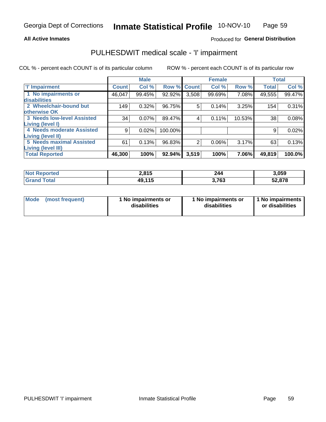#### **All Active Inmates**

## Produced for General Distribution

# PULHESDWIT medical scale - 'I' impairment

COL % - percent each COUNT is of its particular column

|                                                              |              | <b>Male</b> |         |             | <b>Female</b> |        |              | <b>Total</b> |
|--------------------------------------------------------------|--------------|-------------|---------|-------------|---------------|--------|--------------|--------------|
| <b>T' Impairment</b>                                         | <b>Count</b> | Col %       |         | Row % Count | Col %         | Row %  | <b>Total</b> | Col %        |
| 1 No impairments or<br>disabilities                          | 46,047       | 99.45%      | 92.92%  | 3,508       | 99.69%        | 7.08%  | 49,555       | 99.47%       |
| 2 Wheelchair-bound but<br>otherwise OK                       | 149          | 0.32%       | 96.75%  | 5           | 0.14%         | 3.25%  | 154          | 0.31%        |
| <b>3 Needs low-level Assisted</b><br>Living (level I)        | 34           | 0.07%       | 89.47%  | 4           | 0.11%         | 10.53% | 38           | 0.08%        |
| 4 Needs moderate Assisted<br><b>Living (level II)</b>        | 9            | 0.02%       | 100.00% |             |               |        | 9            | 0.02%        |
| <b>5 Needs maximal Assisted</b><br><b>Living (level III)</b> | 61           | 0.13%       | 96.83%  | 2           | 0.06%         | 3.17%  | 63           | 0.13%        |
| <b>Total Reported</b>                                        | 46,300       | 100%        | 92.94%  | 3,519       | 100%          | 7.06%  | 49,819       | 100.0%       |

| $^{\dagger}$ Not $\cdot$<br>Reported | 2,815  | 244         | 3,059  |
|--------------------------------------|--------|-------------|--------|
| <b>Total</b><br><b>Grand</b>         | 49,115 | 700<br>נט ו | 52,878 |

| Mode | (most frequent) | 1 No impairments or<br>disabilities | 1 No impairments or<br>disabilities | 1 No impairments<br>or disabilities |
|------|-----------------|-------------------------------------|-------------------------------------|-------------------------------------|
|------|-----------------|-------------------------------------|-------------------------------------|-------------------------------------|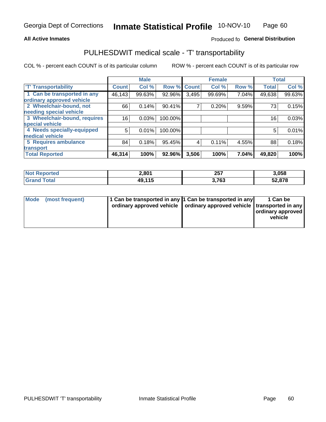### **All Active Inmates**

## Produced fo General Distribution

# PULHESDWIT medical scale - 'T' transportability

COL % - percent each COUNT is of its particular column

|                              |              | <b>Male</b> |         |              | <b>Female</b> |       | <b>Total</b> |        |
|------------------------------|--------------|-------------|---------|--------------|---------------|-------|--------------|--------|
| <b>T' Transportability</b>   | <b>Count</b> | Col %       | Row %   | <b>Count</b> | Col %         | Row % | <b>Total</b> | Col %  |
| 1 Can be transported in any  | 46,143       | 99.63%      | 92.96%  | 3,495        | 99.69%        | 7.04% | 49,638       | 99.63% |
| ordinary approved vehicle    |              |             |         |              |               |       |              |        |
| 2 Wheelchair-bound, not      | 66           | 0.14%       | 90.41%  | 7            | 0.20%         | 9.59% | 73           | 0.15%  |
| needing special vehicle      |              |             |         |              |               |       |              |        |
| 3 Wheelchair-bound, requires | 16           | 0.03%       | 100.00% |              |               |       | 16           | 0.03%  |
| special vehicle              |              |             |         |              |               |       |              |        |
| 4 Needs specially-equipped   | 5            | 0.01%       | 100.00% |              |               |       | 5            | 0.01%  |
| medical vehicle              |              |             |         |              |               |       |              |        |
| <b>5 Requires ambulance</b>  | 84           | 0.18%       | 95.45%  | 4            | 0.11%         | 4.55% | 88           | 0.18%  |
| transport                    |              |             |         |              |               |       |              |        |
| <b>Total Reported</b>        | 46,314       | 100%        | 92.96%  | 3,506        | 100%          | 7.04% | 49,820       | 100%   |

| eported:   | 2,801  | クロフ<br>וטב  | 3,058  |
|------------|--------|-------------|--------|
| <b>ota</b> | 49,115 | 762<br>נט ו | 52,878 |

|  | Mode (most frequent) | 1 Can be transported in any 1 Can be transported in any<br>ordinary approved vehicle   ordinary approved vehicle   transported in any |  | 1 Can be<br>  ordinary approved  <br>vehicle |
|--|----------------------|---------------------------------------------------------------------------------------------------------------------------------------|--|----------------------------------------------|
|--|----------------------|---------------------------------------------------------------------------------------------------------------------------------------|--|----------------------------------------------|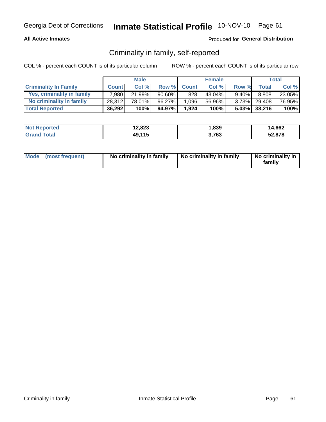### **All Active Inmates**

## Produced for General Distribution

# Criminality in family, self-reported

COL % - percent each COUNT is of its particular column

|                              |              | <b>Male</b> |           |              | <b>Female</b> |          |              | Total  |
|------------------------------|--------------|-------------|-----------|--------------|---------------|----------|--------------|--------|
| <b>Criminality In Family</b> | <b>Count</b> | Col%        | Row %     | <b>Count</b> | Col %         | Row %    | Total        | Col %  |
| Yes, criminality in family   | 7,980        | 21.99%      | $90.60\%$ | 828          | 43.04%        | $9.40\%$ | 8,808        | 23.05% |
| No criminality in family     | 28.312       | 78.01%      | 96.27%    | 1,096        | 56.96%        |          | 3.73% 29,408 | 76.95% |
| <b>Total Reported</b>        | 36,292       | 100%        | 94.97%    | 1,924        | 100%          |          | 5.03% 38,216 | 100%   |

| <b>Not Reported</b> | 12,823       | 839. ا | 14,662 |
|---------------------|--------------|--------|--------|
| Total               | .115<br>49,1 | ,763   | 52,878 |

|  | Mode (most frequent) | No criminality in family | No criminality in family | No criminality in<br>family |
|--|----------------------|--------------------------|--------------------------|-----------------------------|
|--|----------------------|--------------------------|--------------------------|-----------------------------|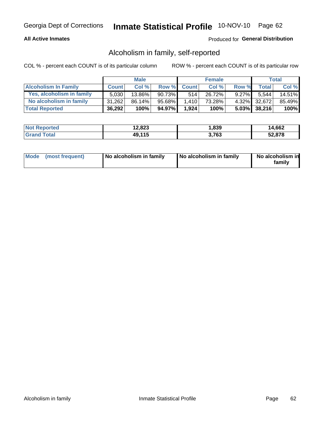### **All Active Inmates**

## Produced for General Distribution

# Alcoholism in family, self-reported

COL % - percent each COUNT is of its particular column

|                             |              | <b>Male</b> |        |              | <b>Female</b> |          |              | Total   |
|-----------------------------|--------------|-------------|--------|--------------|---------------|----------|--------------|---------|
| <b>Alcoholism In Family</b> | <b>Count</b> | Col %       | Row %  | <b>Count</b> | Col %         | Row %    | <b>Total</b> | Col %   |
| Yes, alcoholism in family   | 5,030        | 13.86%      | 90.73% | 514          | 26.72%        | $9.27\%$ | 5.544        | 14.51%  |
| No alcoholism in family     | 31.262       | 86.14%      | 95.68% | 1.410        | 73.28%        |          | 4.32% 32,672 | 85.49%  |
| <b>Total Reported</b>       | 36,292       | 100%        | 94.97% | 1,924        | 100%          |          | 5.03% 38,216 | $100\%$ |

| <b>Not Reported</b> | 12,823 | 1,839 | 14.662 |
|---------------------|--------|-------|--------|
| Total               | 49,115 | .763  | 52,878 |

|  | Mode (most frequent) | No alcoholism in family | No alcoholism in family | No alcoholism in<br>family |
|--|----------------------|-------------------------|-------------------------|----------------------------|
|--|----------------------|-------------------------|-------------------------|----------------------------|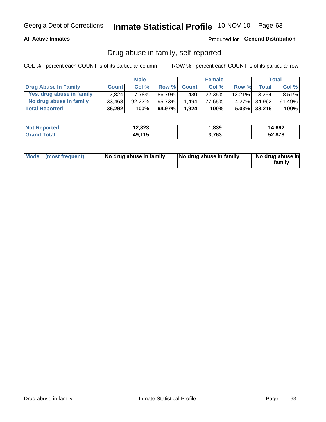## **All Active Inmates**

# Produced for General Distribution

# Drug abuse in family, self-reported

COL % - percent each COUNT is of its particular column

|                           |              | <b>Male</b> |        |                  | <b>Female</b> |           |                 | Total    |
|---------------------------|--------------|-------------|--------|------------------|---------------|-----------|-----------------|----------|
| Drug Abuse In Family      | <b>Count</b> | Col%        | Row %  | <b>Count</b>     | Col %         | Row %     | Total           | Col %    |
| Yes, drug abuse in family | 2,824        | 7.78%       | 86.79% | 430 <sup>1</sup> | 22.35%        | $13.21\%$ | 3.254           | $8.51\%$ |
| No drug abuse in family   | 33.468       | 92.22%      | 95.73% | 1.494            | 77.65%        |           | 4.27% 34,962    | 91.49%   |
| <b>Total Reported</b>     | 36,292       | 100%        | 94.97% | 1,924            | 100%          |           | $5.03\%$ 38,216 | $100\%$  |

| <b>Not Reported</b> | 12,823 | 1,839 | 14.662 |
|---------------------|--------|-------|--------|
| Total               | 49,115 | .763  | 52,878 |

|  | Mode (most frequent) | No drug abuse in family | No drug abuse in family | No drug abuse in<br>familv |
|--|----------------------|-------------------------|-------------------------|----------------------------|
|--|----------------------|-------------------------|-------------------------|----------------------------|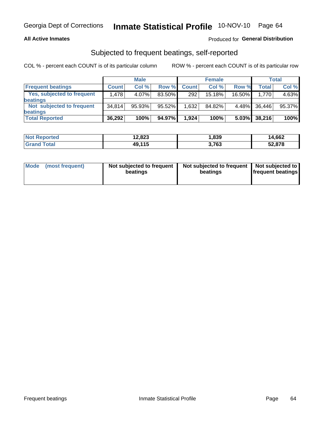### **All Active Inmates**

## Produced for General Distribution

# Subjected to frequent beatings, self-reported

COL % - percent each COUNT is of its particular column

|                            |              | <b>Male</b> |        |              | <b>Female</b> |          |        | Total  |
|----------------------------|--------------|-------------|--------|--------------|---------------|----------|--------|--------|
| <b>Frequent beatings</b>   | <b>Count</b> | Col %       | Row %  | <b>Count</b> | Col %         | Row %    | Total  | Col%   |
| Yes, subjected to frequent | 1,478        | 4.07%       | 83.50% | 292          | 15.18%        | 16.50%   | 1.770  | 4.63%  |
| <b>beatings</b>            |              |             |        |              |               |          |        |        |
| Not subjected to frequent  | 34.814       | 95.93%      | 95.52% | 1,632        | 84.82%        | $4.48\%$ | 36,446 | 95.37% |
| <b>beatings</b>            |              |             |        |              |               |          |        |        |
| <b>Total Reported</b>      | 36,292       | 100%        | 94.97% | 1,924        | 100%          | $5.03\%$ | 38,216 | 100%   |

| <b>Not Reported</b> | 12,823 | 1,839 | 14,662 |
|---------------------|--------|-------|--------|
| <b>Grand Total</b>  | 49,115 | 3,763 | 52,878 |

| Mode (most frequent) | Not subjected to frequent<br>beatings | Not subjected to frequent<br>beatings | Not subjected to<br><b>frequent beatings</b> |
|----------------------|---------------------------------------|---------------------------------------|----------------------------------------------|
|                      |                                       |                                       |                                              |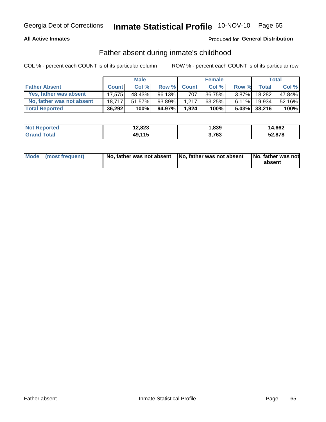### **All Active Inmates**

# **Produced for General Distribution**

# Father absent during inmate's childhood

COL % - percent each COUNT is of its particular column

|                           |              | <b>Male</b> |        |              | <b>Female</b> |          |              | Total  |
|---------------------------|--------------|-------------|--------|--------------|---------------|----------|--------------|--------|
| <b>Father Absent</b>      | <b>Count</b> | Col %       | Row %  | <b>Count</b> | Col %         | Row %    | <b>Total</b> | Col %  |
| Yes, father was absent    | 17.575       | 48.43%      | 96.13% | 707          | 36.75%        | $3.87\%$ | 18.282       | 47.84% |
| No, father was not absent | 18.717       | 51.57%      | 93.89% | 1.217        | 63.25%        | 6.11%    | 19.934       | 52.16% |
| <b>Total Reported</b>     | 36,292       | 100%        | 94.97% | 1.924        | 100%          |          | 5.03% 38,216 | 100%   |

| <b>Not Reported</b> | 12,823<br>A ^ | 839. ا | 14.662 |
|---------------------|---------------|--------|--------|
| <b>Srand Total</b>  | 49,115        | 3,763  | 52,878 |

|  | Mode (most frequent) | No, father was not absent No, father was not absent |  | No, father was not<br>absent |
|--|----------------------|-----------------------------------------------------|--|------------------------------|
|--|----------------------|-----------------------------------------------------|--|------------------------------|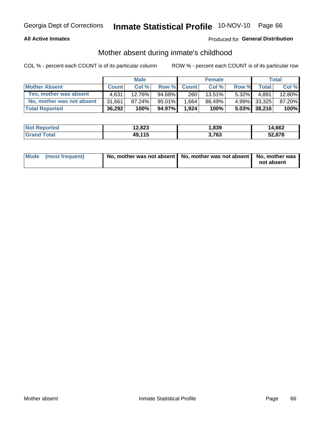### **All Active Inmates**

# **Produced for General Distribution**

# Mother absent during inmate's childhood

COL % - percent each COUNT is of its particular column

|                           |              | <b>Male</b> |           |              | <b>Female</b> |          |              | Total  |
|---------------------------|--------------|-------------|-----------|--------------|---------------|----------|--------------|--------|
| <b>Mother Absent</b>      | <b>Count</b> | Col%        | Row %     | <b>Count</b> | Col %         | Row %    | <b>Total</b> | Col %  |
| Yes, mother was absent    | 4.631        | 12.76%      | 94.68%    | 260          | $13.51\%$     | $5.32\%$ | 4.891        | 12.80% |
| No, mother was not absent | 31,661       | 87.24%      | $95.01\%$ | .664         | 86.49%        |          | 4.99% 33,325 | 87.20% |
| <b>Total Reported</b>     | 36,292       | 100%        | 94.97%    | 1.924        | 100%          |          | 5.03% 38,216 | 100%   |

| <b>Not Reported</b> | 12,823<br>A ^ | 839. ا | 14.662 |
|---------------------|---------------|--------|--------|
| <b>Srand Total</b>  | 49,115        | 3,763  | 52,878 |

| Mode (most frequent) | No, mother was not absent   No, mother was not absent   No, mother was | not absent |
|----------------------|------------------------------------------------------------------------|------------|
|----------------------|------------------------------------------------------------------------|------------|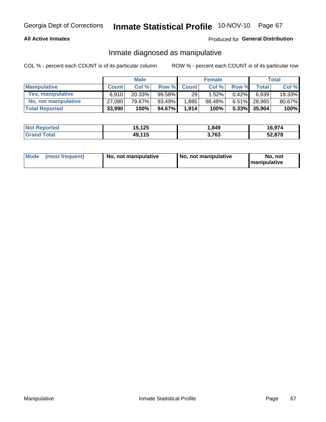### **All Active Inmates**

## Produced for General Distribution

# Inmate diagnosed as manipulative

COL % - percent each COUNT is of its particular column

|                       |              | <b>Male</b> |        |              | <b>Female</b> |          |              | Total  |
|-----------------------|--------------|-------------|--------|--------------|---------------|----------|--------------|--------|
| <b>Manipulative</b>   | <b>Count</b> | Col %       | Row %  | <b>Count</b> | Col %         | Row %    | <b>Total</b> | Col %  |
| Yes, manipulative     | 6.910        | 20.33%      | 99.58% | 29           | 1.52%         | $0.42\%$ | 6.939        | 19.33% |
| No, not manipulative  | 27,080       | 79.67%      | 93.49% | 1,885        | 98.48%        | $6.51\%$ | 28.965       | 80.67% |
| <b>Total Reported</b> | 33,990       | 100%        | 94.67% | 1,914        | 100%          | $5.33\%$ | 35,904       | 100%   |

| <b>Not Reported</b>       | 15,125 | 849. ا | 16,974 |
|---------------------------|--------|--------|--------|
| <b>Total</b><br>l Grand T | 49,115 | 3,763  | 52,878 |

|  | Mode (most frequent) | No, not manipulative | No, not manipulative | No. not<br><b>I</b> manipulative |
|--|----------------------|----------------------|----------------------|----------------------------------|
|--|----------------------|----------------------|----------------------|----------------------------------|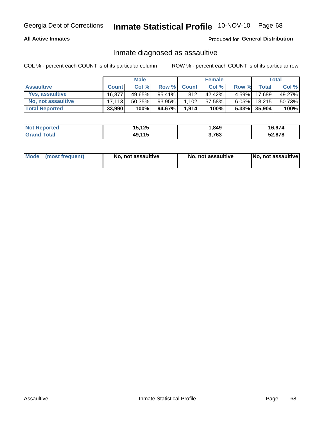### **All Active Inmates**

### Produced for General Distribution

# Inmate diagnosed as assaultive

COL % - percent each COUNT is of its particular column

|                       |              | <b>Male</b> |           |              | <b>Female</b> |          |              | Total  |
|-----------------------|--------------|-------------|-----------|--------------|---------------|----------|--------------|--------|
| <b>Assaultive</b>     | <b>Count</b> | Col%        | Row %     | <b>Count</b> | Col %         | Row %    | <b>Total</b> | Col %  |
| Yes, assaultive       | 16,877       | 49.65%      | $95.41\%$ | 812          | 42.42%        | $4.59\%$ | 17,689       | 49.27% |
| No, not assaultive    | 17.113       | $50.35\%$   | 93.95%    | 1,102        | 57.58%        | $6.05\%$ | 18,215       | 50.73% |
| <b>Total Reported</b> | 33,990       | 100%        | 94.67%    | 1,914        | 100%          |          | 5.33% 35,904 | 100%   |

| <b>Not Reported</b> | 15,125 | 849. ا | 16,974 |
|---------------------|--------|--------|--------|
| <b>Grand Total</b>  | 49,115 | 3,763  | 52,878 |

|  | Mode (most frequent) | No, not assaultive | No, not assaultive | No, not assaultive |
|--|----------------------|--------------------|--------------------|--------------------|
|--|----------------------|--------------------|--------------------|--------------------|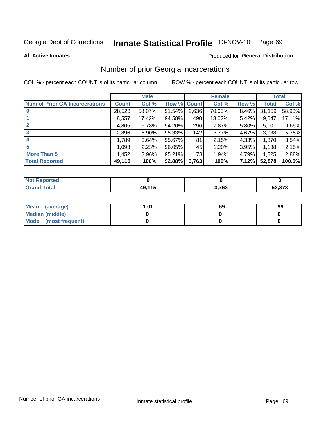# Inmate Statistical Profile 10-NOV-10 Page 69

**All Active Inmates** 

#### Produced for General Distribution

# Number of prior Georgia incarcerations

COL % - percent each COUNT is of its particular column

|                                       |              | <b>Male</b> |             |       | <b>Female</b> |       |        | <b>Total</b> |
|---------------------------------------|--------------|-------------|-------------|-------|---------------|-------|--------|--------------|
| <b>Num of Prior GA Incarcerations</b> | <b>Count</b> | Col %       | Row % Count |       | Col %         | Row % | Total  | Col %        |
|                                       | 28,523       | 58.07%      | 91.54%      | 2,636 | 70.05%        | 8.46% | 31,159 | 58.93%       |
|                                       | 8,557        | 17.42%      | 94.58%      | 490   | 13.02%        | 5.42% | 9,047  | 17.11%       |
| $\overline{2}$                        | 4,805        | 9.78%       | 94.20%      | 296   | 7.87%         | 5.80% | 5,101  | 9.65%        |
| 3                                     | 2,896        | 5.90%       | 95.33%      | 142   | 3.77%         | 4.67% | 3,038  | 5.75%        |
| $\boldsymbol{4}$                      | 1,789        | 3.64%       | 95.67%      | 81    | 2.15%         | 4.33% | 1,870  | 3.54%        |
| 5                                     | 1,093        | 2.23%       | 96.05%      | 45    | 1.20%         | 3.95% | 1,138  | 2.15%        |
| <b>More Than 5</b>                    | 1,452        | 2.96%       | $95.21\%$   | 731   | 1.94%         | 4.79% | 1,525  | 2.88%        |
| <b>Total Reported</b>                 | 49,115       | 100%        | 92.88%      | 3,763 | 100%          | 7.12% | 52,878 | 100.0%       |

| <b>Not</b><br>Reported       |               |       |        |
|------------------------------|---------------|-------|--------|
| <b>Total</b><br><b>Grand</b> | <b>40 115</b> | 3,763 | 52,878 |

| Mean (average)       | l.01 | .69 | .99 |
|----------------------|------|-----|-----|
| Median (middle)      |      |     |     |
| Mode (most frequent) |      |     |     |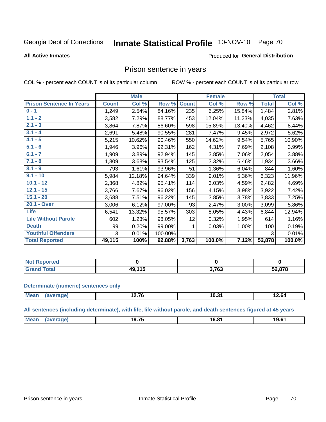#### Inmate Statistical Profile 10-NOV-10 Page 70

#### **All Active Inmates**

#### Produced for General Distribution

# Prison sentence in years

COL % - percent each COUNT is of its particular column

ROW % - percent each COUNT is of its particular row

|                                 |              | <b>Male</b> |         |              | <b>Female</b> |        |              | <b>Total</b> |
|---------------------------------|--------------|-------------|---------|--------------|---------------|--------|--------------|--------------|
| <b>Prison Sentence In Years</b> | <b>Count</b> | Col %       | Row %   | <b>Count</b> | Col %         | Row %  | <b>Total</b> | Col %        |
| $0 - 1$                         | 1,249        | 2.54%       | 84.16%  | 235          | 6.25%         | 15.84% | 1,484        | 2.81%        |
| $1.1 - 2$                       | 3,582        | 7.29%       | 88.77%  | 453          | 12.04%        | 11.23% | 4,035        | 7.63%        |
| $2.1 - 3$                       | 3,864        | 7.87%       | 86.60%  | 598          | 15.89%        | 13.40% | 4,462        | 8.44%        |
| $3.1 - 4$                       | 2,691        | 5.48%       | 90.55%  | 281          | 7.47%         | 9.45%  | 2,972        | 5.62%        |
| $4.1 - 5$                       | 5,215        | 10.62%      | 90.46%  | 550          | 14.62%        | 9.54%  | 5,765        | 10.90%       |
| $5.1 - 6$                       | 1,946        | 3.96%       | 92.31%  | 162          | 4.31%         | 7.69%  | 2,108        | 3.99%        |
| $6.1 - 7$                       | 1,909        | 3.89%       | 92.94%  | 145          | 3.85%         | 7.06%  | 2,054        | 3.88%        |
| $7.1 - 8$                       | 1,809        | 3.68%       | 93.54%  | 125          | 3.32%         | 6.46%  | 1,934        | 3.66%        |
| $8.1 - 9$                       | 793          | 1.61%       | 93.96%  | 51           | 1.36%         | 6.04%  | 844          | 1.60%        |
| $9.1 - 10$                      | 5,984        | 12.18%      | 94.64%  | 339          | 9.01%         | 5.36%  | 6,323        | 11.96%       |
| $10.1 - 12$                     | 2,368        | 4.82%       | 95.41%  | 114          | 3.03%         | 4.59%  | 2,482        | 4.69%        |
| $12.1 - 15$                     | 3,766        | 7.67%       | 96.02%  | 156          | 4.15%         | 3.98%  | 3,922        | 7.42%        |
| $15.1 - 20$                     | 3,688        | 7.51%       | 96.22%  | 145          | 3.85%         | 3.78%  | 3,833        | 7.25%        |
| 20.1 - Over                     | 3,006        | 6.12%       | 97.00%  | 93           | 2.47%         | 3.00%  | 3,099        | 5.86%        |
| Life                            | 6,541        | 13.32%      | 95.57%  | 303          | 8.05%         | 4.43%  | 6,844        | 12.94%       |
| <b>Life Without Parole</b>      | 602          | 1.23%       | 98.05%  | 12           | 0.32%         | 1.95%  | 614          | 1.16%        |
| <b>Death</b>                    | 99           | 0.20%       | 99.00%  |              | 0.03%         | 1.00%  | 100          | 0.19%        |
| <b>Youthful Offenders</b>       | 3            | 0.01%       | 100.00% |              |               |        | 3            | 0.01%        |
| <b>Total Reported</b>           | 49,115       | 100%        | 92.88%  | 3,763        | 100.0%        | 7.12%  | 52,878       | 100.0%       |

| Reported<br>I NOT |      |              |      |
|-------------------|------|--------------|------|
| $n+n$<br>. Cart   | 44 F | ר 70<br>フィリー | .878 |

#### **Determinate (numeric) sentences only**

| <b>Mean</b> | ממנ | <b>276</b> פ<br>. | 10.31 | $\ddot{\phantom{0}}$<br>. Z. 04 |
|-------------|-----|-------------------|-------|---------------------------------|
|             |     |                   |       |                                 |

All sentences (including determinate), with life, life without parole, and death sentences figured at 45 years

| .<br>Me:<br>$16.8^\circ$<br>10C<br>75<br>19.<br>ס.פ<br>____ |  |  |  |
|-------------------------------------------------------------|--|--|--|
|                                                             |  |  |  |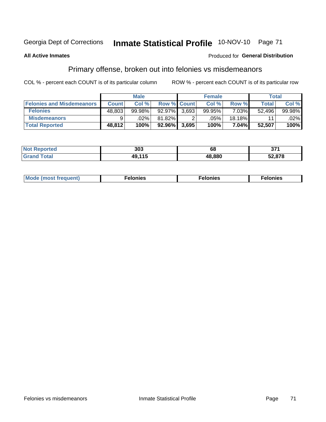#### Inmate Statistical Profile 10-NOV-10 Page 71 Georgia Dept of Corrections

#### **All Active Inmates**

#### Produced for General Distribution

# Primary offense, broken out into felonies vs misdemeanors

COL % - percent each COUNT is of its particular column

|                                  |              | <b>Male</b> |           |                    | <b>Female</b>      |          | Total  |         |
|----------------------------------|--------------|-------------|-----------|--------------------|--------------------|----------|--------|---------|
| <b>Felonies and Misdemeanors</b> | <b>Count</b> | Col%        |           | <b>Row % Count</b> | Col%               | Row %    | Total, | Col %   |
| <b>Felonies</b>                  | 48,803       | 99.98%      | $92.97\%$ | 3.693              | 99.95%             | $7.03\%$ | 52.496 | 99.98%  |
| <b>Misdemeanors</b>              | 9            | $.02\%$     | 81.82%    |                    | $.05\%$ $^{\circ}$ | 18.18%   | 11     | $.02\%$ |
| <b>Total Reported</b>            | 48,812       | 100%        | 92.96%    | 3,695              | 100%               | 7.04%    | 52,507 | 100%    |

| <b>Not</b>                        | つのつ        | 69     | ^74     |
|-----------------------------------|------------|--------|---------|
| eported                           | აυა        |        | . J I I |
| <b>Grand</b><br><sup>-</sup> otal | $AO$ $11F$ | 18.880 | 52,878  |

|  | Mo | . | a masa sa sa<br>. | onies<br>. |
|--|----|---|-------------------|------------|
|--|----|---|-------------------|------------|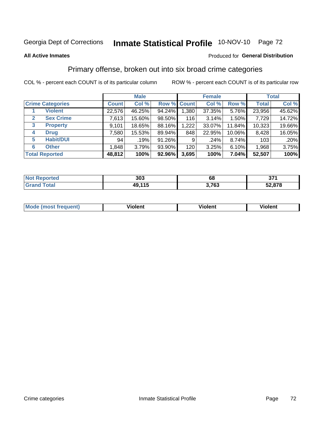# Inmate Statistical Profile 10-NOV-10 Page 72

#### **All Active Inmates**

### **Produced for General Distribution**

### Primary offense, broken out into six broad crime categories

COL % - percent each COUNT is of its particular column

|                                 |              | <b>Male</b> |        |             | <b>Female</b> |        |              | <b>Total</b> |
|---------------------------------|--------------|-------------|--------|-------------|---------------|--------|--------------|--------------|
| <b>Crime Categories</b>         | <b>Count</b> | Col %       |        | Row % Count | Col %         | Row %  | <b>Total</b> | Col %        |
| <b>Violent</b>                  | 22,576       | 46.25%      | 94.24% | 1,380       | 37.35%        | 5.76%  | 23,956       | 45.62%       |
| <b>Sex Crime</b><br>2           | 7,613        | 15.60%      | 98.50% | 116         | 3.14%         | 1.50%  | 7,729        | 14.72%       |
| $\mathbf{3}$<br><b>Property</b> | 9,101        | 18.65%      | 88.16% | 1,222       | 33.07%        | 11.84% | 10,323       | 19.66%       |
| <b>Drug</b><br>4                | 7,580        | 15.53%      | 89.94% | 848         | 22.95%        | 10.06% | 8,428        | 16.05%       |
| <b>Habit/DUI</b><br>5           | 94           | .19%        | 91.26% | 9           | .24%          | 8.74%  | 103          | .20%         |
| <b>Other</b><br>6               | 1,848        | 3.79%       | 93.90% | 120         | 3.25%         | 6.10%  | 1,968        | 3.75%        |
| <b>Total Reported</b>           | 48,812       | 100%        | 92.96% | 3,695       | 100%          | 7.04%  | 52,507       | 100%         |

| <u>າrteg</u>          | 303                 | ^^            | $\sim$ |
|-----------------------|---------------------|---------------|--------|
| NO.                   |                     | oo            | ווט    |
| $f \wedge f \wedge f$ | 115<br>49.1<br>- 19 | ר ד כ<br>. v. | 52,878 |

| Mo<br>uent)<br>nos | .<br>/iolent | <br>Violent | - --<br><b>Tiolent</b> |
|--------------------|--------------|-------------|------------------------|
|                    |              |             |                        |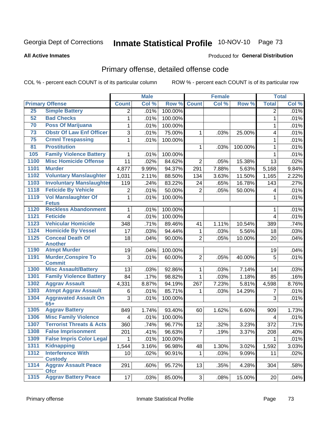# Inmate Statistical Profile 10-NOV-10 Page 73

#### **All Active Inmates**

#### **Produced for General Distribution**

## Primary offense, detailed offense code

COL % - percent each COUNT is of its particular column

|      |                                             |                 | <b>Male</b> |         |                | <b>Female</b> |         |                      | <b>Total</b> |
|------|---------------------------------------------|-----------------|-------------|---------|----------------|---------------|---------|----------------------|--------------|
|      | <b>Primary Offense</b>                      | <b>Count</b>    | Col %       | Row %   | <b>Count</b>   | Col %         | Row %   | <b>Total</b>         | Col %        |
| 25   | <b>Simple Battery</b>                       | $\overline{2}$  | .01%        | 100.00% |                |               |         | $\overline{2}$       | .01%         |
| 52   | <b>Bad Checks</b>                           | 1               | .01%        | 100.00% |                |               |         | $\mathbf{1}$         | .01%         |
| 70   | <b>Poss Of Marijuana</b>                    | 1               | .01%        | 100.00% |                |               |         | 1                    | .01%         |
| 73   | <b>Obstr Of Law Enf Officer</b>             | 3               | .01%        | 75.00%  | 1              | .03%          | 25.00%  | 4                    | .01%         |
| 75   | <b>Crmnl Trespassing</b>                    | 1               | .01%        | 100.00% |                |               |         | $\mathbf{1}$         | .01%         |
| 81   | <b>Prostitution</b>                         |                 |             |         | 1              | .03%          | 100.00% | 1                    | .01%         |
| 105  | <b>Family Violence Battery</b>              | 1               | .01%        | 100.00% |                |               |         | 1                    | .01%         |
| 1100 | <b>Misc Homicide Offense</b>                | 11              | .02%        | 84.62%  | $\overline{2}$ | .05%          | 15.38%  | 13                   | .02%         |
| 1101 | <b>Murder</b>                               | 4,877           | 9.99%       | 94.37%  | 291            | 7.88%         | 5.63%   | $\overline{5}$ , 168 | 9.84%        |
| 1102 | <b>Voluntary Manslaughter</b>               | 1,031           | 2.11%       | 88.50%  | 134            | 3.63%         | 11.50%  | 1,165                | 2.22%        |
| 1103 | <b>Involuntary Manslaughter</b>             | 119             | .24%        | 83.22%  | 24             | .65%          | 16.78%  | 143                  | .27%         |
| 1118 | <b>Feticide By Vehicle</b>                  | $\overline{2}$  | .01%        | 50.00%  | $\overline{2}$ | .05%          | 50.00%  | 4                    | .01%         |
| 1119 | <b>Vol Manslaughter Of</b><br><b>Fetus</b>  | $\mathbf{1}$    | .01%        | 100.00% |                |               |         | 1                    | .01%         |
| 1120 | <b>Reckless Abandonment</b>                 | $\mathbf{1}$    | .01%        | 100.00% |                |               |         | 1                    | .01%         |
| 1121 | <b>Feticide</b>                             | 4               | .01%        | 100.00% |                |               |         | $\overline{4}$       | .01%         |
| 1123 | <b>Vehicular Homicide</b>                   | 348             | .71%        | 89.46%  | 41             | 1.11%         | 10.54%  | 389                  | .74%         |
| 1124 | <b>Homicide By Vessel</b>                   | 17              | .03%        | 94.44%  | 1              | .03%          | 5.56%   | 18                   | .03%         |
| 1125 | <b>Conceal Death Of</b><br><b>Another</b>   | 18              | .04%        | 90.00%  | $\overline{2}$ | .05%          | 10.00%  | 20                   | .04%         |
| 1190 | <b>Atmpt Murder</b>                         | 19              | .04%        | 100.00% |                |               |         | 19                   | .04%         |
| 1191 | <b>Murder, Conspire To</b><br><b>Commit</b> | 3               | .01%        | 60.00%  | $\overline{2}$ | .05%          | 40.00%  | 5                    | .01%         |
| 1300 | <b>Misc Assault/Battery</b>                 | 13              | .03%        | 92.86%  | 1              | .03%          | 7.14%   | 14                   | .03%         |
| 1301 | <b>Family Violence Battery</b>              | 84              | .17%        | 98.82%  | $\mathbf{1}$   | .03%          | 1.18%   | 85                   | .16%         |
| 1302 | <b>Aggrav Assault</b>                       | 4,331           | 8.87%       | 94.19%  | 267            | 7.23%         | 5.81%   | 4,598                | 8.76%        |
| 1303 | <b>Atmpt Aggrav Assault</b>                 | 6               | .01%        | 85.71%  | 1              | .03%          | 14.29%  | $\overline{7}$       | .01%         |
| 1304 | <b>Aggravated Assault On</b><br>$65+$       | 3               | .01%        | 100.00% |                |               |         | 3                    | .01%         |
| 1305 | <b>Aggrav Battery</b>                       | 849             | 1.74%       | 93.40%  | 60             | 1.62%         | 6.60%   | 909                  | 1.73%        |
| 1306 | <b>Misc Family Violence</b>                 | $\overline{4}$  | .01%        | 100.00% |                |               |         | 4                    | .01%         |
| 1307 | <b>Terrorist Threats &amp; Acts</b>         | 360             | .74%        | 96.77%  | 12             | .32%          | 3.23%   | 372                  | .71%         |
| 1308 | <b>False Imprisonment</b>                   | 201             | .41%        | 96.63%  | $\overline{7}$ | .19%          | 3.37%   | 208                  | .40%         |
| 1309 | <b>False Impris Color Legal</b>             | 1               | .01%        | 100.00% |                |               |         |                      | .01%         |
| 1311 | <b>Kidnapping</b>                           | 1,544           | 3.16%       | 96.98%  | 48             | 1.30%         | 3.02%   | 1,592                | 3.03%        |
| 1312 | <b>Interference With</b><br><b>Custody</b>  | 10 <sup>1</sup> | .02%        | 90.91%  | 1              | .03%          | 9.09%   | 11                   | .02%         |
| 1314 | <b>Aggrav Assault Peace</b><br><b>Ofcr</b>  | 291             | .60%        | 95.72%  | 13             | .35%          | 4.28%   | 304                  | .58%         |
| 1315 | <b>Aggrav Battery Peace</b>                 | 17              | .03%        | 85.00%  | 3              | .08%          | 15.00%  | 20                   | .04%         |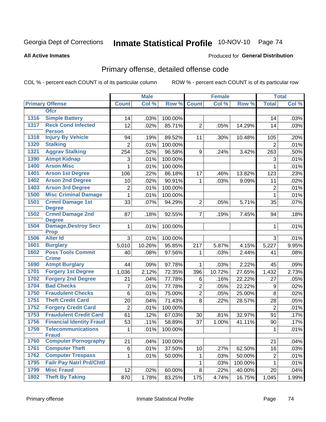# Inmate Statistical Profile 10-NOV-10 Page 74

#### **All Active Inmates**

#### **Produced for General Distribution**

## Primary offense, detailed offense code

COL % - percent each COUNT is of its particular column

|      |                                            |                | <b>Male</b> |         |                | <b>Female</b> |         |                  | <b>Total</b> |
|------|--------------------------------------------|----------------|-------------|---------|----------------|---------------|---------|------------------|--------------|
|      | <b>Primary Offense</b>                     | <b>Count</b>   | Col %       | Row %   | <b>Count</b>   | Col %         | Row %   | <b>Total</b>     | Col %        |
|      | <b>Ofcr</b>                                |                |             |         |                |               |         |                  |              |
| 1316 | <b>Simple Battery</b>                      | 14             | .03%        | 100.00% |                |               |         | 14               | .03%         |
| 1317 | <b>Reck Cond Infected</b><br><b>Person</b> | 12             | .02%        | 85.71%  | $\overline{2}$ | .05%          | 14.29%  | 14               | .03%         |
| 1318 | <b>Injury By Vehicle</b>                   | 94             | .19%        | 89.52%  | 11             | .30%          | 10.48%  | 105              | .20%         |
| 1320 | <b>Stalking</b>                            | $\overline{2}$ | .01%        | 100.00% |                |               |         | $\overline{2}$   | .01%         |
| 1321 | <b>Aggrav Stalking</b>                     | 254            | .52%        | 96.58%  | 9              | .24%          | 3.42%   | 263              | .50%         |
| 1390 | <b>Atmpt Kidnap</b>                        | 3              | .01%        | 100.00% |                |               |         | 3                | .01%         |
| 1400 | <b>Arson Misc</b>                          | 1              | .01%        | 100.00% |                |               |         | $\mathbf{1}$     | .01%         |
| 1401 | <b>Arson 1st Degree</b>                    | 106            | .22%        | 86.18%  | 17             | .46%          | 13.82%  | 123              | .23%         |
| 1402 | <b>Arson 2nd Degree</b>                    | 10             | .02%        | 90.91%  | $\mathbf{1}$   | .03%          | 9.09%   | 11               | .02%         |
| 1403 | <b>Arson 3rd Degree</b>                    | $\overline{c}$ | .01%        | 100.00% |                |               |         | $\overline{2}$   | .01%         |
| 1500 | <b>Misc Criminal Damage</b>                | 1              | .01%        | 100.00% |                |               |         | $\mathbf{1}$     | .01%         |
| 1501 | <b>Crmnl Damage 1st</b><br><b>Degree</b>   | 33             | .07%        | 94.29%  | $\overline{2}$ | .05%          | 5.71%   | 35               | .07%         |
| 1502 | <b>Crmnl Damage 2nd</b><br><b>Degree</b>   | 87             | .18%        | 92.55%  | $\overline{7}$ | .19%          | 7.45%   | 94               | .18%         |
| 1504 | <b>Damage, Destroy Secr</b><br><b>Prop</b> | 1              | .01%        | 100.00% |                |               |         | 1                | .01%         |
| 1506 | <b>Alter Id</b>                            | 3              | .01%        | 100.00% |                |               |         | 3                | .01%         |
| 1601 | <b>Burglary</b>                            | 5,010          | 10.26%      | 95.85%  | 217            | 5.87%         | 4.15%   | 5,227            | 9.95%        |
| 1602 | <b>Poss Tools Commit</b><br><b>Crime</b>   | 40             | .08%        | 97.56%  | 1              | .03%          | 2.44%   | 41               | .08%         |
| 1690 | <b>Atmpt Burglary</b>                      | 44             | .09%        | 97.78%  | 1              | .03%          | 2.22%   | 45               | .09%         |
| 1701 | <b>Forgery 1st Degree</b>                  | 1,036          | 2.12%       | 72.35%  | 396            | 10.72%        | 27.65%  | 1,432            | 2.73%        |
| 1702 | <b>Forgery 2nd Degree</b>                  | 21             | .04%        | 77.78%  | 6              | .16%          | 22.22%  | 27               | .05%         |
| 1704 | <b>Bad Checks</b>                          | 7              | .01%        | 77.78%  | $\overline{2}$ | .05%          | 22.22%  | 9                | .02%         |
| 1750 | <b>Fraudulent Checks</b>                   | $6\phantom{1}$ | .01%        | 75.00%  | $\overline{2}$ | .05%          | 25.00%  | 8                | .02%         |
| 1751 | <b>Theft Credit Card</b>                   | 20             | .04%        | 71.43%  | 8              | .22%          | 28.57%  | 28               | .05%         |
| 1752 | <b>Forgery Credit Card</b>                 | $\overline{2}$ | .01%        | 100.00% |                |               |         | $\overline{2}$   | .01%         |
| 1753 | <b>Fraudulent Credit Card</b>              | 61             | .12%        | 67.03%  | 30             | .81%          | 32.97%  | 91               | .17%         |
| 1756 | <b>Financial Identity Fraud</b>            | 53             | .11%        | 58.89%  | 37             | 1.00%         | 41.11%  | 90               | .17%         |
| 1759 | <b>Telecommunications</b><br><b>Fraud</b>  | 1              | .01%        | 100.00% |                |               |         | $\mathbf{1}$     | .01%         |
| 1760 | <b>Computer Pornography</b>                | 21             | .04%        | 100.00% |                |               |         | 21               | .04%         |
| 1761 | <b>Computer Theft</b>                      | 6              | .01%        | 37.50%  | 10             | .27%          | 62.50%  | 16               | .03%         |
| 1762 | <b>Computer Trespass</b>                   | 1              | .01%        | 50.00%  | 1              | .03%          | 50.00%  | $\boldsymbol{2}$ | .01%         |
| 1795 | <b>Failr Pay Natrl Prd/Chttl</b>           |                |             |         | 1              | .03%          | 100.00% | 1                | .01%         |
| 1799 | <b>Misc Fraud</b>                          | 12             | .02%        | 60.00%  | 8              | .22%          | 40.00%  | 20               | .04%         |
| 1802 | <b>Theft By Taking</b>                     | 870            | 1.78%       | 83.25%  | 175            | 4.74%         | 16.75%  | 1,045            | 1.99%        |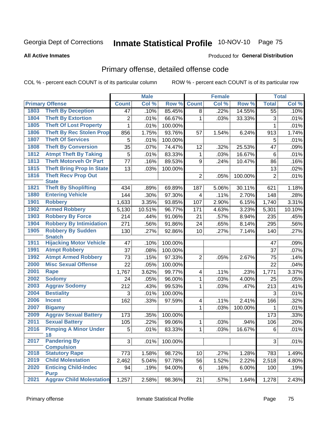# Inmate Statistical Profile 10-NOV-10 Page 75

#### **All Active Inmates**

#### **Produced for General Distribution**

## Primary offense, detailed offense code

COL % - percent each COUNT is of its particular column

|      |                                            |                | <b>Male</b> |         |                         | <b>Female</b> |         |                | <b>Total</b> |
|------|--------------------------------------------|----------------|-------------|---------|-------------------------|---------------|---------|----------------|--------------|
|      | <b>Primary Offense</b>                     | <b>Count</b>   | Col %       | Row %   | <b>Count</b>            | Col %         | Row %   | <b>Total</b>   | Col %        |
| 1803 | <b>Theft By Deception</b>                  | 47             | .10%        | 85.45%  | 8                       | .22%          | 14.55%  | 55             | .10%         |
| 1804 | <b>Theft By Extortion</b>                  | $\overline{c}$ | .01%        | 66.67%  | 1                       | .03%          | 33.33%  | 3              | .01%         |
| 1805 | <b>Theft Of Lost Property</b>              | 1              | .01%        | 100.00% |                         |               |         | 1              | .01%         |
| 1806 | <b>Theft By Rec Stolen Prop</b>            | 856            | 1.75%       | 93.76%  | 57                      | 1.54%         | 6.24%   | 913            | 1.74%        |
| 1807 | <b>Theft Of Services</b>                   | 5              | .01%        | 100.00% |                         |               |         | 5              | .01%         |
| 1808 | <b>Theft By Conversion</b>                 | 35             | .07%        | 74.47%  | 12                      | .32%          | 25.53%  | 47             | .09%         |
| 1812 | <b>Atmpt Theft By Taking</b>               | 5              | .01%        | 83.33%  | 1                       | .03%          | 16.67%  | 6              | .01%         |
| 1813 | <b>Theft Motorveh Or Part</b>              | 77             | .16%        | 89.53%  | 9                       | .24%          | 10.47%  | 86             | .16%         |
| 1815 | <b>Theft Bring Prop In State</b>           | 13             | .03%        | 100.00% |                         |               |         | 13             | .02%         |
| 1816 | <b>Theft Recv Prop Out</b><br><b>State</b> |                |             |         | $\overline{c}$          | .05%          | 100.00% | $\overline{2}$ | .01%         |
| 1821 | <b>Theft By Shoplifting</b>                | 434            | .89%        | 69.89%  | 187                     | 5.06%         | 30.11%  | 621            | 1.18%        |
| 1880 | <b>Entering Vehicle</b>                    | 144            | .30%        | 97.30%  | 4                       | .11%          | 2.70%   | 148            | .28%         |
| 1901 | <b>Robbery</b>                             | 1,633          | 3.35%       | 93.85%  | 107                     | 2.90%         | 6.15%   | 1,740          | 3.31%        |
| 1902 | <b>Armed Robbery</b>                       | 5,130          | 10.51%      | 96.77%  | 171                     | 4.63%         | 3.23%   | 5,301          | 10.10%       |
| 1903 | <b>Robbery By Force</b>                    | 214            | .44%        | 91.06%  | 21                      | .57%          | 8.94%   | 235            | .45%         |
| 1904 | <b>Robbery By Intimidation</b>             | 271            | .56%        | 91.86%  | 24                      | .65%          | 8.14%   | 295            | .56%         |
| 1905 | <b>Robbery By Sudden</b><br><b>Snatch</b>  | 130            | .27%        | 92.86%  | 10                      | .27%          | 7.14%   | 140            | .27%         |
| 1911 | <b>Hijacking Motor Vehicle</b>             | 47             | .10%        | 100.00% |                         |               |         | 47             | .09%         |
| 1991 | <b>Atmpt Robbery</b>                       | 37             | .08%        | 100.00% |                         |               |         | 37             | .07%         |
| 1992 | <b>Atmpt Armed Robbery</b>                 | 73             | .15%        | 97.33%  | $\overline{2}$          | .05%          | 2.67%   | 75             | .14%         |
| 2000 | <b>Misc Sexual Offense</b>                 | 22             | .05%        | 100.00% |                         |               |         | 22             | .04%         |
| 2001 | <b>Rape</b>                                | 1,767          | 3.62%       | 99.77%  | $\overline{\mathbf{4}}$ | .11%          | .23%    | 1,771          | 3.37%        |
| 2002 | <b>Sodomy</b>                              | 24             | .05%        | 96.00%  | 1                       | .03%          | 4.00%   | 25             | .05%         |
| 2003 | <b>Aggrav Sodomy</b>                       | 212            | .43%        | 99.53%  | $\mathbf 1$             | .03%          | .47%    | 213            | .41%         |
| 2004 | <b>Bestiality</b>                          | 3              | .01%        | 100.00% |                         |               |         | 3              | .01%         |
| 2006 | <b>Incest</b>                              | 162            | .33%        | 97.59%  | 4                       | .11%          | 2.41%   | 166            | .32%         |
| 2007 | <b>Bigamy</b>                              |                |             |         | 1                       | .03%          | 100.00% | 1              | .01%         |
| 2009 | <b>Aggrav Sexual Battery</b>               | 173            | .35%        | 100.00% |                         |               |         | 173            | .33%         |
| 2011 | <b>Sexual Battery</b>                      | 105            | .22%        | 99.06%  | 1                       | .03%          | .94%    | 106            | .20%         |
| 2016 | <b>Pimping A Minor Under</b><br>18         | $\overline{5}$ | .01%        | 83.33%  | $\mathbf{1}$            | .03%          | 16.67%  | 6              | .01%         |
| 2017 | <b>Pandering By</b><br><b>Compulsion</b>   | $\overline{3}$ | .01%        | 100.00% |                         |               |         | 3              | .01%         |
| 2018 | <b>Statutory Rape</b>                      | 773            | 1.58%       | 98.72%  | 10                      | .27%          | 1.28%   | 783            | 1.49%        |
| 2019 | <b>Child Molestation</b>                   | 2,462          | 5.04%       | 97.78%  | 56                      | 1.52%         | 2.22%   | 2,518          | 4.80%        |
| 2020 | <b>Enticing Child-Indec</b><br><b>Purp</b> | 94             | .19%        | 94.00%  | 6                       | .16%          | 6.00%   | 100            | .19%         |
| 2021 | <b>Aggrav Child Molestation</b>            | 1,257          | 2.58%       | 98.36%  | 21                      | .57%          | 1.64%   | 1,278          | 2.43%        |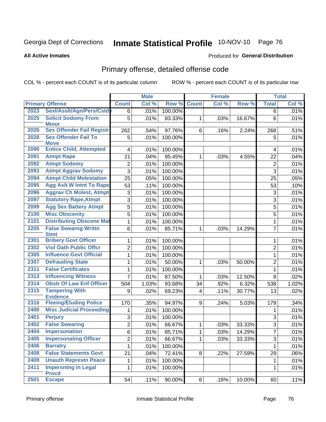# Inmate Statistical Profile 10-NOV-10 Page 76

#### **All Active Inmates**

#### **Produced for General Distribution**

## Primary offense, detailed offense code

COL % - percent each COUNT is of its particular column

|      |                                            |                         | <b>Male</b> |         |                | <b>Female</b> |        |                | <b>Total</b> |
|------|--------------------------------------------|-------------------------|-------------|---------|----------------|---------------|--------|----------------|--------------|
|      | <b>Primary Offense</b>                     | <b>Count</b>            | Col %       | Row %   | <b>Count</b>   | Col %         | Row %  | <b>Total</b>   | Col %        |
| 2023 | Sexl/Asslt/Agn/Pers/Cstdy                  | 6                       | .01%        | 100.00% |                |               |        | 6              | .01%         |
| 2025 | <b>Solicit Sodomy From</b><br><b>Minor</b> | 5                       | .01%        | 83.33%  | 1              | .03%          | 16.67% | 6              | .01%         |
| 2026 | <b>Sex Offender Fail Registr</b>           | 262                     | .54%        | 97.76%  | 6              | .16%          | 2.24%  | 268            | .51%         |
| 2028 | <b>Sex Offender Fail To</b><br><b>Move</b> | 5                       | .01%        | 100.00% |                |               |        | 5              | .01%         |
| 2090 | <b>Entice Child, Attempted</b>             | $\overline{\mathbf{4}}$ | .01%        | 100.00% |                |               |        | 4              | .01%         |
| 2091 | <b>Atmpt Rape</b>                          | 21                      | .04%        | 95.45%  | 1              | .03%          | 4.55%  | 22             | .04%         |
| 2092 | <b>Atmpt Sodomy</b>                        | $\overline{2}$          | .01%        | 100.00% |                |               |        | $\overline{2}$ | .01%         |
| 2093 | <b>Atmpt Aggrav Sodomy</b>                 | $\overline{3}$          | .01%        | 100.00% |                |               |        | 3              | .01%         |
| 2094 | <b>Atmpt Child Molestation</b>             | 25                      | .05%        | 100.00% |                |               |        | 25             | .05%         |
| 2095 | <b>Agg Aslt W Intnt To Rape</b>            | 53                      | .11%        | 100.00% |                |               |        | 53             | .10%         |
| 2096 | <b>Aggrav Ch Molest, Atmpt</b>             | 3                       | .01%        | 100.00% |                |               |        | 3              | .01%         |
| 2097 | <b>Statutory Rape, Atmpt</b>               | $\overline{3}$          | .01%        | 100.00% |                |               |        | 3              | .01%         |
| 2099 | <b>Agg Sex Battery Atmpt</b>               | $\overline{5}$          | .01%        | 100.00% |                |               |        | 5              | .01%         |
| 2100 | <b>Misc Obscenity</b>                      | $\overline{5}$          | .01%        | 100.00% |                |               |        | 5              | .01%         |
| 2101 | <b>Distributing Obscene Mat</b>            | $\mathbf{1}$            | .01%        | 100.00% |                |               |        | 1              | .01%         |
| 2205 | <b>False Swearng Writtn</b><br><b>Stmt</b> | 6                       | .01%        | 85.71%  | 1              | .03%          | 14.29% | $\overline{7}$ | .01%         |
| 2301 | <b>Bribery Govt Officer</b>                | 1                       | .01%        | 100.00% |                |               |        | 1              | .01%         |
| 2302 | <b>Viol Oath Public Offcr</b>              | $\overline{2}$          | .01%        | 100.00% |                |               |        | $\overline{2}$ | .01%         |
| 2305 | <b>Influence Govt Official</b>             | $\mathbf{1}$            | .01%        | 100.00% |                |               |        | $\mathbf{1}$   | .01%         |
| 2307 | <b>Defrauding State</b>                    | 1                       | .01%        | 50.00%  | 1              | .03%          | 50.00% | $\overline{2}$ | .01%         |
| 2311 | <b>False Certificates</b>                  | 1                       | .01%        | 100.00% |                |               |        | 1              | .01%         |
| 2313 | <b>Influencing Witness</b>                 | 7                       | .01%        | 87.50%  | 1              | .03%          | 12.50% | 8              | .02%         |
| 2314 | <b>Obstr Of Law Enf Officer</b>            | 504                     | 1.03%       | 93.68%  | 34             | .92%          | 6.32%  | 538            | 1.02%        |
| 2315 | <b>Tampering With</b><br><b>Evidence</b>   | 9                       | .02%        | 69.23%  | 4              | .11%          | 30.77% | 13             | .02%         |
| 2316 | <b>Fleeing/Eluding Police</b>              | 170                     | .35%        | 94.97%  | 9              | .24%          | 5.03%  | 179            | .34%         |
| 2400 | <b>Misc Judicial Proceeding</b>            | 1                       | .01%        | 100.00% |                |               |        | 1              | .01%         |
| 2401 | <b>Perjury</b>                             | 3                       | .01%        | 100.00% |                |               |        | 3              | .01%         |
| 2402 | <b>False Swearing</b>                      | 2                       | .01%        | 66.67%  | 1              | .03%          | 33.33% | 3              | .01%         |
| 2404 | <b>Impersonation</b>                       | $\overline{6}$          | .01%        | 85.71%  | $\overline{1}$ | .03%          | 14.29% | $\overline{7}$ | .01%         |
| 2405 | <b>Impersonating Officer</b>               | $\overline{2}$          | .01%        | 66.67%  | 1              | .03%          | 33.33% | 3              | .01%         |
| 2406 | <b>Barratry</b>                            | 1                       | .01%        | 100.00% |                |               |        | 1              | .01%         |
| 2408 | <b>False Statements Govt</b>               | 21                      | .04%        | 72.41%  | 8              | .22%          | 27.59% | 29             | .06%         |
| 2409 | <b>Unauth Represtn Peace</b>               | $\mathbf 1$             | .01%        | 100.00% |                |               |        | 1              | .01%         |
| 2411 | <b>Impersntng In Legal</b><br><b>Procd</b> | 1                       | .01%        | 100.00% |                |               |        | 1              | .01%         |
| 2501 | <b>Escape</b>                              | 54                      | .11%        | 90.00%  | 6 <sup>1</sup> | .16%          | 10.00% | 60             | .11%         |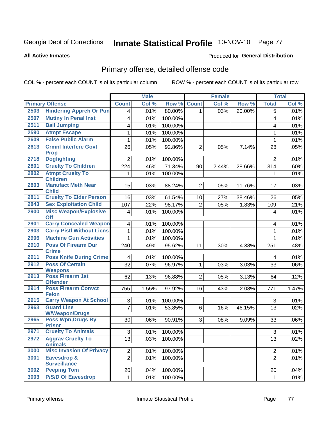# Inmate Statistical Profile 10-NOV-10 Page 77

**All Active Inmates** 

### **Produced for General Distribution**

## Primary offense, detailed offense code

COL % - percent each COUNT is of its particular column

|      |                                                    |                         | <b>Male</b> |                 |                 | Female |        |                | <b>Total</b> |
|------|----------------------------------------------------|-------------------------|-------------|-----------------|-----------------|--------|--------|----------------|--------------|
|      | <b>Primary Offense</b>                             | <b>Count</b>            | Col %       | Row %           | <b>Count</b>    | Col %  | Row %  | <b>Total</b>   | Col %        |
| 2503 | <b>Hindering Appreh Or Pun</b>                     | 4                       | .01%        | 80.00%          | $\mathbf{1}$    | .03%   | 20.00% | $\overline{5}$ | .01%         |
| 2507 | <b>Mutiny In Penal Inst</b>                        | $\overline{\mathbf{4}}$ | .01%        | 100.00%         |                 |        |        | 4              | .01%         |
| 2511 | <b>Bail Jumping</b>                                | 4                       | .01%        | 100.00%         |                 |        |        | 4              | .01%         |
| 2590 | <b>Atmpt Escape</b>                                | $\mathbf{1}$            | .01%        | 100.00%         |                 |        |        | 1              | .01%         |
| 2609 | <b>False Public Alarm</b>                          | $\mathbf{1}$            | .01%        | 100.00%         |                 |        |        | $\mathbf{1}$   | .01%         |
| 2613 | <b>Crmnl Interfere Govt</b>                        | 26                      | .05%        | 92.86%          | $\overline{2}$  | .05%   | 7.14%  | 28             | .05%         |
|      | <b>Prop</b>                                        |                         |             |                 |                 |        |        |                |              |
| 2718 | <b>Dogfighting</b>                                 | $\overline{2}$          | .01%        | 100.00%         |                 |        |        | $\overline{2}$ | .01%         |
| 2801 | <b>Cruelty To Children</b>                         | 224                     | .46%        | 71.34%          | 90              | 2.44%  | 28.66% | 314            | .60%         |
| 2802 | <b>Atmpt Cruelty To</b><br><b>Children</b>         | $\mathbf 1$             | .01%        | 100.00%         |                 |        |        | 1              | .01%         |
| 2803 | <b>Manufact Meth Near</b><br><b>Child</b>          | 15                      | .03%        | 88.24%          | $\overline{2}$  | .05%   | 11.76% | 17             | .03%         |
| 2811 | <b>Cruelty To Elder Person</b>                     | 16                      | .03%        | 61.54%          | 10 <sup>1</sup> | .27%   | 38.46% | 26             | .05%         |
| 2843 | <b>Sex Exploitation Child</b>                      | 107                     | .22%        | 98.17%          | $\overline{2}$  | .05%   | 1.83%  | 109            | .21%         |
| 2900 | <b>Misc Weapon/Explosive</b>                       | $\overline{\mathbf{4}}$ | .01%        | 100.00%         |                 |        |        | 4              | .01%         |
|      | <b>Off</b>                                         |                         |             |                 |                 |        |        |                |              |
| 2901 | <b>Carry Concealed Weapon</b>                      | $\overline{4}$          | .01%        | 100.00%         |                 |        |        | 4              | .01%         |
| 2903 | <b>Carry Pistl Without Licns</b>                   | $\mathbf{1}$            | .01%        | 100.00%         |                 |        |        | 1              | .01%         |
| 2906 | <b>Machine Gun Activities</b>                      | $\mathbf{1}$            | .01%        | 100.00%         |                 |        |        | 1              | .01%         |
| 2910 | <b>Poss Of Firearm Dur</b><br><b>Crime</b>         | 240                     | .49%        | 95.62%          | 11              | .30%   | 4.38%  | 251            | .48%         |
| 2911 | <b>Poss Knife During Crime</b>                     | $\overline{\mathbf{4}}$ | .01%        | 100.00%         |                 |        |        | 4              | .01%         |
| 2912 | <b>Poss Of Certain</b><br><b>Weapons</b>           | 32                      | .07%        | 96.97%          | $\mathbf{1}$    | .03%   | 3.03%  | 33             | .06%         |
| 2913 | <b>Poss Firearm 1st</b>                            | 62                      | .13%        | 96.88%          | $\overline{2}$  | .05%   | 3.13%  | 64             | .12%         |
|      | <b>Offender</b>                                    |                         |             |                 |                 |        |        |                |              |
| 2914 | <b>Poss Firearm Convct</b><br><b>Felon</b>         | 755                     | 1.55%       | 97.92%          | 16              | .43%   | 2.08%  | 771            | 1.47%        |
| 2915 | <b>Carry Weapon At School</b>                      | 3                       | .01%        | 100.00%         |                 |        |        | 3              | .01%         |
| 2963 | <b>Guard Line</b>                                  | $\overline{7}$          | .01%        | 53.85%          | 6               | .16%   | 46.15% | 13             | .02%         |
| 2965 | <b>W/Weapon/Drugs</b><br><b>Poss Wpn, Drugs By</b> | 30                      | .06%        | 90.91%          | 3               | .08%   | 9.09%  | 33             | .06%         |
|      | <b>Prisnr</b>                                      |                         |             |                 |                 |        |        |                |              |
|      | 2971 Cruelty To Animals                            | $\overline{3}$          |             | $.01\%$ 100.00% |                 |        |        | $\mathbf{3}$   | .01%         |
| 2972 | <b>Aggrav Cruelty To</b>                           | 13                      | .03%        | 100.00%         |                 |        |        | 13             | .02%         |
|      | <b>Animals</b>                                     |                         |             |                 |                 |        |        |                |              |
| 3000 | <b>Misc Invasion Of Privacy</b>                    | $\overline{2}$          | .01%        | 100.00%         |                 |        |        | $\overline{2}$ | .01%         |
| 3001 | Eavesdrop &                                        | $\overline{2}$          | .01%        | 100.00%         |                 |        |        | $\overline{2}$ | .01%         |
| 3002 | <b>Surveillance</b><br><b>Peeping Tom</b>          | 20                      | .04%        | 100.00%         |                 |        |        | 20             | .04%         |
| 3003 | <b>P/S/D Of Eavesdrop</b>                          | $\mathbf{1}$            | .01%        | 100.00%         |                 |        |        |                | .01%         |
|      |                                                    |                         |             |                 |                 |        |        | $\mathbf{1}$   |              |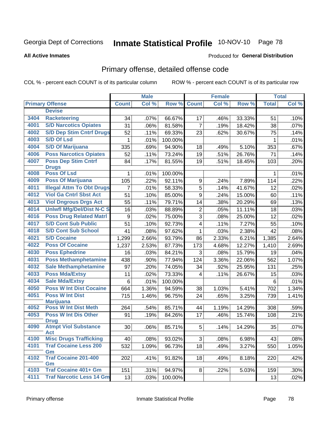# Inmate Statistical Profile 10-NOV-10 Page 78

#### **All Active Inmates**

#### **Produced for General Distribution**

## Primary offense, detailed offense code

COL % - percent each COUNT is of its particular column

|      |                                            |                | <b>Male</b> |         |                 | <b>Female</b> |        |              | <b>Total</b> |
|------|--------------------------------------------|----------------|-------------|---------|-----------------|---------------|--------|--------------|--------------|
|      | <b>Primary Offense</b>                     | <b>Count</b>   | Col %       | Row %   | <b>Count</b>    | Col %         | Row %  | <b>Total</b> | Col %        |
|      | <b>Devise</b>                              |                |             |         |                 |               |        |              |              |
| 3404 | <b>Racketeering</b>                        | 34             | .07%        | 66.67%  | 17              | .46%          | 33.33% | 51           | .10%         |
| 4001 | <b>S/D Narcotics Opiates</b>               | 31             | .06%        | 81.58%  | 7               | .19%          | 18.42% | 38           | .07%         |
| 4002 | <b>S/D Dep Stim Cntrf Drugs</b>            | 52             | .11%        | 69.33%  | 23              | .62%          | 30.67% | 75           | .14%         |
| 4003 | <b>S/D Of Lsd</b>                          | 1              | .01%        | 100.00% |                 |               |        | 1            | .01%         |
| 4004 | <b>S/D Of Marijuana</b>                    | 335            | .69%        | 94.90%  | 18              | .49%          | 5.10%  | 353          | .67%         |
| 4006 | <b>Poss Narcotics Opiates</b>              | 52             | .11%        | 73.24%  | 19              | .51%          | 26.76% | 71           | .14%         |
| 4007 | <b>Poss Dep Stim Cntrf</b><br><b>Drugs</b> | 84             | .17%        | 81.55%  | 19              | .51%          | 18.45% | 103          | .20%         |
| 4008 | <b>Poss Of Lsd</b>                         | 1              | .01%        | 100.00% |                 |               |        |              | .01%         |
| 4009 | <b>Poss Of Marijuana</b>                   | 105            | .22%        | 92.11%  | 9               | .24%          | 7.89%  | 114          | .22%         |
| 4011 | <b>Illegal Attm To Obt Drugs</b>           | $\overline{7}$ | .01%        | 58.33%  | 5               | .14%          | 41.67% | 12           | .02%         |
| 4012 | <b>Viol Ga Cntrl Sbst Act</b>              | 51             | .10%        | 85.00%  | 9               | .24%          | 15.00% | 60           | .11%         |
| 4013 | <b>Viol Dngrous Drgs Act</b>               | 55             | .11%        | 79.71%  | 14              | .38%          | 20.29% | 69           | .13%         |
| 4014 | <b>Uniwfl Mfg/Del/Dist N-C S</b>           | 16             | .03%        | 88.89%  | $\overline{2}$  | .05%          | 11.11% | 18           | .03%         |
| 4016 | <b>Poss Drug Related Matri</b>             | 9              | .02%        | 75.00%  | $\overline{3}$  | .08%          | 25.00% | 12           | .02%         |
| 4017 | <b>S/D Cont Sub Public</b>                 | 51             | .10%        | 92.73%  | 4               | .11%          | 7.27%  | 55           | .10%         |
| 4018 | <b>S/D Cont Sub School</b>                 | 41             | .08%        | 97.62%  | 1               | .03%          | 2.38%  | 42           | .08%         |
| 4021 | <b>S/D Cocaine</b>                         | 1,299          | 2.66%       | 93.79%  | 86              | 2.33%         | 6.21%  | 1,385        | 2.64%        |
| 4022 | <b>Poss Of Cocaine</b>                     | 1,237          | 2.53%       | 87.73%  | 173             | 4.68%         | 12.27% | 1,410        | 2.69%        |
| 4030 | <b>Poss Ephedrine</b>                      | 16             | .03%        | 84.21%  | 3               | .08%          | 15.79% | 19           | .04%         |
| 4031 | <b>Poss Methamphetamine</b>                | 438            | .90%        | 77.94%  | 124             | 3.36%         | 22.06% | 562          | 1.07%        |
| 4032 | <b>Sale Methamphetamine</b>                | 97             | .20%        | 74.05%  | 34              | .92%          | 25.95% | 131          | .25%         |
| 4033 | <b>Poss Mda/Extsy</b>                      | 11             | .02%        | 73.33%  | $\overline{4}$  | .11%          | 26.67% | 15           | .03%         |
| 4034 | <b>Sale Mda/Extsy</b>                      | 6              | .01%        | 100.00% |                 |               |        | 6            | .01%         |
| 4050 | <b>Poss W Int Dist Cocaine</b>             | 664            | 1.36%       | 94.59%  | 38              | 1.03%         | 5.41%  | 702          | 1.34%        |
| 4051 | <b>Poss W Int Dist</b><br><b>Marijuana</b> | 715            | 1.46%       | 96.75%  | 24              | .65%          | 3.25%  | 739          | 1.41%        |
| 4052 | <b>Poss W Int Dist Meth</b>                | 264            | .54%        | 85.71%  | 44              | 1.19%         | 14.29% | 308          | .59%         |
| 4053 | <b>Poss W Int Dis Other</b><br><b>Drug</b> | 91             | .19%        | 84.26%  | 17              | .46%          | 15.74% | 108          | .21%         |
| 4090 | <b>Atmpt Viol Substance</b><br>Act         | 30             | .06%        | 85.71%  | $5\phantom{.0}$ | .14%          | 14.29% | 35           | .07%         |
| 4100 | <b>Misc Drugs Trafficking</b>              | 40             | .08%        | 93.02%  | 3               | .08%          | 6.98%  | 43           | .08%         |
| 4101 | <b>Traf Cocaine Less 200</b>               | 532            | 1.09%       | 96.73%  | 18              | .49%          | 3.27%  | 550          | 1.05%        |
|      | Gm                                         |                |             |         |                 |               |        |              |              |
| 4102 | <b>Traf Cocaine 201-400</b>                | 202            | .41%        | 91.82%  | 18              | .49%          | 8.18%  | 220          | .42%         |
| 4103 | Gm<br><b>Traf Cocaine 401+ Gm</b>          | 151            | .31%        | 94.97%  | 8               | .22%          | 5.03%  | 159          | .30%         |
| 4111 | <b>Traf Narcotic Less 14 Gm</b>            | 13             | .03%        | 100.00% |                 |               |        | 13           | .02%         |
|      |                                            |                |             |         |                 |               |        |              |              |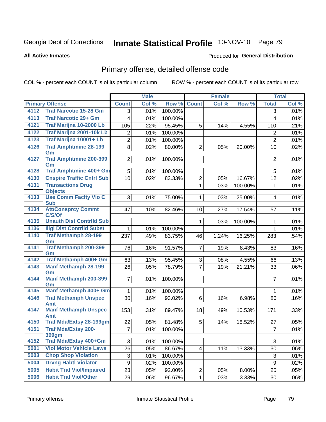# Inmate Statistical Profile 10-NOV-10 Page 79

**All Active Inmates** 

### **Produced for General Distribution**

## Primary offense, detailed offense code

COL % - percent each COUNT is of its particular column

|              |                                                              |                           | <b>Male</b> |         |                 | <b>Female</b> |         |                           | <b>Total</b> |
|--------------|--------------------------------------------------------------|---------------------------|-------------|---------|-----------------|---------------|---------|---------------------------|--------------|
|              | <b>Primary Offense</b>                                       | <b>Count</b>              | Col %       | Row %   | <b>Count</b>    | Col %         | Row %   | <b>Total</b>              | Col %        |
| 4112         | <b>Traf Narcotic 15-28 Gm</b>                                | $\overline{3}$            | .01%        | 100.00% |                 |               |         | 3                         | .01%         |
| 4113         | <b>Traf Narcotic 29+ Gm</b>                                  | $\overline{\mathbf{4}}$   | .01%        | 100.00% |                 |               |         | 4                         | .01%         |
| 4121         | Traf Marijna 10-2000 Lb                                      | 105                       | .22%        | 95.45%  | 5               | .14%          | 4.55%   | 110                       | .21%         |
| 4122         | <b>Traf Marijna 2001-10k Lb</b>                              | 2                         | .01%        | 100.00% |                 |               |         | 2                         | .01%         |
| 4123         | Traf Marijna 10001+ Lb                                       | $\overline{2}$            | .01%        | 100.00% |                 |               |         | $\overline{2}$            | .01%         |
| 4126         | <b>Traf Amphtmine 28-199</b>                                 | 8                         | .02%        | 80.00%  | $\overline{2}$  | .05%          | 20.00%  | 10                        | .02%         |
|              | Gm                                                           |                           |             |         |                 |               |         |                           |              |
| 4127         | <b>Traf Amphtmine 200-399</b><br>Gm                          | $\overline{2}$            | .01%        | 100.00% |                 |               |         | $\overline{2}$            | .01%         |
| 4128         | <b>Traf Amphtmine 400+ Gm</b>                                | 5                         | .01%        | 100.00% |                 |               |         | 5                         | .01%         |
| 4130         | <b>Cnspire Traffic Cntrl Sub</b>                             | 10                        | .02%        | 83.33%  | $\overline{2}$  | .05%          | 16.67%  | 12                        | .02%         |
| 4131         | <b>Transactions Drug</b>                                     |                           |             |         | $\mathbf 1$     | .03%          | 100.00% | 1                         | .01%         |
|              | <b>Objects</b>                                               |                           |             |         |                 |               |         |                           |              |
| 4133         | <b>Use Comm Facity Vio C</b>                                 | 3                         | .01%        | 75.00%  | $\mathbf{1}$    | .03%          | 25.00%  | $\overline{4}$            | .01%         |
| 4134         | <b>Sub</b><br><b>Att/Consprcy Commt</b>                      | 47                        |             |         |                 | .27%          |         |                           |              |
|              | C/S/Of                                                       |                           | .10%        | 82.46%  | 10 <sup>1</sup> |               | 17.54%  | 57                        | .11%         |
| 4135         | <b>Unauth Dist Contrild Sub</b>                              |                           |             |         | $\mathbf 1$     | .03%          | 100.00% | 1                         | .01%         |
| 4136         | <b>Illgl Dist Contrild Subst</b>                             | $\mathbf 1$               | .01%        | 100.00% |                 |               |         | $\mathbf{1}$              | .01%         |
| 4140         | <b>Traf Methamph 28-199</b>                                  | 237                       | .49%        | 83.75%  | 46              | 1.24%         | 16.25%  | 283                       | .54%         |
|              | Gm                                                           |                           |             |         |                 |               |         |                           |              |
| 4141         | <b>Traf Methamph 200-399</b><br>Gm                           | 76                        | .16%        | 91.57%  | $\overline{7}$  | .19%          | 8.43%   | 83                        | .16%         |
| 4142         | Traf Methamph 400+ Gm                                        | 63                        | .13%        | 95.45%  | 3               | .08%          | 4.55%   | 66                        | .13%         |
| 4143         | <b>Manf Methamph 28-199</b>                                  | 26                        | .05%        | 78.79%  | $\overline{7}$  | .19%          | 21.21%  | 33                        | .06%         |
|              | Gm                                                           |                           |             |         |                 |               |         |                           |              |
| 4144         | Manf Methamph 200-399                                        | $\overline{7}$            | .01%        | 100.00% |                 |               |         | $\overline{7}$            | .01%         |
|              | Gm                                                           |                           |             |         |                 |               |         |                           |              |
| 4145         | Manf Methamph 400+ Gm                                        | 1                         | .01%        | 100.00% |                 |               |         | $\mathbf 1$               | .01%         |
| 4146         | <b>Traf Methamph Unspec</b><br>Amt                           | 80                        | .16%        | 93.02%  | 6               | .16%          | 6.98%   | 86                        | .16%         |
| 4147         | <b>Manf Methamph Unspec</b>                                  | 153                       | .31%        | 89.47%  | 18              | .49%          | 10.53%  | 171                       | .33%         |
|              | Amt                                                          |                           |             |         |                 |               |         |                           |              |
| 4150         | <b>Traf Mda/Extsy 28-199gm</b>                               | 22                        | .05%        | 81.48%  | 5               | .14%          | 18.52%  | 27                        | .05%         |
| 4151         | <b>Traf Mda/Extsy 200-</b>                                   | $\overline{7}$            | .01%        | 100.00% |                 |               |         | $\overline{7}$            | .01%         |
|              | <b>399gm</b><br><b>Traf Mda/Extsy 400+Gm</b>                 |                           |             |         |                 |               |         |                           |              |
| 4152         |                                                              | 3                         | .01%        | 100.00% |                 |               |         | 3                         | .01%         |
| 5001<br>5003 | <b>Viol Motor Vehicle Laws</b><br><b>Chop Shop Violation</b> | $\overline{26}$           | .05%        | 86.67%  | 4               | .11%          | 13.33%  | 30                        | .06%         |
| 5004         | <b>Drvng Habtl Violator</b>                                  | $\ensuremath{\mathsf{3}}$ | .01%        | 100.00% |                 |               |         | $\ensuremath{\mathsf{3}}$ | .01%         |
| 5005         | <b>Habit Traf Viol/Impaired</b>                              | 9                         | .02%        | 100.00% |                 |               |         | 9                         | .02%         |
| 5006         | <b>Habit Traf Viol/Other</b>                                 | 23                        | .05%        | 92.00%  | $\overline{2}$  | .05%          | 8.00%   | 25                        | .05%         |
|              |                                                              | 29                        | .06%        | 96.67%  | $\mathbf{1}$    | .03%          | 3.33%   | 30                        | .06%         |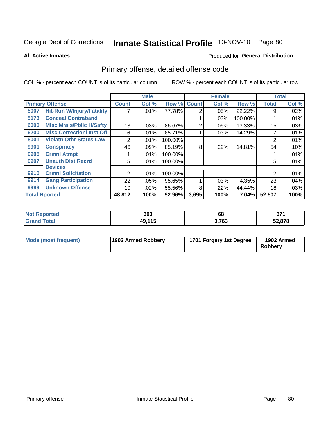# Inmate Statistical Profile 10-NOV-10 Page 80

**All Active Inmates** 

### **Produced for General Distribution**

## Primary offense, detailed offense code

COL % - percent each COUNT is of its particular column

|                      |                                  |                 | <b>Male</b> |         |              | <b>Female</b> |         |              | <b>Total</b> |
|----------------------|----------------------------------|-----------------|-------------|---------|--------------|---------------|---------|--------------|--------------|
|                      | <b>Primary Offense</b>           | <b>Count!</b>   | Col %       | Row %   | <b>Count</b> | Col %         | Row %   | <b>Total</b> | Col %        |
| 5007                 | <b>Hit-Run W/Injury/Fatality</b> | 7               | .01%        | 77.78%  | 2            | .05%          | 22.22%  | 9            | .02%         |
| 5173                 | <b>Conceal Contraband</b>        |                 |             |         |              | .03%          | 100.00% |              | .01%         |
| 6000                 | <b>Misc Mrals/Pblic H/Safty</b>  | 13              | .03%        | 86.67%  | 2            | .05%          | 13.33%  | 15           | .03%         |
| 6200                 | <b>Misc CorrectionI Inst Off</b> | 6               | .01%        | 85.71%  |              | .03%          | 14.29%  | 7            | .01%         |
| 8001                 | <b>Violatn Othr States Law</b>   | 2               | .01%        | 100.00% |              |               |         | 2            | .01%         |
| 9901                 | <b>Conspiracy</b>                | 46              | .09%        | 85.19%  | 8            | .22%          | 14.81%  | 54           | .10%         |
| 9905                 | <b>Crmnl Atmpt</b>               |                 | .01%        | 100.00% |              |               |         |              | .01%         |
| 9907                 | <b>Unauth Dist Recrd</b>         | 5               | $.01\%$     | 100.00% |              |               |         | 5            | .01%         |
|                      | <b>Devices</b>                   |                 |             |         |              |               |         |              |              |
| 9910                 | <b>Crmnl Solicitation</b>        | $\overline{2}$  | .01%        | 100.00% |              |               |         | 2            | .01%         |
| 9914                 | <b>Gang Participation</b>        | 22              | .05%        | 95.65%  |              | .03%          | 4.35%   | 23           | .04%         |
| 9999                 | <b>Unknown Offense</b>           | 10 <sup>1</sup> | $.02\%$     | 55.56%  | 8            | .22%          | 44.44%  | 18           | .03%         |
| <b>Total Rported</b> |                                  | 48,812          | 100%        | 92.96%  | 3,695        | 100%          | 7.04%   | 52,507       | 100%         |

| oorted<br>NO        | 303                     | 68    | ヘフィ<br>vı |
|---------------------|-------------------------|-------|-----------|
| <b>otal</b><br>. Gr | $AO$ 11 $F$<br>43.<br>. | 3,763 | 52,878    |

| Mode (most frequent) | 1902 Armed Robbery | 1701 Forgery 1st Degree | 1902 Armed<br>Robbery |
|----------------------|--------------------|-------------------------|-----------------------|
|----------------------|--------------------|-------------------------|-----------------------|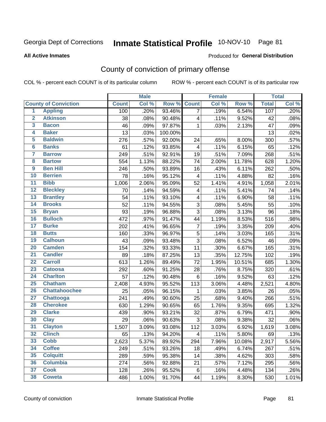# Inmate Statistical Profile 10-NOV-10 Page 81

**All Active Inmates** 

#### Produced for General Distribution

## County of conviction of primary offense

COL % - percent each COUNT is of its particular column

|                         |                             |              | <b>Male</b> |         |                | <b>Female</b> |        |              | <b>Total</b> |
|-------------------------|-----------------------------|--------------|-------------|---------|----------------|---------------|--------|--------------|--------------|
|                         | <b>County of Conviction</b> | <b>Count</b> | Col %       | Row %   | <b>Count</b>   | Col %         | Row %  | <b>Total</b> | Col %        |
| $\overline{1}$          | <b>Appling</b>              | 100          | .20%        | 93.46%  | $\overline{7}$ | .19%          | 6.54%  | 107          | .20%         |
| $\overline{2}$          | <b>Atkinson</b>             | 38           | .08%        | 90.48%  | 4              | .11%          | 9.52%  | 42           | .08%         |
| $\overline{\mathbf{3}}$ | <b>Bacon</b>                | 46           | .09%        | 97.87%  | 1              | .03%          | 2.13%  | 47           | .09%         |
| 4                       | <b>Baker</b>                | 13           | .03%        | 100.00% |                |               |        | 13           | .02%         |
| 5                       | <b>Baldwin</b>              | 276          | .57%        | 92.00%  | 24             | .65%          | 8.00%  | 300          | .57%         |
| $6\overline{6}$         | <b>Banks</b>                | 61           | .12%        | 93.85%  | 4              | .11%          | 6.15%  | 65           | .12%         |
| 7                       | <b>Barrow</b>               | 249          | .51%        | 92.91%  | 19             | .51%          | 7.09%  | 268          | .51%         |
| 8                       | <b>Bartow</b>               | 554          | 1.13%       | 88.22%  | 74             | 2.00%         | 11.78% | 628          | 1.20%        |
| $\overline{9}$          | <b>Ben Hill</b>             | 246          | .50%        | 93.89%  | 16             | .43%          | 6.11%  | 262          | .50%         |
| 10                      | <b>Berrien</b>              | 78           | .16%        | 95.12%  | 4              | .11%          | 4.88%  | 82           | .16%         |
| $\overline{11}$         | <b>Bibb</b>                 | 1,006        | 2.06%       | 95.09%  | 52             | 1.41%         | 4.91%  | 1,058        | 2.01%        |
| $\overline{12}$         | <b>Bleckley</b>             | 70           | .14%        | 94.59%  | 4              | .11%          | 5.41%  | 74           | .14%         |
| 13                      | <b>Brantley</b>             | 54           | .11%        | 93.10%  | 4              | .11%          | 6.90%  | 58           | .11%         |
| $\overline{14}$         | <b>Brooks</b>               | 52           | .11%        | 94.55%  | 3              | .08%          | 5.45%  | 55           | .10%         |
| $\overline{15}$         | <b>Bryan</b>                | 93           | .19%        | 96.88%  | $\overline{3}$ | .08%          | 3.13%  | 96           | .18%         |
| 16                      | <b>Bulloch</b>              | 472          | .97%        | 91.47%  | 44             | 1.19%         | 8.53%  | 516          | .98%         |
| $\overline{17}$         | <b>Burke</b>                | 202          | .41%        | 96.65%  | $\overline{7}$ | .19%          | 3.35%  | 209          | .40%         |
| 18                      | <b>Butts</b>                | 160          | .33%        | 96.97%  | 5              | .14%          | 3.03%  | 165          | .31%         |
| 19                      | <b>Calhoun</b>              | 43           | .09%        | 93.48%  | $\overline{3}$ | .08%          | 6.52%  | 46           | .09%         |
| 20                      | <b>Camden</b>               | 154          | .32%        | 93.33%  | 11             | .30%          | 6.67%  | 165          | .31%         |
| $\overline{21}$         | <b>Candler</b>              | 89           | .18%        | 87.25%  | 13             | .35%          | 12.75% | 102          | .19%         |
| $\overline{22}$         | <b>Carroll</b>              | 613          | 1.26%       | 89.49%  | 72             | 1.95%         | 10.51% | 685          | 1.30%        |
| 23                      | <b>Catoosa</b>              | 292          | .60%        | 91.25%  | 28             | .76%          | 8.75%  | 320          | .61%         |
| 24                      | <b>Charlton</b>             | 57           | .12%        | 90.48%  | $\,6$          | .16%          | 9.52%  | 63           | .12%         |
| 25                      | <b>Chatham</b>              | 2,408        | 4.93%       | 95.52%  | 113            | 3.06%         | 4.48%  | 2,521        | 4.80%        |
| 26                      | <b>Chattahoochee</b>        | 25           | .05%        | 96.15%  | 1              | .03%          | 3.85%  | 26           | .05%         |
| $\overline{27}$         | <b>Chattooga</b>            | 241          | .49%        | 90.60%  | 25             | .68%          | 9.40%  | 266          | .51%         |
| 28                      | <b>Cherokee</b>             | 630          | 1.29%       | 90.65%  | 65             | 1.76%         | 9.35%  | 695          | 1.32%        |
| 29                      | <b>Clarke</b>               | 439          | .90%        | 93.21%  | 32             | .87%          | 6.79%  | 471          | .90%         |
| 30                      | <b>Clay</b>                 | 29           | .06%        | 90.63%  | $\sqrt{3}$     | .08%          | 9.38%  | 32           | .06%         |
| $\overline{31}$         | <b>Clayton</b>              | 1,507        | 3.09%       | 93.08%  | 112            | 3.03%         | 6.92%  | 1,619        | 3.08%        |
| 32                      | <b>Clinch</b>               | 65           | .13%        | 94.20%  | 4              | .11%          | 5.80%  | 69           | .13%         |
| 33                      | Cobb                        | 2,623        | 5.37%       | 89.92%  | 294            | 7.96%         | 10.08% | 2,917        | 5.56%        |
| 34                      | <b>Coffee</b>               | 249          | .51%        | 93.26%  | 18             | .49%          | 6.74%  | 267          | .51%         |
| 35                      | <b>Colquitt</b>             | 289          | .59%        | 95.38%  | 14             | .38%          | 4.62%  | 303          | .58%         |
| 36                      | <b>Columbia</b>             | 274          | .56%        | 92.88%  | 21             | .57%          | 7.12%  | 295          | .56%         |
| 37                      | <b>Cook</b>                 | 128          | .26%        | 95.52%  | 6              | .16%          | 4.48%  | 134          | .26%         |
| 38                      | <b>Coweta</b>               | 486          | 1.00%       | 91.70%  | 44             | 1.19%         | 8.30%  | 530          | 1.01%        |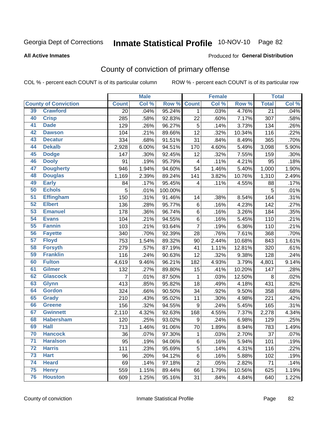# Inmate Statistical Profile 10-NOV-10 Page 82

#### **All Active Inmates**

#### Produced for General Distribution

## County of conviction of primary offense

COL % - percent each COUNT is of its particular column

|                 |                             |                 | <b>Male</b> |         |                | <b>Female</b> |        |                 | <b>Total</b> |
|-----------------|-----------------------------|-----------------|-------------|---------|----------------|---------------|--------|-----------------|--------------|
|                 | <b>County of Conviction</b> | <b>Count</b>    | Col %       | Row %   | <b>Count</b>   | Col %         | Row %  | <b>Total</b>    | Col %        |
| 39              | <b>Crawford</b>             | $\overline{20}$ | .04%        | 95.24%  | $\mathbf 1$    | .03%          | 4.76%  | $\overline{21}$ | .04%         |
| 40              | <b>Crisp</b>                | 285             | .58%        | 92.83%  | 22             | .60%          | 7.17%  | 307             | .58%         |
| 41              | <b>Dade</b>                 | 129             | .26%        | 96.27%  | 5              | .14%          | 3.73%  | 134             | .26%         |
| 42              | <b>Dawson</b>               | 104             | .21%        | 89.66%  | 12             | .32%          | 10.34% | 116             | .22%         |
| 43              | <b>Decatur</b>              | 334             | .68%        | 91.51%  | 31             | .84%          | 8.49%  | 365             | .70%         |
| 44              | <b>Dekalb</b>               | 2,928           | 6.00%       | 94.51%  | 170            | 4.60%         | 5.49%  | 3,098           | 5.90%        |
| 45              | <b>Dodge</b>                | 147             | .30%        | 92.45%  | 12             | .32%          | 7.55%  | 159             | .30%         |
| 46              | <b>Dooly</b>                | 91              | .19%        | 95.79%  | 4              | .11%          | 4.21%  | 95              | .18%         |
| 47              | <b>Dougherty</b>            | 946             | 1.94%       | 94.60%  | 54             | 1.46%         | 5.40%  | 1,000           | 1.90%        |
| 48              | <b>Douglas</b>              | 1,169           | 2.39%       | 89.24%  | 141            | 3.82%         | 10.76% | 1,310           | 2.49%        |
| 49              | <b>Early</b>                | 84              | .17%        | 95.45%  | 4              | .11%          | 4.55%  | 88              | .17%         |
| 50              | <b>Echols</b>               | 5               | .01%        | 100.00% |                |               |        | 5               | .01%         |
| $\overline{51}$ | <b>Effingham</b>            | 150             | .31%        | 91.46%  | 14             | .38%          | 8.54%  | 164             | .31%         |
| 52              | <b>Elbert</b>               | 136             | .28%        | 95.77%  | 6              | .16%          | 4.23%  | 142             | .27%         |
| 53              | <b>Emanuel</b>              | 178             | .36%        | 96.74%  | 6              | .16%          | 3.26%  | 184             | .35%         |
| 54              | <b>Evans</b>                | 104             | .21%        | 94.55%  | 6              | .16%          | 5.45%  | 110             | .21%         |
| 55              | <b>Fannin</b>               | 103             | .21%        | 93.64%  | $\overline{7}$ | .19%          | 6.36%  | 110             | .21%         |
| 56              | <b>Fayette</b>              | 340             | .70%        | 92.39%  | 28             | .76%          | 7.61%  | 368             | .70%         |
| $\overline{57}$ | <b>Floyd</b>                | 753             | 1.54%       | 89.32%  | 90             | 2.44%         | 10.68% | 843             | 1.61%        |
| 58              | <b>Forsyth</b>              | 279             | .57%        | 87.19%  | 41             | 1.11%         | 12.81% | 320             | .61%         |
| 59              | <b>Franklin</b>             | 116             | .24%        | 90.63%  | 12             | .32%          | 9.38%  | 128             | .24%         |
| 60              | <b>Fulton</b>               | 4,619           | 9.46%       | 96.21%  | 182            | 4.93%         | 3.79%  | 4,801           | 9.14%        |
| 61              | Gilmer                      | 132             | .27%        | 89.80%  | 15             | .41%          | 10.20% | 147             | .28%         |
| 62              | <b>Glascock</b>             | 7               | .01%        | 87.50%  | $\mathbf{1}$   | .03%          | 12.50% | 8               | .02%         |
| 63              | <b>Glynn</b>                | 413             | .85%        | 95.82%  | 18             | .49%          | 4.18%  | 431             | .82%         |
| 64              | <b>Gordon</b>               | 324             | .66%        | 90.50%  | 34             | .92%          | 9.50%  | 358             | .68%         |
| 65              | <b>Grady</b>                | 210             | .43%        | 95.02%  | 11             | .30%          | 4.98%  | 221             | .42%         |
| 66              | <b>Greene</b>               | 156             | .32%        | 94.55%  | 9              | .24%          | 5.45%  | 165             | .31%         |
| 67              | <b>Gwinnett</b>             | 2,110           | 4.32%       | 92.63%  | 168            | 4.55%         | 7.37%  | 2,278           | 4.34%        |
| 68              | <b>Habersham</b>            | 120             | .25%        | 93.02%  | 9              | .24%          | 6.98%  | 129             | .25%         |
| 69              | <b>Hall</b>                 | 713             | 1.46%       | 91.06%  | 70             | 1.89%         | 8.94%  | 783             | 1.49%        |
| 70              | <b>Hancock</b>              | 36              | .07%        | 97.30%  | 1              | .03%          | 2.70%  | 37              | .07%         |
| $\overline{71}$ | <b>Haralson</b>             | 95              | .19%        | 94.06%  | 6              | .16%          | 5.94%  | 101             | .19%         |
| 72              | <b>Harris</b>               | 111             | .23%        | 95.69%  | 5              | .14%          | 4.31%  | 116             | .22%         |
| 73              | <b>Hart</b>                 | 96              | .20%        | 94.12%  | 6              | .16%          | 5.88%  | 102             | .19%         |
| 74              | <b>Heard</b>                | 69              | .14%        | 97.18%  | $\overline{2}$ | .05%          | 2.82%  | 71              | .14%         |
| 75              | <b>Henry</b>                | 559             | 1.15%       | 89.44%  | 66             | 1.79%         | 10.56% | 625             | 1.19%        |
| 76              | <b>Houston</b>              | 609             | 1.25%       | 95.16%  | 31             | .84%          | 4.84%  | 640             | 1.22%        |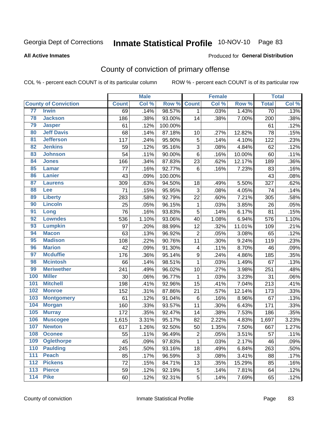# Inmate Statistical Profile 10-NOV-10 Page 83

#### **All Active Inmates**

#### Produced for General Distribution

## County of conviction of primary offense

COL % - percent each COUNT is of its particular column

|                 |                             |              | <b>Male</b> |         |                         | <b>Female</b> |        |                 | <b>Total</b> |
|-----------------|-----------------------------|--------------|-------------|---------|-------------------------|---------------|--------|-----------------|--------------|
|                 | <b>County of Conviction</b> | <b>Count</b> | Col %       | Row %   | <b>Count</b>            | Col %         | Row %  | <b>Total</b>    | Col %        |
| 77              | <b>Irwin</b>                | 69           | .14%        | 98.57%  | $\mathbf{1}$            | .03%          | 1.43%  | $\overline{70}$ | .13%         |
| 78              | <b>Jackson</b>              | 186          | .38%        | 93.00%  | 14                      | .38%          | 7.00%  | 200             | .38%         |
| 79              | <b>Jasper</b>               | 61           | .12%        | 100.00% |                         |               |        | 61              | .12%         |
| 80              | <b>Jeff Davis</b>           | 68           | .14%        | 87.18%  | 10                      | .27%          | 12.82% | 78              | .15%         |
| $\overline{81}$ | <b>Jefferson</b>            | 117          | .24%        | 95.90%  | 5                       | .14%          | 4.10%  | 122             | .23%         |
| 82              | <b>Jenkins</b>              | 59           | .12%        | 95.16%  | 3                       | .08%          | 4.84%  | 62              | .12%         |
| 83              | <b>Johnson</b>              | 54           | .11%        | 90.00%  | 6                       | .16%          | 10.00% | 60              | .11%         |
| 84              | <b>Jones</b>                | 166          | .34%        | 87.83%  | 23                      | .62%          | 12.17% | 189             | .36%         |
| 85              | <b>Lamar</b>                | 77           | .16%        | 92.77%  | 6                       | .16%          | 7.23%  | 83              | .16%         |
| 86              | <b>Lanier</b>               | 43           | .09%        | 100.00% |                         |               |        | 43              | .08%         |
| 87              | <b>Laurens</b>              | 309          | .63%        | 94.50%  | 18                      | .49%          | 5.50%  | 327             | .62%         |
| 88              | Lee                         | 71           | .15%        | 95.95%  | 3                       | .08%          | 4.05%  | 74              | .14%         |
| 89              | <b>Liberty</b>              | 283          | .58%        | 92.79%  | 22                      | .60%          | 7.21%  | 305             | .58%         |
| 90              | <b>Lincoln</b>              | 25           | .05%        | 96.15%  | $\mathbf{1}$            | .03%          | 3.85%  | 26              | .05%         |
| 91              | Long                        | 76           | .16%        | 93.83%  | 5                       | .14%          | 6.17%  | 81              | .15%         |
| 92              | <b>Lowndes</b>              | 536          | 1.10%       | 93.06%  | 40                      | 1.08%         | 6.94%  | 576             | 1.10%        |
| 93              | <b>Lumpkin</b>              | 97           | .20%        | 88.99%  | 12                      | .32%          | 11.01% | 109             | .21%         |
| 94              | <b>Macon</b>                | 63           | .13%        | 96.92%  | $\overline{2}$          | .05%          | 3.08%  | 65              | .12%         |
| 95              | <b>Madison</b>              | 108          | .22%        | 90.76%  | 11                      | .30%          | 9.24%  | 119             | .23%         |
| 96              | <b>Marion</b>               | 42           | .09%        | 91.30%  | $\overline{\mathbf{4}}$ | .11%          | 8.70%  | 46              | .09%         |
| 97              | <b>Mcduffie</b>             | 176          | .36%        | 95.14%  | $\boldsymbol{9}$        | .24%          | 4.86%  | 185             | .35%         |
| 98              | <b>Mcintosh</b>             | 66           | .14%        | 98.51%  | $\mathbf{1}$            | .03%          | 1.49%  | 67              | .13%         |
| 99              | <b>Meriwether</b>           | 241          | .49%        | 96.02%  | 10                      | .27%          | 3.98%  | 251             | .48%         |
| 100             | <b>Miller</b>               | 30           | .06%        | 96.77%  | $\mathbf{1}$            | .03%          | 3.23%  | 31              | .06%         |
| 101             | <b>Mitchell</b>             | 198          | .41%        | 92.96%  | 15                      | .41%          | 7.04%  | 213             | .41%         |
| 102             | <b>Monroe</b>               | 152          | .31%        | 87.86%  | 21                      | .57%          | 12.14% | 173             | .33%         |
| 103             | <b>Montgomery</b>           | 61           | .12%        | 91.04%  | 6                       | .16%          | 8.96%  | 67              | .13%         |
| 104             | <b>Morgan</b>               | 160          | .33%        | 93.57%  | 11                      | .30%          | 6.43%  | 171             | .33%         |
| 105             | <b>Murray</b>               | 172          | .35%        | 92.47%  | 14                      | .38%          | 7.53%  | 186             | .35%         |
| 106             | <b>Muscogee</b>             | 1,615        | 3.31%       | 95.17%  | 82                      | 2.22%         | 4.83%  | 1,697           | 3.23%        |
| 107             | <b>Newton</b>               | 617          | 1.26%       | 92.50%  | 50                      | 1.35%         | 7.50%  | 667             | 1.27%        |
| 108             | <b>Oconee</b>               | 55           | .11%        | 96.49%  | $\overline{c}$          | .05%          | 3.51%  | 57              | .11%         |
| 109             | <b>Oglethorpe</b>           | 45           | .09%        | 97.83%  | $\mathbf{1}$            | .03%          | 2.17%  | 46              | .09%         |
| 110             | <b>Paulding</b>             | 245          | .50%        | 93.16%  | 18                      | .49%          | 6.84%  | 263             | .50%         |
| 111             | <b>Peach</b>                | 85           | .17%        | 96.59%  | 3                       | .08%          | 3.41%  | 88              | .17%         |
| 112             | <b>Pickens</b>              | 72           | .15%        | 84.71%  | 13                      | .35%          | 15.29% | 85              | .16%         |
| 113             | <b>Pierce</b>               | 59           | .12%        | 92.19%  | 5                       | .14%          | 7.81%  | 64              | .12%         |
| 114             | <b>Pike</b>                 | 60           | .12%        | 92.31%  | 5                       | .14%          | 7.69%  | 65              | .12%         |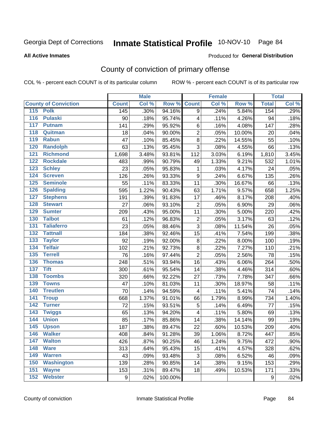# Inmate Statistical Profile 10-NOV-10 Page 84

Produced for General Distribution

#### **All Active Inmates**

## County of conviction of primary offense

COL % - percent each COUNT is of its particular column

|                                       |                  | <b>Male</b> |         |                          | <b>Female</b> |        |              | <b>Total</b> |
|---------------------------------------|------------------|-------------|---------|--------------------------|---------------|--------|--------------|--------------|
| <b>County of Conviction</b>           | <b>Count</b>     | Col %       | Row %   | <b>Count</b>             | Col %         | Row %  | <b>Total</b> | Col %        |
| 115 Polk                              | 145              | .30%        | 94.16%  | 9                        | .24%          | 5.84%  | 154          | .29%         |
| $\overline{116}$<br><b>Pulaski</b>    | 90               | .18%        | 95.74%  | 4                        | .11%          | 4.26%  | 94           | .18%         |
| 117<br><b>Putnam</b>                  | 141              | .29%        | 95.92%  | 6                        | .16%          | 4.08%  | 147          | .28%         |
| 118<br>Quitman                        | 18               | .04%        | 90.00%  | 2                        | .05%          | 10.00% | 20           | .04%         |
| 119<br><b>Rabun</b>                   | 47               | .10%        | 85.45%  | $\bf 8$                  | .22%          | 14.55% | 55           | .10%         |
| 120<br><b>Randolph</b>                | 63               | .13%        | 95.45%  | 3                        | .08%          | 4.55%  | 66           | .13%         |
| 121<br><b>Richmond</b>                | 1,698            | 3.48%       | 93.81%  | 112                      | 3.03%         | 6.19%  | 1,810        | 3.45%        |
| 122<br><b>Rockdale</b>                | 483              | .99%        | 90.79%  | 49                       | 1.33%         | 9.21%  | 532          | 1.01%        |
| 123<br><b>Schley</b>                  | 23               | .05%        | 95.83%  | 1                        | .03%          | 4.17%  | 24           | .05%         |
| 124<br><b>Screven</b>                 | 126              | .26%        | 93.33%  | $\boldsymbol{9}$         | .24%          | 6.67%  | 135          | .26%         |
| 125<br><b>Seminole</b>                | 55               | .11%        | 83.33%  | 11                       | .30%          | 16.67% | 66           | .13%         |
| 126<br><b>Spalding</b>                | 595              | 1.22%       | 90.43%  | 63                       | 1.71%         | 9.57%  | 658          | 1.25%        |
| 127<br><b>Stephens</b>                | 191              | .39%        | 91.83%  | 17                       | .46%          | 8.17%  | 208          | .40%         |
| 128<br><b>Stewart</b>                 | 27               | .06%        | 93.10%  | $\mathbf 2$              | .05%          | 6.90%  | 29           | .06%         |
| 129<br><b>Sumter</b>                  | 209              | .43%        | 95.00%  | 11                       | .30%          | 5.00%  | 220          | .42%         |
| <b>Talbot</b><br>130                  | 61               | .12%        | 96.83%  | $\overline{2}$           | .05%          | 3.17%  | 63           | .12%         |
| $\overline{131}$<br><b>Taliaferro</b> | 23               | .05%        | 88.46%  | $\mathsf 3$              | .08%          | 11.54% | 26           | .05%         |
| 132<br><b>Tattnall</b>                | 184              | .38%        | 92.46%  | 15                       | .41%          | 7.54%  | 199          | .38%         |
| 133<br><b>Taylor</b>                  | 92               | .19%        | 92.00%  | $\bf 8$                  | .22%          | 8.00%  | 100          | .19%         |
| <b>Telfair</b><br>134                 | 102              | .21%        | 92.73%  | $\bf 8$                  | .22%          | 7.27%  | 110          | .21%         |
| $\overline{135}$<br><b>Terrell</b>    | 76               | .16%        | 97.44%  | $\overline{2}$           | .05%          | 2.56%  | 78           | .15%         |
| 136<br><b>Thomas</b>                  | 248              | .51%        | 93.94%  | 16                       | .43%          | 6.06%  | 264          | .50%         |
| <b>Tift</b><br>137                    | 300              | .61%        | 95.54%  | 14                       | .38%          | 4.46%  | 314          | .60%         |
| <b>Toombs</b><br>138                  | 320              | .66%        | 92.22%  | 27                       | .73%          | 7.78%  | 347          | .66%         |
| 139<br><b>Towns</b>                   | 47               | .10%        | 81.03%  | 11                       | .30%          | 18.97% | 58           | .11%         |
| <b>Treutlen</b><br>140                | 70               | .14%        | 94.59%  | $\overline{\mathcal{A}}$ | .11%          | 5.41%  | 74           | .14%         |
| 141<br><b>Troup</b>                   | 668              | 1.37%       | 91.01%  | 66                       | 1.79%         | 8.99%  | 734          | 1.40%        |
| 142<br><b>Turner</b>                  | 72               | .15%        | 93.51%  | 5                        | .14%          | 6.49%  | 77           | .15%         |
| $\overline{143}$<br><b>Twiggs</b>     | 65               | .13%        | 94.20%  | 4                        | .11%          | 5.80%  | 69           | .13%         |
| 144<br><b>Union</b>                   | 85               | .17%        | 85.86%  | 14                       | .38%          | 14.14% | 99           | .19%         |
| 145<br><b>Upson</b>                   | 187              | .38%        | 89.47%  | 22                       | .60%          | 10.53% | 209          | .40%         |
| 146<br><b>Walker</b>                  | 408              | .84%        | 91.28%  | 39                       | 1.06%         | 8.72%  | 447          | .85%         |
| 147<br><b>Walton</b>                  | 426              | .87%        | 90.25%  | 46                       | 1.24%         | 9.75%  | 472          | .90%         |
| 148<br><b>Ware</b>                    | 313              | .64%        | 95.43%  | 15                       | .41%          | 4.57%  | 328          | .62%         |
| 149<br><b>Warren</b>                  | 43               | .09%        | 93.48%  | 3                        | .08%          | 6.52%  | 46           | .09%         |
| 150<br><b>Washington</b>              | 139              | .28%        | 90.85%  | 14                       | .38%          | 9.15%  | 153          | .29%         |
| 151<br><b>Wayne</b>                   | 153              | .31%        | 89.47%  | 18                       | .49%          | 10.53% | 171          | .33%         |
| 152<br><b>Webster</b>                 | $\boldsymbol{9}$ | .02%        | 100.00% |                          |               |        | 9            | .02%         |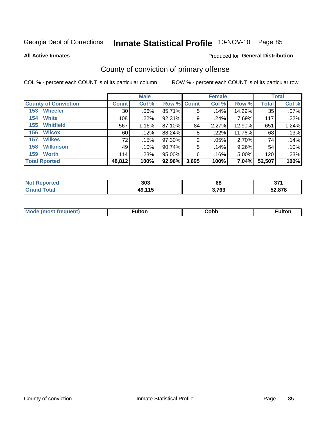# Inmate Statistical Profile 10-NOV-10 Page 85

**All Active Inmates** 

#### Produced for General Distribution

## County of conviction of primary offense

COL % - percent each COUNT is of its particular column

|                             |                 | <b>Male</b> |                    |       | <b>Female</b> |        |              | <b>Total</b> |
|-----------------------------|-----------------|-------------|--------------------|-------|---------------|--------|--------------|--------------|
| <b>County of Conviction</b> | <b>Count</b>    | Col %       | <b>Row % Count</b> |       | Col %         | Row %  | <b>Total</b> | Col %        |
| <b>Wheeler</b><br>153       | 30 <sup>1</sup> | $.06\%$     | 85.71%             | 5     | .14%          | 14.29% | 35           | $.07\%$      |
| <b>White</b><br>154         | 108             | .22%        | 92.31%             | 9     | .24%          | 7.69%  | 117          | .22%         |
| <b>Whitfield</b><br>155     | 567             | 1.16%       | 87.10%             | 84    | 2.27%         | 12.90% | 651          | 1.24%        |
| <b>Wilcox</b><br>156        | 60              | .12%        | 88.24%             | 8     | $.22\%$       | 11.76% | 68           | .13%         |
| <b>Wilkes</b><br>157        | 72              | .15%        | 97.30%             | 2     | .05%          | 2.70%  | 74           | .14%         |
| <b>Wilkinson</b><br>158     | 49              | .10%        | 90.74%             | 5     | .14%          | 9.26%  | 54           | .10%         |
| <b>Worth</b><br>159         | 114             | .23%        | 95.00%             | 6     | .16%          | 5.00%  | 120          | .23%         |
| <b>Total Rported</b>        | 48,812          | 100%        | 92.96%             | 3,695 | 100%          | 7.04%  | 52,507       | 100%         |

| prted<br><b>NOT</b> | 303    | 68    | ヘフィ<br>◡ |
|---------------------|--------|-------|----------|
| <b>Tota</b>         | 49,115 | 3,763 | .878     |

| <b>Mode</b><br>---<br>luent)<br>nost tren | ™ulton | copp; | Fulto |
|-------------------------------------------|--------|-------|-------|
|                                           |        |       |       |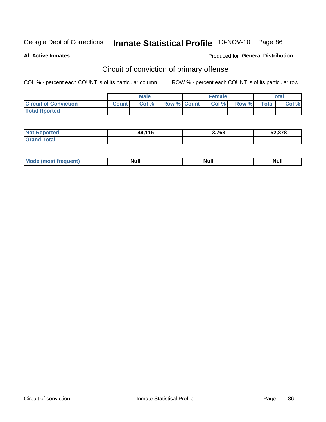# Inmate Statistical Profile 10-NOV-10 Page 86

**All Active Inmates** 

### Produced for General Distribution

## Circuit of conviction of primary offense

COL % - percent each COUNT is of its particular column

|                              | <b>Male</b>  |       |                    | <b>Female</b> |       |       | Total        |       |
|------------------------------|--------------|-------|--------------------|---------------|-------|-------|--------------|-------|
| <b>Circuit of Conviction</b> | <b>Count</b> | Col % | <b>Row % Count</b> |               | Col % | Row % | <b>Total</b> | Col % |
| <b>Total Rported</b>         |              |       |                    |               |       |       |              |       |

| <b>Not Reported</b>    | 49,115<br> | 3,763 | 52,878 |
|------------------------|------------|-------|--------|
| <b>Total</b><br>'Grand |            |       |        |

| <b>Mode</b><br>Most frequent) ( | <b>Null</b> | <b>Null</b> | Nul. |
|---------------------------------|-------------|-------------|------|
|---------------------------------|-------------|-------------|------|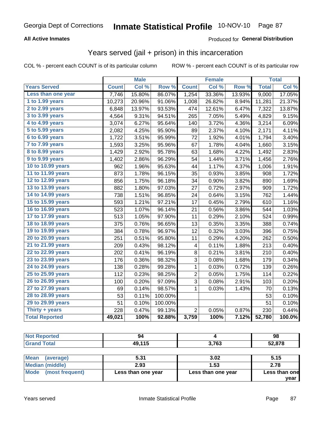# Inmate Statistical Profile 10-NOV-10 Page 87

### **All Active Inmates**

### Produced for General Distribution

## Years served (jail + prison) in this incarceration

COL % - percent each COUNT is of its particular column

|                       |              | <b>Male</b> |                  |                | <b>Female</b> |                  |              | <b>Total</b> |
|-----------------------|--------------|-------------|------------------|----------------|---------------|------------------|--------------|--------------|
| <b>Years Served</b>   | <b>Count</b> | Col %       | Row <sup>%</sup> | <b>Count</b>   | Col %         | Row <sup>%</sup> | <b>Total</b> | Col%         |
| Less than one year    | 7,746        | 15.80%      | 86.07%           | 1,254          | 33.36%        | 13.93%           | 9,000        | 17.05%       |
| 1 to 1.99 years       | 10,273       | 20.96%      | 91.06%           | 1,008          | 26.82%        | 8.94%            | 11,281       | 21.37%       |
| 2 to 2.99 years       | 6,848        | 13.97%      | 93.53%           | 474            | 12.61%        | 6.47%            | 7,322        | 13.87%       |
| $3$ to $3.99$ years   | 4,564        | 9.31%       | 94.51%           | 265            | 7.05%         | 5.49%            | 4,829        | 9.15%        |
| 4 to 4.99 years       | 3,074        | 6.27%       | 95.64%           | 140            | 3.72%         | 4.36%            | 3,214        | 6.09%        |
| 5 to 5.99 years       | 2,082        | 4.25%       | 95.90%           | 89             | 2.37%         | 4.10%            | 2,171        | 4.11%        |
| 6 to 6.99 years       | 1,722        | 3.51%       | 95.99%           | 72             | 1.92%         | 4.01%            | 1,794        | 3.40%        |
| 7 to 7.99 years       | 1,593        | 3.25%       | 95.96%           | 67             | 1.78%         | 4.04%            | 1,660        | 3.15%        |
| 8 to 8.99 years       | 1,429        | 2.92%       | 95.78%           | 63             | 1.68%         | 4.22%            | 1,492        | 2.83%        |
| 9 to 9.99 years       | 1,402        | 2.86%       | 96.29%           | 54             | 1.44%         | 3.71%            | 1,456        | 2.76%        |
| 10 to 10.99 years     | 962          | 1.96%       | 95.63%           | 44             | 1.17%         | 4.37%            | 1,006        | 1.91%        |
| 11 to 11.99 years     | 873          | 1.78%       | 96.15%           | 35             | 0.93%         | 3.85%            | 908          | 1.72%        |
| 12 to 12.99 years     | 856          | 1.75%       | 96.18%           | 34             | 0.90%         | 3.82%            | 890          | 1.69%        |
| 13 to 13.99 years     | 882          | 1.80%       | 97.03%           | 27             | 0.72%         | 2.97%            | 909          | 1.72%        |
| 14 to 14.99 years     | 738          | 1.51%       | 96.85%           | 24             | 0.64%         | 3.15%            | 762          | 1.44%        |
| 15 to 15.99 years     | 593          | 1.21%       | $97.21\%$        | 17             | 0.45%         | 2.79%            | 610          | 1.16%        |
| 16 to 16.99 years     | 523          | 1.07%       | 96.14%           | 21             | 0.56%         | 3.86%            | 544          | 1.03%        |
| 17 to 17.99 years     | 513          | 1.05%       | 97.90%           | 11             | 0.29%         | 2.10%            | 524          | 0.99%        |
| 18 to 18.99 years     | 375          | 0.76%       | 96.65%           | 13             | 0.35%         | 3.35%            | 388          | 0.74%        |
| 19 to 19.99 years     | 384          | 0.78%       | 96.97%           | 12             | 0.32%         | 3.03%            | 396          | 0.75%        |
| 20 to 20.99 years     | 251          | 0.51%       | 95.80%           | 11             | 0.29%         | 4.20%            | 262          | 0.50%        |
| 21 to 21.99 years     | 209          | 0.43%       | 98.12%           | 4              | 0.11%         | 1.88%            | 213          | 0.40%        |
| 22 to 22.99 years     | 202          | 0.41%       | 96.19%           | 8              | 0.21%         | 3.81%            | 210          | 0.40%        |
| 23 to 23.99 years     | 176          | 0.36%       | 98.32%           | 3              | 0.08%         | 1.68%            | 179          | 0.34%        |
| 24 to 24.99 years     | 138          | 0.28%       | 99.28%           | 1              | 0.03%         | 0.72%            | 139          | 0.26%        |
| 25 to 25.99 years     | 112          | 0.23%       | 98.25%           | $\overline{c}$ | 0.05%         | 1.75%            | 114          | 0.22%        |
| 26 to 26.99 years     | 100          | 0.20%       | 97.09%           | $\overline{3}$ | 0.08%         | 2.91%            | 103          | 0.20%        |
| 27 to 27.99 years     | 69           | 0.14%       | 98.57%           | 1              | 0.03%         | 1.43%            | 70           | 0.13%        |
| 28 to 28.99 years     | 53           | 0.11%       | 100.00%          |                |               |                  | 53           | 0.10%        |
| 29 to 29.99 years     | 51           | 0.10%       | 100.00%          |                |               |                  | 51           | 0.10%        |
| Thirty + years        | 228          | 0.47%       | 99.13%           | $\overline{2}$ | 0.05%         | 0.87%            | 230          | 0.44%        |
| <b>Total Reported</b> | 49,021       | 100%        | 92.88%           | 3,759          | 100%          | 7.12%            | 52,780       | 100.0%       |

| <b>Not Reported</b>      | 94     |       | 98     |  |
|--------------------------|--------|-------|--------|--|
| <b>Grand Total</b>       | 49,115 | 3,763 | 52,878 |  |
|                          |        |       |        |  |
| <b>Mean</b><br>(average) | 5.31   | 3.02  | 5.15   |  |
| Median (middle)          | 2.93   | 1.53  | 2.78   |  |

| <b>Median (middle)</b>         | 2.93               | 1.53               | 2.78                  |  |
|--------------------------------|--------------------|--------------------|-----------------------|--|
| <b>Mode</b><br>(most frequent) | Less than one year | Less than one year | Less than one<br>vear |  |
|                                |                    |                    |                       |  |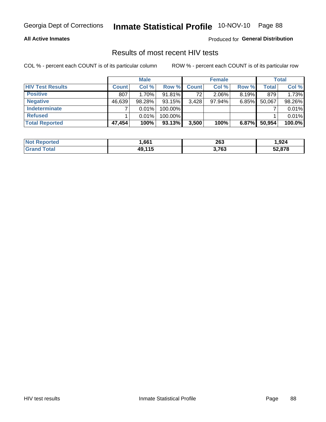# Inmate Statistical Profile 10-NOV-10 Page 88

### **All Active Inmates**

Produced for General Distribution

### Results of most recent HIV tests

COL % - percent each COUNT is of its particular column

|                         |              | <b>Male</b> |         |              | <b>Female</b> |          |              | <b>Total</b> |
|-------------------------|--------------|-------------|---------|--------------|---------------|----------|--------------|--------------|
| <b>HIV Test Results</b> | <b>Count</b> | Col %       | Row %I  | <b>Count</b> | Col %         | Row %    | <b>Total</b> | Col %        |
| <b>Positive</b>         | 807          | 1.70%       | 91.81%  | 72           | $2.06\%$      | $8.19\%$ | 879          | 1.73%        |
| <b>Negative</b>         | 46,639       | 98.28%      | 93.15%  | 3,428        | $97.94\%$     | $6.85\%$ | 50,067       | 98.26%       |
| <b>Indeterminate</b>    |              | 0.01%       | 100.00% |              |               |          |              | 0.01%        |
| <b>Refused</b>          |              | 0.01%       | 100.00% |              |               |          |              | 0.01%        |
| <b>Total Reported</b>   | 47,454       | 100%        | 93.13%  | 3,500        | 100%          | 6.87%    | 50,954       | 100.0%       |

| <b>Not Reported</b> | .661           | 263   | ,924   |
|---------------------|----------------|-------|--------|
| <b>Grand Total</b>  | 49 115<br>- 19 | 3,763 | 52,878 |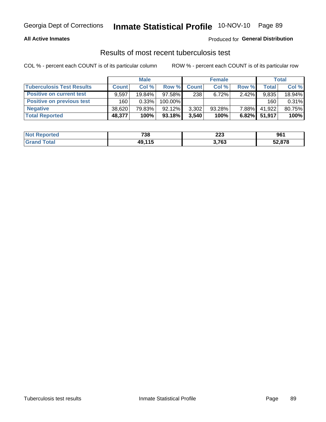# Inmate Statistical Profile 10-NOV-10 Page 89

### **All Active Inmates**

### Produced for General Distribution

### Results of most recent tuberculosis test

COL % - percent each COUNT is of its particular column

|                                  | <b>Male</b>  |        | <b>Female</b> |              |           | Total    |              |        |
|----------------------------------|--------------|--------|---------------|--------------|-----------|----------|--------------|--------|
| <b>Tuberculosis Test Results</b> | <b>Count</b> | Col%   | Row %         | <b>Count</b> | Col %     | Row %    | <b>Total</b> | Col %  |
| <b>Positive on current test</b>  | 9.597        | 19.84% | 97.58%        | 238          | 6.72%     | $2.42\%$ | 9,835        | 18.94% |
| <b>Positive on previous test</b> | 160          | 0.33%  | 100.00%       |              |           |          | 160          | 0.31%  |
| <b>Negative</b>                  | 38,620       | 79.83% | $92.12\%$     | 3,302        | $93.28\%$ | $7.88\%$ | 41,922       | 80.75% |
| <b>Total Reported</b>            | 48,377       | 100%   | $93.18\%$     | 3,540        | 100%      | $6.82\%$ | 51.917       | 100%   |

| <b>Not Reported</b> | 738    | 223   | 961    |
|---------------------|--------|-------|--------|
| Total               | 49,115 | 3,763 | 52,878 |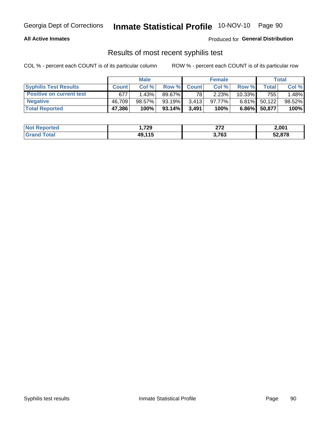## Georgia Dept of Corrections **Inmate Statistical Profile** 10-NOV-10 Page 90

### **All Active Inmates**

Produced for **General Distribution**

### Results of most recent syphilis test

COL % - percent each COUNT is of its particular column ROW % - percent each COUNT is of its particular row

|                                 |              | <b>Male</b> |           |                 | <b>Female</b> |           |        | Total  |
|---------------------------------|--------------|-------------|-----------|-----------------|---------------|-----------|--------|--------|
| <b>Syphilis Test Results</b>    | <b>Count</b> | Col%        |           | Row % Count     | Col %         | Row %     | Total  | Col %  |
| <b>Positive on current test</b> | 677          | 1.43%       | 89.67%    | 78 <sub>1</sub> | 2.23%         | $10.33\%$ | 755    | 1.48%  |
| <b>Negative</b>                 | 46.709       | $98.57\%$   | 93.19%    | 3.413           | $97.77\%$     | $6.81\%$  | 50,122 | 98.52% |
| <b>Total Reported</b>           | 47,386       | 100%        | $93.14\%$ | 3,491           | 100%          | $6.86\%$  | 50,877 | 100%   |

| <b>Not Reported</b> | 729،،  | 272<br><u>_</u> | 2,001  |
|---------------------|--------|-----------------|--------|
| <b>Grand Total</b>  | 49.115 | 3,763           | 52,878 |